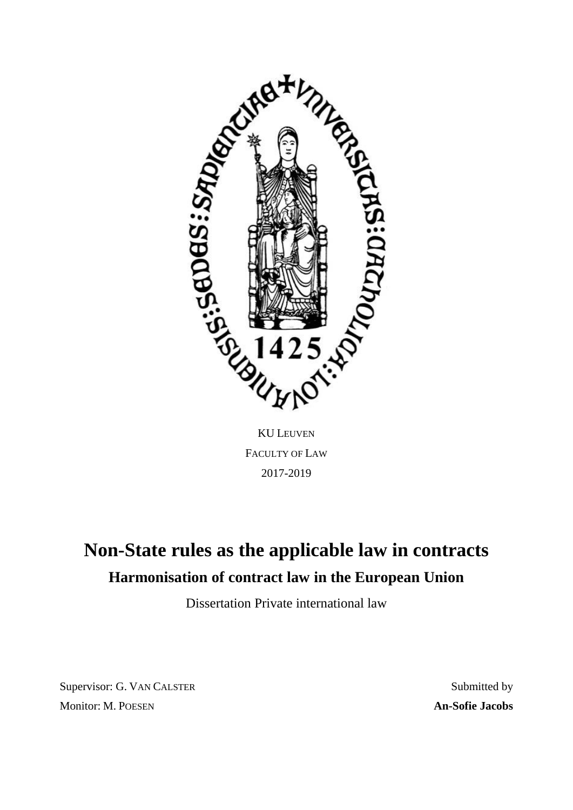

KU LEUVEN FACULTY OF LAW 2017-2019

# **Non-State rules as the applicable law in contracts Harmonisation of contract law in the European Union**

Dissertation Private international law

Supervisor: G. VAN CALSTER Monitor: M. POESEN

Submitted by **An-Sofie Jacobs**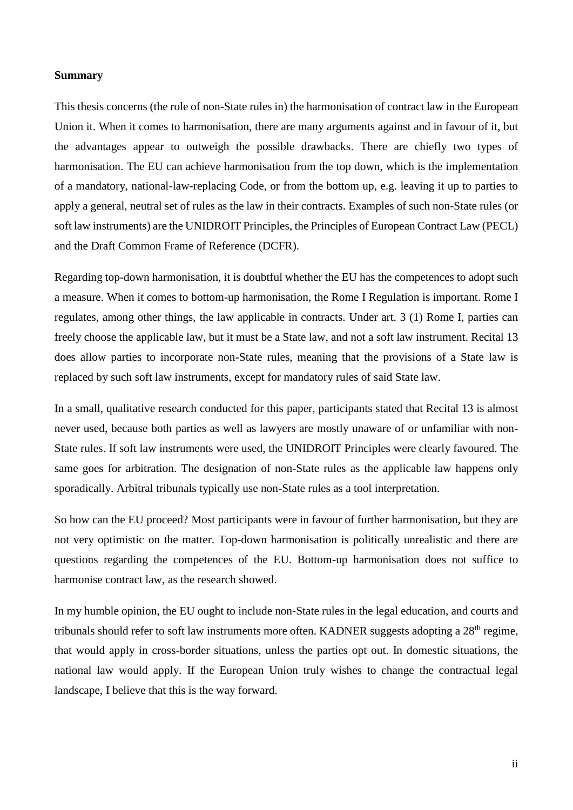## **Summary**

This thesis concerns (the role of non-State rules in) the harmonisation of contract law in the European Union it. When it comes to harmonisation, there are many arguments against and in favour of it, but the advantages appear to outweigh the possible drawbacks. There are chiefly two types of harmonisation. The EU can achieve harmonisation from the top down, which is the implementation of a mandatory, national-law-replacing Code, or from the bottom up, e.g. leaving it up to parties to apply a general, neutral set of rules as the law in their contracts. Examples of such non-State rules (or soft law instruments) are the UNIDROIT Principles, the Principles of European Contract Law (PECL) and the Draft Common Frame of Reference (DCFR).

Regarding top-down harmonisation, it is doubtful whether the EU has the competences to adopt such a measure. When it comes to bottom-up harmonisation, the Rome I Regulation is important. Rome I regulates, among other things, the law applicable in contracts. Under art. 3 (1) Rome I, parties can freely choose the applicable law, but it must be a State law, and not a soft law instrument. Recital 13 does allow parties to incorporate non-State rules, meaning that the provisions of a State law is replaced by such soft law instruments, except for mandatory rules of said State law.

In a small, qualitative research conducted for this paper, participants stated that Recital 13 is almost never used, because both parties as well as lawyers are mostly unaware of or unfamiliar with non-State rules. If soft law instruments were used, the UNIDROIT Principles were clearly favoured. The same goes for arbitration. The designation of non-State rules as the applicable law happens only sporadically. Arbitral tribunals typically use non-State rules as a tool interpretation.

So how can the EU proceed? Most participants were in favour of further harmonisation, but they are not very optimistic on the matter. Top-down harmonisation is politically unrealistic and there are questions regarding the competences of the EU. Bottom-up harmonisation does not suffice to harmonise contract law, as the research showed.

In my humble opinion, the EU ought to include non-State rules in the legal education, and courts and tribunals should refer to soft law instruments more often. KADNER suggests adopting a 28<sup>th</sup> regime, that would apply in cross-border situations, unless the parties opt out. In domestic situations, the national law would apply. If the European Union truly wishes to change the contractual legal landscape, I believe that this is the way forward.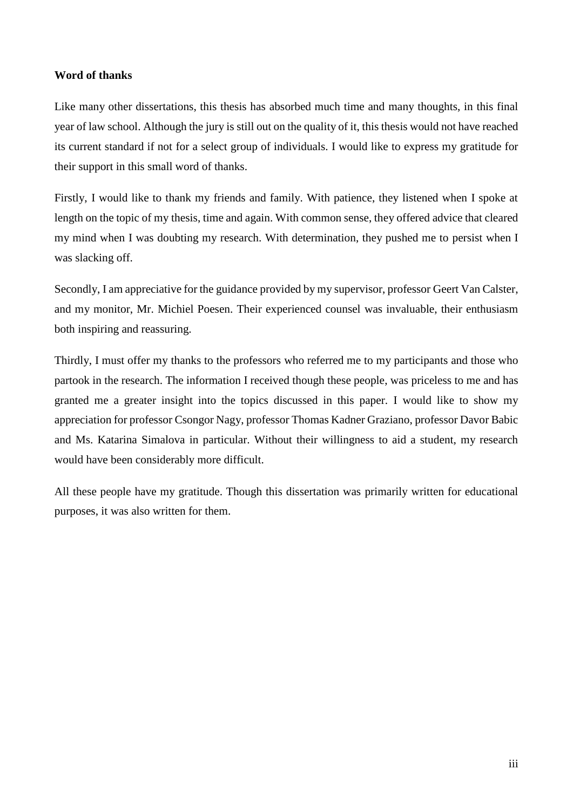## **Word of thanks**

Like many other dissertations, this thesis has absorbed much time and many thoughts, in this final year of law school. Although the jury is still out on the quality of it, this thesis would not have reached its current standard if not for a select group of individuals. I would like to express my gratitude for their support in this small word of thanks.

Firstly, I would like to thank my friends and family. With patience, they listened when I spoke at length on the topic of my thesis, time and again. With common sense, they offered advice that cleared my mind when I was doubting my research. With determination, they pushed me to persist when I was slacking off.

Secondly, I am appreciative for the guidance provided by my supervisor, professor Geert Van Calster, and my monitor, Mr. Michiel Poesen. Their experienced counsel was invaluable, their enthusiasm both inspiring and reassuring.

Thirdly, I must offer my thanks to the professors who referred me to my participants and those who partook in the research. The information I received though these people, was priceless to me and has granted me a greater insight into the topics discussed in this paper. I would like to show my appreciation for professor Csongor Nagy, professor Thomas Kadner Graziano, professor Davor Babic and Ms. Katarina Simalova in particular. Without their willingness to aid a student, my research would have been considerably more difficult.

All these people have my gratitude. Though this dissertation was primarily written for educational purposes, it was also written for them.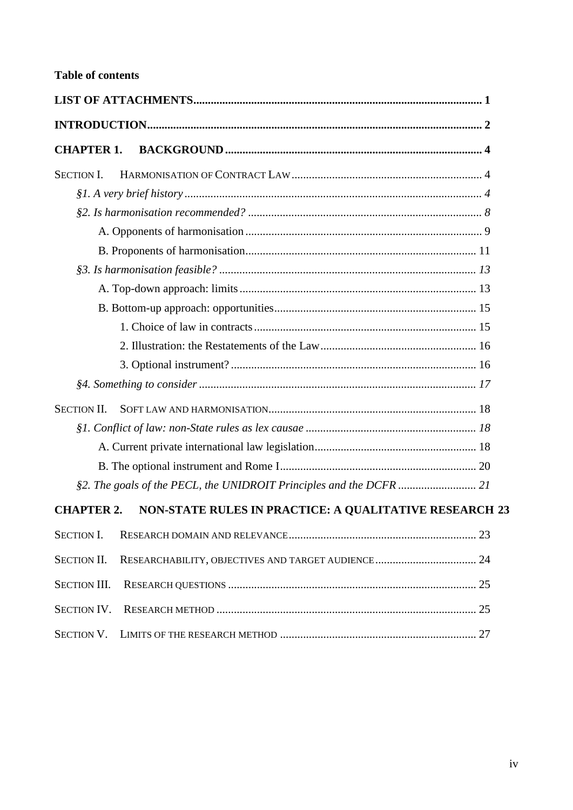| <b>CHAPTER 1.</b>                                                           |  |  |  |  |  |
|-----------------------------------------------------------------------------|--|--|--|--|--|
| <b>SECTION I.</b>                                                           |  |  |  |  |  |
|                                                                             |  |  |  |  |  |
|                                                                             |  |  |  |  |  |
|                                                                             |  |  |  |  |  |
|                                                                             |  |  |  |  |  |
|                                                                             |  |  |  |  |  |
|                                                                             |  |  |  |  |  |
|                                                                             |  |  |  |  |  |
|                                                                             |  |  |  |  |  |
|                                                                             |  |  |  |  |  |
|                                                                             |  |  |  |  |  |
|                                                                             |  |  |  |  |  |
| <b>SECTION II.</b>                                                          |  |  |  |  |  |
|                                                                             |  |  |  |  |  |
|                                                                             |  |  |  |  |  |
|                                                                             |  |  |  |  |  |
| §2. The goals of the PECL, the UNIDROIT Principles and the DCFR  21         |  |  |  |  |  |
| NON-STATE RULES IN PRACTICE: A QUALITATIVE RESEARCH 23<br><b>CHAPTER 2.</b> |  |  |  |  |  |
| <b>SECTION I.</b>                                                           |  |  |  |  |  |
| <b>SECTION II.</b><br>RESEARCHABILITY, OBJECTIVES AND TARGET AUDIENCE 24    |  |  |  |  |  |
| <b>SECTION III.</b>                                                         |  |  |  |  |  |
| <b>SECTION IV.</b>                                                          |  |  |  |  |  |
|                                                                             |  |  |  |  |  |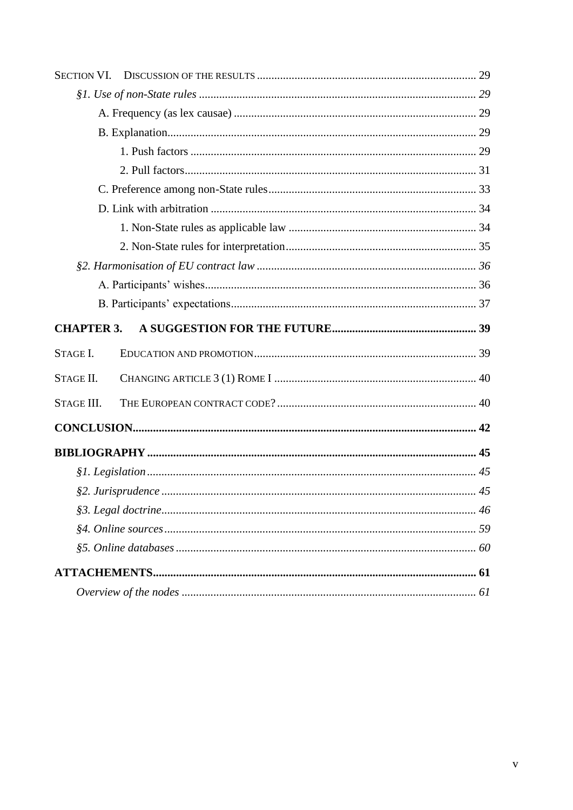| <b>SECTION VI.</b> |  |  |  |  |  |
|--------------------|--|--|--|--|--|
|                    |  |  |  |  |  |
|                    |  |  |  |  |  |
|                    |  |  |  |  |  |
|                    |  |  |  |  |  |
|                    |  |  |  |  |  |
|                    |  |  |  |  |  |
|                    |  |  |  |  |  |
|                    |  |  |  |  |  |
|                    |  |  |  |  |  |
|                    |  |  |  |  |  |
|                    |  |  |  |  |  |
|                    |  |  |  |  |  |
| <b>CHAPTER 3.</b>  |  |  |  |  |  |
| STAGE I.           |  |  |  |  |  |
|                    |  |  |  |  |  |
| STAGE II.          |  |  |  |  |  |
| STAGE III.         |  |  |  |  |  |
|                    |  |  |  |  |  |
|                    |  |  |  |  |  |
|                    |  |  |  |  |  |
|                    |  |  |  |  |  |
|                    |  |  |  |  |  |
|                    |  |  |  |  |  |
|                    |  |  |  |  |  |
|                    |  |  |  |  |  |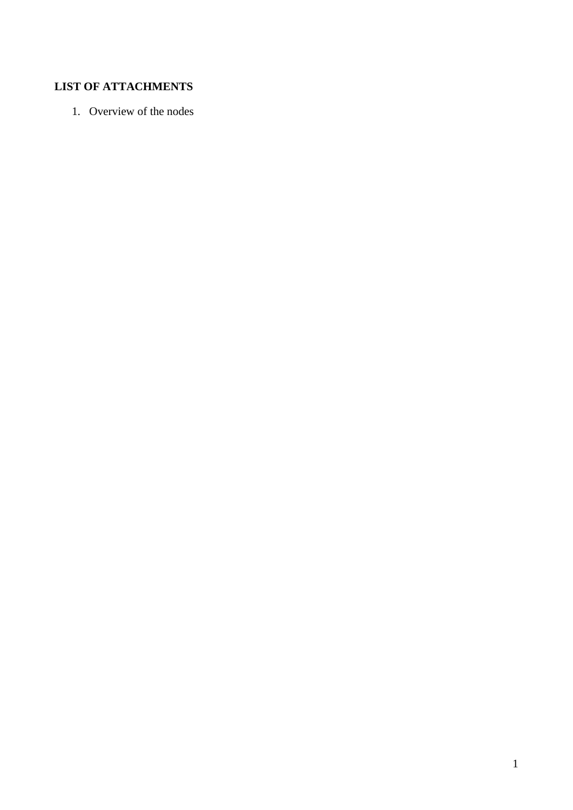## **LIST OF ATTACHMENTS**

1. Overview of the nodes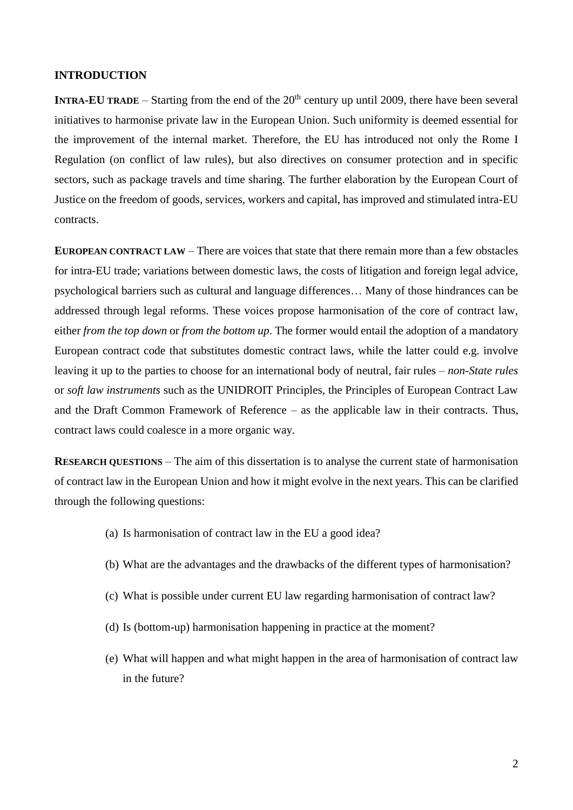## **INTRODUCTION**

**INTRA-EU TRADE** – Starting from the end of the  $20<sup>th</sup>$  century up until 2009, there have been several initiatives to harmonise private law in the European Union. Such uniformity is deemed essential for the improvement of the internal market. Therefore, the EU has introduced not only the Rome I Regulation (on conflict of law rules), but also directives on consumer protection and in specific sectors, such as package travels and time sharing. The further elaboration by the European Court of Justice on the freedom of goods, services, workers and capital, has improved and stimulated intra-EU contracts.

**EUROPEAN CONTRACT LAW** – There are voices that state that there remain more than a few obstacles for intra-EU trade; variations between domestic laws, the costs of litigation and foreign legal advice, psychological barriers such as cultural and language differences… Many of those hindrances can be addressed through legal reforms. These voices propose harmonisation of the core of contract law, either *from the top down* or *from the bottom up*. The former would entail the adoption of a mandatory European contract code that substitutes domestic contract laws, while the latter could e.g. involve leaving it up to the parties to choose for an international body of neutral, fair rules – *non-State rules* or *soft law instruments* such as the UNIDROIT Principles, the Principles of European Contract Law and the Draft Common Framework of Reference – as the applicable law in their contracts. Thus, contract laws could coalesce in a more organic way.

**RESEARCH QUESTIONS** – The aim of this dissertation is to analyse the current state of harmonisation of contract law in the European Union and how it might evolve in the next years. This can be clarified through the following questions:

- (a) Is harmonisation of contract law in the EU a good idea?
- (b) What are the advantages and the drawbacks of the different types of harmonisation?
- (c) What is possible under current EU law regarding harmonisation of contract law?
- (d) Is (bottom-up) harmonisation happening in practice at the moment?
- (e) What will happen and what might happen in the area of harmonisation of contract law in the future?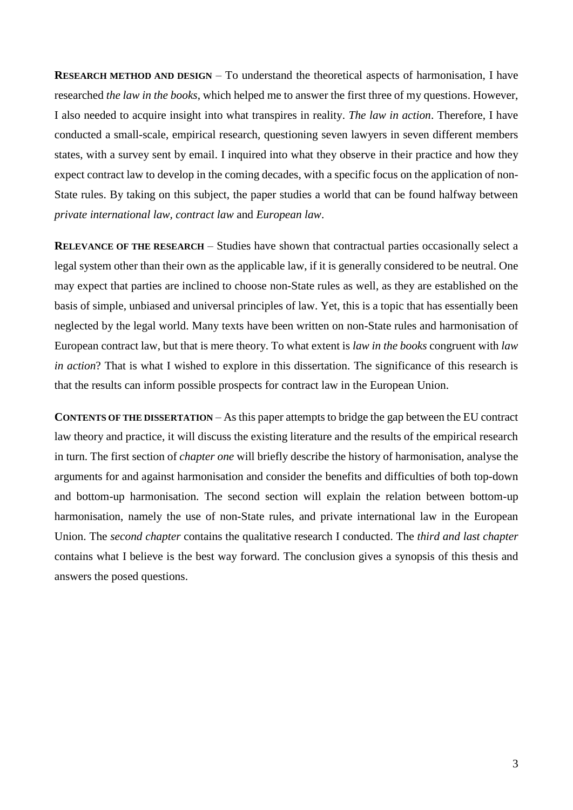**RESEARCH METHOD AND DESIGN** – To understand the theoretical aspects of harmonisation, I have researched *the law in the books*, which helped me to answer the first three of my questions. However, I also needed to acquire insight into what transpires in reality. *The law in action*. Therefore, I have conducted a small-scale, empirical research, questioning seven lawyers in seven different members states, with a survey sent by email. I inquired into what they observe in their practice and how they expect contract law to develop in the coming decades, with a specific focus on the application of non-State rules. By taking on this subject, the paper studies a world that can be found halfway between *private international law, contract law* and *European law*.

**RELEVANCE OF THE RESEARCH** – Studies have shown that contractual parties occasionally select a legal system other than their own as the applicable law, if it is generally considered to be neutral. One may expect that parties are inclined to choose non-State rules as well, as they are established on the basis of simple, unbiased and universal principles of law. Yet, this is a topic that has essentially been neglected by the legal world. Many texts have been written on non-State rules and harmonisation of European contract law, but that is mere theory. To what extent is *law in the books* congruent with *law in action*? That is what I wished to explore in this dissertation. The significance of this research is that the results can inform possible prospects for contract law in the European Union.

**CONTENTS OF THE DISSERTATION** – As this paper attempts to bridge the gap between the EU contract law theory and practice, it will discuss the existing literature and the results of the empirical research in turn. The first section of *chapter one* will briefly describe the history of harmonisation, analyse the arguments for and against harmonisation and consider the benefits and difficulties of both top-down and bottom-up harmonisation. The second section will explain the relation between bottom-up harmonisation, namely the use of non-State rules, and private international law in the European Union. The *second chapter* contains the qualitative research I conducted. The *third and last chapter* contains what I believe is the best way forward. The conclusion gives a synopsis of this thesis and answers the posed questions.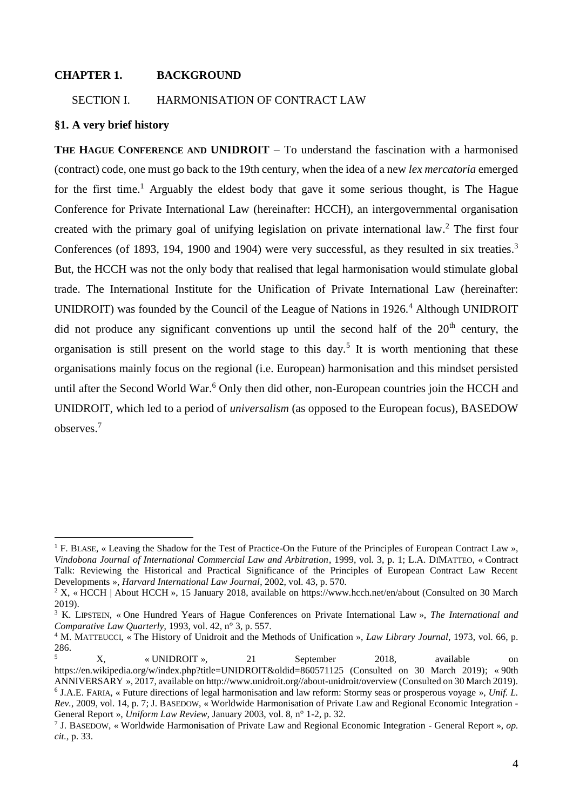## **CHAPTER 1. BACKGROUND**

## SECTION I. HARMONISATION OF CONTRACT LAW

### **§1. A very brief history**

<u>.</u>

**THE HAGUE CONFERENCE AND UNIDROIT** – To understand the fascination with a harmonised (contract) code, one must go back to the 19th century, when the idea of a new *lex mercatoria* emerged for the first time.<sup>1</sup> Arguably the eldest body that gave it some serious thought, is The Hague Conference for Private International Law (hereinafter: HCCH), an intergovernmental organisation created with the primary goal of unifying legislation on private international law. <sup>2</sup> The first four Conferences (of 1893, 194, 1900 and 1904) were very successful, as they resulted in six treaties.<sup>3</sup> But, the HCCH was not the only body that realised that legal harmonisation would stimulate global trade. The International Institute for the Unification of Private International Law (hereinafter: UNIDROIT) was founded by the Council of the League of Nations in 1926.<sup>4</sup> Although UNIDROIT did not produce any significant conventions up until the second half of the  $20<sup>th</sup>$  century, the organisation is still present on the world stage to this day.<sup>5</sup> It is worth mentioning that these organisations mainly focus on the regional (i.e. European) harmonisation and this mindset persisted until after the Second World War.<sup>6</sup> Only then did other, non-European countries join the HCCH and UNIDROIT, which led to a period of *universalism* (as opposed to the European focus), BASEDOW observes. 7

<sup>&</sup>lt;sup>1</sup> F. BLASE, « Leaving the Shadow for the Test of Practice-On the Future of the Principles of European Contract Law », *Vindobona Journal of International Commercial Law and Arbitration*, 1999, vol. 3, p. 1; L.A. DIMATTEO, « Contract Talk: Reviewing the Historical and Practical Significance of the Principles of European Contract Law Recent Developments », *Harvard International Law Journal*, 2002, vol. 43, p. 570.

<sup>&</sup>lt;sup>2</sup> X, « HCCH | About HCCH », 15 January 2018, available on https://www.hcch.net/en/about (Consulted on 30 March 2019).

<sup>3</sup> K. LIPSTEIN, « One Hundred Years of Hague Conferences on Private International Law », *The International and Comparative Law Quarterly*, 1993, vol. 42, n° 3, p. 557.

<sup>4</sup> M. MATTEUCCI, « The History of Unidroit and the Methods of Unification », *Law Library Journal*, 1973, vol. 66, p. 286.

<sup>5</sup> X, « UNIDROIT », 21 September 2018, available on https://en.wikipedia.org/w/index.php?title=UNIDROIT&oldid=860571125 (Consulted on 30 March 2019); « 90th ANNIVERSARY », 2017, available on http://www.unidroit.org//about-unidroit/overview (Consulted on 30 March 2019). 6 J.A.E. FARIA, « Future directions of legal harmonisation and law reform: Stormy seas or prosperous voyage », *Unif. L. Rev.*, 2009, vol. 14, p. 7; J. BASEDOW, « Worldwide Harmonisation of Private Law and Regional Economic Integration - General Report », *Uniform Law Review*, January 2003, vol. 8, n° 1-2, p. 32.

<sup>7</sup> J. BASEDOW, « Worldwide Harmonisation of Private Law and Regional Economic Integration - General Report », *op. cit.*, p. 33.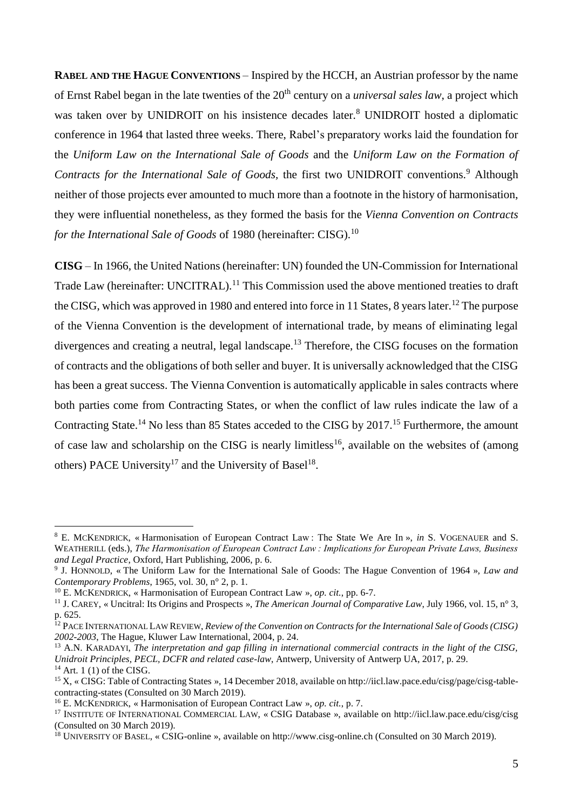**RABEL AND THE HAGUE CONVENTIONS** – Inspired by the HCCH, an Austrian professor by the name of Ernst Rabel began in the late twenties of the 20<sup>th</sup> century on a *universal sales law*, a project which was taken over by UNIDROIT on his insistence decades later. <sup>8</sup> UNIDROIT hosted a diplomatic conference in 1964 that lasted three weeks. There, Rabel's preparatory works laid the foundation for the *Uniform Law on the International Sale of Goods* and the *Uniform Law on the Formation of Contracts for the International Sale of Goods,* the first two UNIDROIT conventions. <sup>9</sup> Although neither of those projects ever amounted to much more than a footnote in the history of harmonisation, they were influential nonetheless, as they formed the basis for the *Vienna Convention on Contracts for the International Sale of Goods* of 1980 (hereinafter: CISG).<sup>10</sup>

**CISG** – In 1966, the United Nations (hereinafter: UN) founded the UN-Commission for International Trade Law (hereinafter: UNCITRAL).<sup>11</sup> This Commission used the above mentioned treaties to draft the CISG, which was approved in 1980 and entered into force in 11 States, 8 years later.<sup>12</sup> The purpose of the Vienna Convention is the development of international trade, by means of eliminating legal divergences and creating a neutral, legal landscape.<sup>13</sup> Therefore, the CISG focuses on the formation of contracts and the obligations of both seller and buyer. It is universally acknowledged that the CISG has been a great success. The Vienna Convention is automatically applicable in sales contracts where both parties come from Contracting States, or when the conflict of law rules indicate the law of a Contracting State.<sup>14</sup> No less than 85 States acceded to the CISG by 2017.<sup>15</sup> Furthermore, the amount of case law and scholarship on the CISG is nearly limitless<sup>16</sup>, available on the websites of (among others) PACE University<sup>17</sup> and the University of Basel<sup>18</sup>.

<sup>8</sup> E. MCKENDRICK, « Harmonisation of European Contract Law : The State We Are In », *in* S. VOGENAUER and S. WEATHERILL (eds.), *The Harmonisation of European Contract Law : Implications for European Private Laws, Business and Legal Practice*, Oxford, Hart Publishing, 2006, p. 6.

<sup>9</sup> J. HONNOLD, « The Uniform Law for the International Sale of Goods: The Hague Convention of 1964 », *Law and Contemporary Problems*, 1965, vol. 30, n° 2, p. 1.

<sup>10</sup> E. MCKENDRICK, « Harmonisation of European Contract Law », *op. cit.*, pp. 6-7.

<sup>11</sup> J. CAREY, « Uncitral: Its Origins and Prospects », *The American Journal of Comparative Law*, July 1966, vol. 15, n° 3, p. 625.

<sup>12</sup> PACE INTERNATIONAL LAW REVIEW, *Review of the Convention on Contracts for the International Sale of Goods (CISG) 2002-2003*, The Hague, Kluwer Law International, 2004, p. 24.

<sup>13</sup> A.N. KARADAYI, *The interpretation and gap filling in international commercial contracts in the light of the CISG, Unidroit Principles, PECL, DCFR and related case-law*, Antwerp, University of Antwerp UA, 2017, p. 29.  $14$  Art. 1 (1) of the CISG.

<sup>15</sup> X, « CISG: Table of Contracting States », 14 December 2018, available on http://iicl.law.pace.edu/cisg/page/cisg-tablecontracting-states (Consulted on 30 March 2019).

<sup>16</sup> E. MCKENDRICK, « Harmonisation of European Contract Law », *op. cit.*, p. 7.

<sup>17</sup> INSTITUTE OF INTERNATIONAL COMMERCIAL LAW, « CSIG Database », available on http://iicl.law.pace.edu/cisg/cisg (Consulted on 30 March 2019).

<sup>18</sup> UNIVERSITY OF BASEL, « CSIG-online », available on http://www.cisg-online.ch (Consulted on 30 March 2019).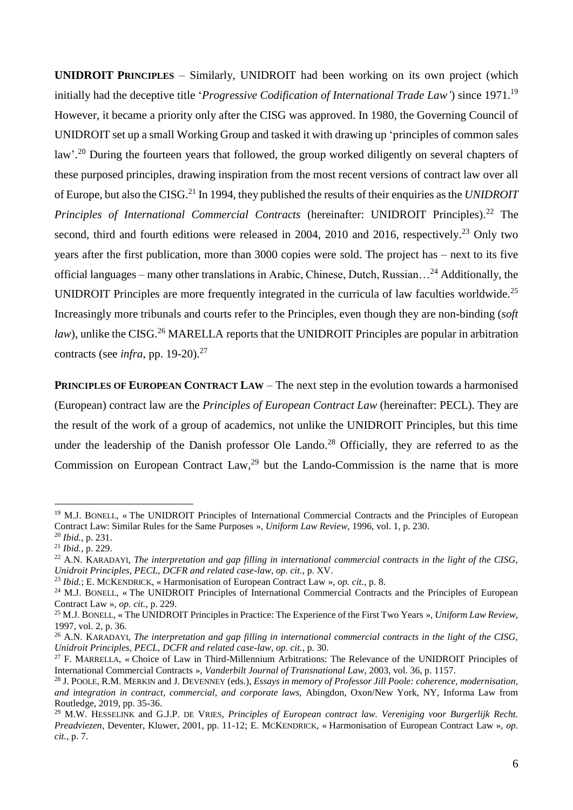**UNIDROIT PRINCIPLES** – Similarly, UNIDROIT had been working on its own project (which initially had the deceptive title '*Progressive Codification of International Trade Law'*) since 1971.<sup>19</sup> However, it became a priority only after the CISG was approved. In 1980, the Governing Council of UNIDROIT set up a small Working Group and tasked it with drawing up 'principles of common sales law'.<sup>20</sup> During the fourteen years that followed, the group worked diligently on several chapters of these purposed principles, drawing inspiration from the most recent versions of contract law over all of Europe, but also the CISG.<sup>21</sup> In 1994, they published the results of their enquiries as the *UNIDROIT Principles of International Commercial Contracts (hereinafter: UNIDROIT Principles).*<sup>22</sup> The second, third and fourth editions were released in 2004, 2010 and 2016, respectively.<sup>23</sup> Only two years after the first publication, more than 3000 copies were sold. The project has – next to its five official languages – many other translations in Arabic, Chinese, Dutch, Russian…<sup>24</sup> Additionally, the UNIDROIT Principles are more frequently integrated in the curricula of law faculties worldwide.<sup>25</sup> Increasingly more tribunals and courts refer to the Principles, even though they are non-binding (*soft*  law), unlike the CISG.<sup>26</sup> MARELLA reports that the UNIDROIT Principles are popular in arbitration contracts (see *infra*, pp. 19-20).<sup>27</sup>

**PRINCIPLES OF EUROPEAN CONTRACT LAW – The next step in the evolution towards a harmonised** (European) contract law are the *Principles of European Contract Law* (hereinafter: PECL). They are the result of the work of a group of academics, not unlike the UNIDROIT Principles, but this time under the leadership of the Danish professor Ole Lando.<sup>28</sup> Officially, they are referred to as the Commission on European Contract  $Law<sub>29</sub><sup>29</sup>$  but the Lando-Commission is the name that is more

<sup>&</sup>lt;sup>19</sup> M.J. BONELL, « The UNIDROIT Principles of International Commercial Contracts and the Principles of European Contract Law: Similar Rules for the Same Purposes », *Uniform Law Review*, 1996, vol. 1, p. 230.

<sup>20</sup> *Ibid.*, p. 231.

<sup>21</sup> *Ibid.*, p. 229.

<sup>22</sup> A.N. KARADAYI, *The interpretation and gap filling in international commercial contracts in the light of the CISG, Unidroit Principles, PECL, DCFR and related case-law*, *op. cit.*, p. XV.

<sup>23</sup> *Ibid.*; E. MCKENDRICK, « Harmonisation of European Contract Law », *op. cit.*, p. 8.

<sup>&</sup>lt;sup>24</sup> M.J. BONELL, « The UNIDROIT Principles of International Commercial Contracts and the Principles of European Contract Law », *op. cit.*, p. 229.

<sup>25</sup> M.J. BONELL, « The UNIDROIT Principles in Practice: The Experience of the First Two Years », *Uniform Law Review*, 1997, vol. 2, p. 36.

<sup>26</sup> A.N. KARADAYI, *The interpretation and gap filling in international commercial contracts in the light of the CISG, Unidroit Principles, PECL, DCFR and related case-law*, *op. cit.*, p. 30.

<sup>&</sup>lt;sup>27</sup> F. MARRELLA, « Choice of Law in Third-Millennium Arbitrations: The Relevance of the UNIDROIT Principles of International Commercial Contracts », *Vanderbilt Journal of Transnational Law*, 2003, vol. 36, p. 1157.

<sup>28</sup> J. POOLE, R.M. MERKIN and J. DEVENNEY (eds.), *Essays in memory of Professor Jill Poole: coherence, modernisation, and integration in contract, commercial, and corporate laws*, Abingdon, Oxon/New York, NY, Informa Law from Routledge, 2019, pp. 35-36.

<sup>29</sup> M.W. HESSELINK and G.J.P. DE VRIES, *Principles of European contract law. Vereniging voor Burgerlijk Recht. Preadviezen*, Deventer, Kluwer, 2001, pp. 11-12; E. MCKENDRICK, « Harmonisation of European Contract Law », *op. cit.*, p. 7.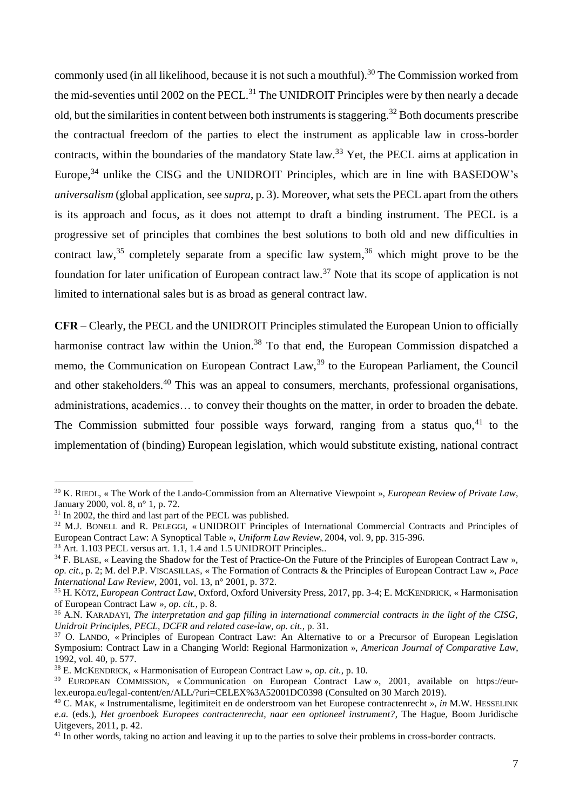commonly used (in all likelihood, because it is not such a mouthful).<sup>30</sup> The Commission worked from the mid-seventies until 2002 on the PECL.<sup>31</sup> The UNIDROIT Principles were by then nearly a decade old, but the similarities in content between both instruments is staggering.<sup>32</sup> Both documents prescribe the contractual freedom of the parties to elect the instrument as applicable law in cross-border contracts, within the boundaries of the mandatory State law.<sup>33</sup> Yet, the PECL aims at application in Europe,<sup>34</sup> unlike the CISG and the UNIDROIT Principles, which are in line with BASEDOW's *universalism* (global application, see *supra*, p. 3). Moreover, what sets the PECL apart from the others is its approach and focus, as it does not attempt to draft a binding instrument. The PECL is a progressive set of principles that combines the best solutions to both old and new difficulties in contract law,<sup>35</sup> completely separate from a specific law system,<sup>36</sup> which might prove to be the foundation for later unification of European contract law.<sup>37</sup> Note that its scope of application is not limited to international sales but is as broad as general contract law.

**CFR** – Clearly, the PECL and the UNIDROIT Principles stimulated the European Union to officially harmonise contract law within the Union.<sup>38</sup> To that end, the European Commission dispatched a memo, the Communication on European Contract Law,<sup>39</sup> to the European Parliament, the Council and other stakeholders.<sup>40</sup> This was an appeal to consumers, merchants, professional organisations, administrations, academics… to convey their thoughts on the matter, in order to broaden the debate. The Commission submitted four possible ways forward, ranging from a status quo, $41$  to the implementation of (binding) European legislation, which would substitute existing, national contract

<sup>30</sup> K. RIEDL, « The Work of the Lando-Commission from an Alternative Viewpoint », *European Review of Private Law*, January 2000, vol. 8, n° 1, p. 72.

 $31$  In 2002, the third and last part of the PECL was published.

<sup>32</sup> M.J. BONELL and R. PELEGGI, « UNIDROIT Principles of International Commercial Contracts and Principles of European Contract Law: A Synoptical Table », *Uniform Law Review*, 2004, vol. 9, pp. 315-396.

<sup>&</sup>lt;sup>33</sup> Art. 1.103 PECL versus art. 1.1, 1.4 and 1.5 UNIDROIT Principles..

<sup>&</sup>lt;sup>34</sup> F. BLASE, « Leaving the Shadow for the Test of Practice-On the Future of the Principles of European Contract Law », *op. cit.*, p. 2; M. del P.P. VISCASILLAS, « The Formation of Contracts & the Principles of European Contract Law », *Pace International Law Review*, 2001, vol. 13, n° 2001, p. 372.

<sup>35</sup> H. KÖTZ, *European Contract Law*, Oxford, Oxford University Press, 2017, pp. 3-4; E. MCKENDRICK, « Harmonisation of European Contract Law », *op. cit.*, p. 8.

<sup>36</sup> A.N. KARADAYI, *The interpretation and gap filling in international commercial contracts in the light of the CISG, Unidroit Principles, PECL, DCFR and related case-law*, *op. cit.*, p. 31.

<sup>37</sup> O. LANDO, « Principles of European Contract Law: An Alternative to or a Precursor of European Legislation Symposium: Contract Law in a Changing World: Regional Harmonization », *American Journal of Comparative Law*, 1992, vol. 40, p. 577.

<sup>38</sup> E. MCKENDRICK, « Harmonisation of European Contract Law », *op. cit.*, p. 10.

<sup>&</sup>lt;sup>39</sup> EUROPEAN COMMISSION, « Communication on European Contract Law », 2001, available on https://eurlex.europa.eu/legal-content/en/ALL/?uri=CELEX%3A52001DC0398 (Consulted on 30 March 2019).

<sup>40</sup> C. MAK, « Instrumentalisme, legitimiteit en de onderstroom van het Europese contractenrecht », *in* M.W. HESSELINK *e.a.* (eds.), *Het groenboek Europees contractenrecht, naar een optioneel instrument?*, The Hague, Boom Juridische Uitgevers, 2011, p. 42.

<sup>&</sup>lt;sup>41</sup> In other words, taking no action and leaving it up to the parties to solve their problems in cross-border contracts.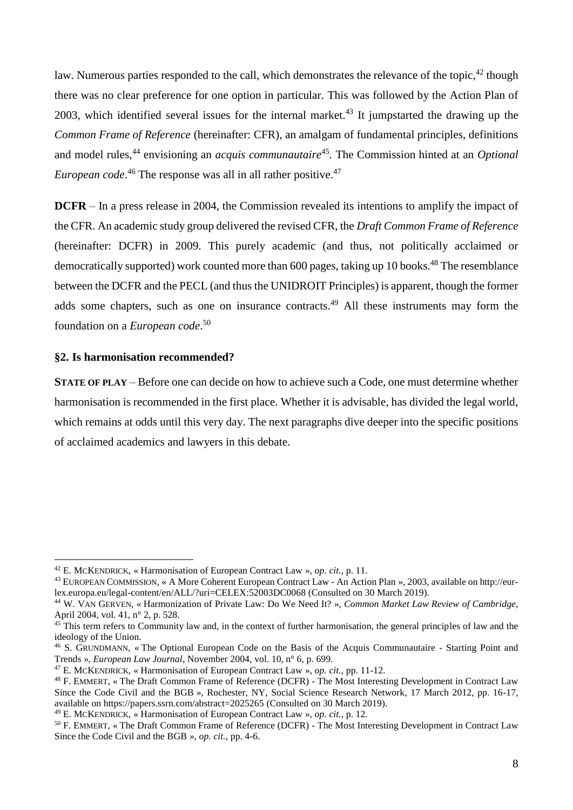law. Numerous parties responded to the call, which demonstrates the relevance of the topic,<sup>42</sup> though there was no clear preference for one option in particular. This was followed by the Action Plan of 2003, which identified several issues for the internal market.<sup>43</sup> It jumpstarted the drawing up the *Common Frame of Reference* (hereinafter: CFR), an amalgam of fundamental principles, definitions and model rules,<sup>44</sup> envisioning an *acquis communautaire*<sup>45</sup>. The Commission hinted at an *Optional European code*.<sup>46</sup> The response was all in all rather positive.<sup>47</sup>

**DCFR** – In a press release in 2004, the Commission revealed its intentions to amplify the impact of the CFR. An academic study group delivered the revised CFR, the *Draft Common Frame of Reference*  (hereinafter: DCFR) in 2009. This purely academic (and thus, not politically acclaimed or democratically supported) work counted more than 600 pages, taking up 10 books.<sup>48</sup> The resemblance between the DCFR and the PECL (and thus the UNIDROIT Principles) is apparent, though the former adds some chapters, such as one on insurance contracts.<sup>49</sup> All these instruments may form the foundation on a *European code*. 50

## **§2. Is harmonisation recommended?**

1

**STATE OF PLAY** – Before one can decide on how to achieve such a Code, one must determine whether harmonisation is recommended in the first place. Whether it is advisable, has divided the legal world, which remains at odds until this very day. The next paragraphs dive deeper into the specific positions of acclaimed academics and lawyers in this debate.

<sup>42</sup> E. MCKENDRICK, « Harmonisation of European Contract Law », *op. cit.*, p. 11.

<sup>43</sup> EUROPEAN COMMISSION, « A More Coherent European Contract Law - An Action Plan », 2003, available on http://eurlex.europa.eu/legal-content/en/ALL/?uri=CELEX:52003DC0068 (Consulted on 30 March 2019).

<sup>44</sup> W. VAN GERVEN, « Harmonization of Private Law: Do We Need It? », *Common Market Law Review of Cambridge*, April 2004, vol. 41, n° 2, p. 528.

 $45$  This term refers to Community law and, in the context of further harmonisation, the general principles of law and the ideology of the Union.

<sup>46</sup> S. GRUNDMANN, « The Optional European Code on the Basis of the Acquis Communautaire - Starting Point and Trends », *European Law Journal*, November 2004, vol. 10, n° 6, p. 699.

<sup>47</sup> E. MCKENDRICK, « Harmonisation of European Contract Law », *op. cit.*, pp. 11-12.

<sup>48</sup> F. EMMERT, « The Draft Common Frame of Reference (DCFR) - The Most Interesting Development in Contract Law Since the Code Civil and the BGB », Rochester, NY, Social Science Research Network, 17 March 2012, pp. 16-17, available on https://papers.ssrn.com/abstract=2025265 (Consulted on 30 March 2019).

<sup>49</sup> E. MCKENDRICK, « Harmonisation of European Contract Law », *op. cit.*, p. 12.

<sup>50</sup> F. EMMERT, « The Draft Common Frame of Reference (DCFR) - The Most Interesting Development in Contract Law Since the Code Civil and the BGB », *op. cit.*, pp. 4-6.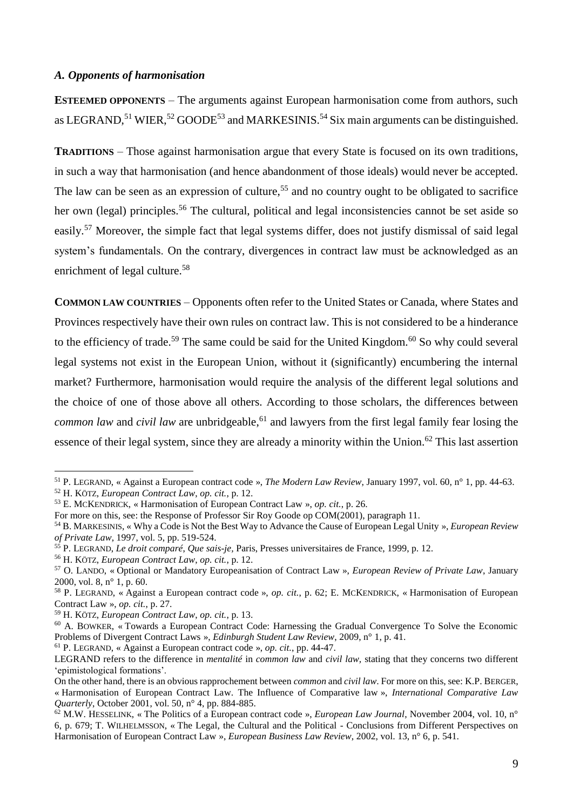#### *A. Opponents of harmonisation*

**ESTEEMED OPPONENTS** – The arguments against European harmonisation come from authors, such as LEGRAND,<sup>51</sup> WIER,<sup>52</sup> GOODE<sup>53</sup> and MARKESINIS.<sup>54</sup> Six main arguments can be distinguished.

**TRADITIONS** – Those against harmonisation argue that every State is focused on its own traditions, in such a way that harmonisation (and hence abandonment of those ideals) would never be accepted. The law can be seen as an expression of culture,<sup>55</sup> and no country ought to be obligated to sacrifice her own (legal) principles.<sup>56</sup> The cultural, political and legal inconsistencies cannot be set aside so easily.<sup>57</sup> Moreover, the simple fact that legal systems differ, does not justify dismissal of said legal system's fundamentals. On the contrary, divergences in contract law must be acknowledged as an enrichment of legal culture.<sup>58</sup>

**COMMON LAW COUNTRIES** – Opponents often refer to the United States or Canada, where States and Provinces respectively have their own rules on contract law. This is not considered to be a hinderance to the efficiency of trade.<sup>59</sup> The same could be said for the United Kingdom.<sup>60</sup> So why could several legal systems not exist in the European Union, without it (significantly) encumbering the internal market? Furthermore, harmonisation would require the analysis of the different legal solutions and the choice of one of those above all others. According to those scholars, the differences between *common law* and *civil law* are unbridgeable, <sup>61</sup> and lawyers from the first legal family fear losing the essence of their legal system, since they are already a minority within the Union.<sup>62</sup> This last assertion

1

<sup>61</sup> P. LEGRAND, « Against a European contract code », *op. cit.*, pp. 44-47.

<sup>51</sup> P. LEGRAND, « Against a European contract code », *The Modern Law Review*, January 1997, vol. 60, n° 1, pp. 44-63.

<sup>52</sup> H. KÖTZ, *European Contract Law*, *op. cit.*, p. 12.

<sup>53</sup> E. MCKENDRICK, « Harmonisation of European Contract Law », *op. cit.*, p. 26.

For more on this, see: the Response of Professor Sir Roy Goode op COM(2001), paragraph 11.

<sup>54</sup> B. MARKESINIS, « Why a Code is Not the Best Way to Advance the Cause of European Legal Unity », *European Review of Private Law*, 1997, vol. 5, pp. 519-524.

<sup>55</sup> P. LEGRAND, *Le droit comparé*, *Que sais-je,* Paris, Presses universitaires de France, 1999, p. 12.

<sup>56</sup> H. KÖTZ, *European Contract Law*, *op. cit.*, p. 12.

<sup>57</sup> O. LANDO, « Optional or Mandatory Europeanisation of Contract Law », *European Review of Private Law*, January 2000, vol. 8, n° 1, p. 60.

<sup>58</sup> P. LEGRAND, « Against a European contract code », *op. cit.*, p. 62; E. MCKENDRICK, « Harmonisation of European Contract Law », *op. cit.*, p. 27.

<sup>59</sup> H. KÖTZ, *European Contract Law*, *op. cit.*, p. 13.

<sup>&</sup>lt;sup>60</sup> A. BOWKER, « Towards a European Contract Code: Harnessing the Gradual Convergence To Solve the Economic Problems of Divergent Contract Laws », *Edinburgh Student Law Review*, 2009, n° 1, p. 41.

LEGRAND refers to the difference in *mentalité* in *common law* and *civil law,* stating that they concerns two different 'epimistological formations'.

On the other hand, there is an obvious rapprochement between *common* and *civil law*. For more on this, see: K.P. BERGER, « Harmonisation of European Contract Law. The Influence of Comparative law », *International Comparative Law Quarterly*, October 2001, vol. 50, n° 4, pp. 884-885.

<sup>62</sup> M.W. HESSELINK, « The Politics of a European contract code », *European Law Journal*, November 2004, vol. 10, n° 6, p. 679; T. WILHELMSSON, « The Legal, the Cultural and the Political - Conclusions from Different Perspectives on Harmonisation of European Contract Law », *European Business Law Review*, 2002, vol. 13, n° 6, p. 541.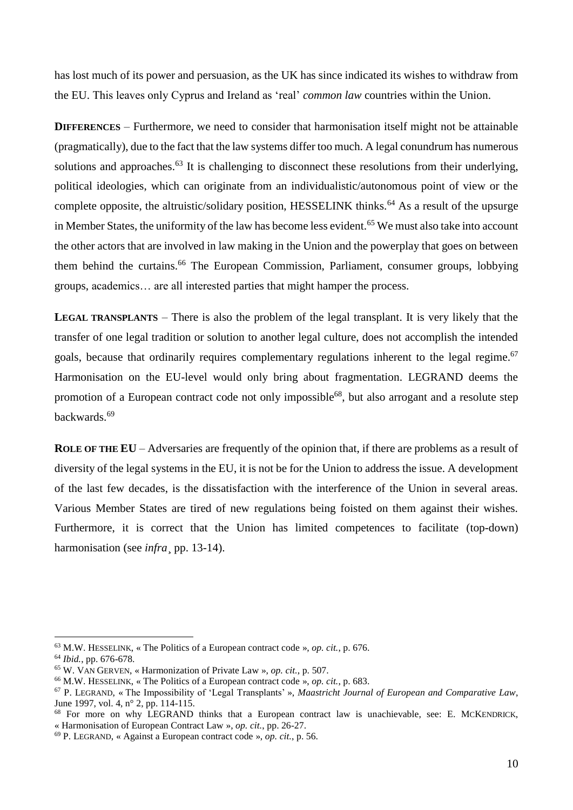has lost much of its power and persuasion, as the UK has since indicated its wishes to withdraw from the EU. This leaves only Cyprus and Ireland as 'real' *common law* countries within the Union.

**DIFFERENCES** – Furthermore, we need to consider that harmonisation itself might not be attainable (pragmatically), due to the fact that the law systems differ too much. A legal conundrum has numerous solutions and approaches.<sup>63</sup> It is challenging to disconnect these resolutions from their underlying, political ideologies, which can originate from an individualistic/autonomous point of view or the complete opposite, the altruistic/solidary position, HESSELINK thinks.<sup>64</sup> As a result of the upsurge in Member States, the uniformity of the law has become less evident.<sup>65</sup> We must also take into account the other actors that are involved in law making in the Union and the powerplay that goes on between them behind the curtains.<sup>66</sup> The European Commission, Parliament, consumer groups, lobbying groups, academics… are all interested parties that might hamper the process.

**LEGAL TRANSPLANTS** – There is also the problem of the legal transplant. It is very likely that the transfer of one legal tradition or solution to another legal culture, does not accomplish the intended goals, because that ordinarily requires complementary regulations inherent to the legal regime.<sup>67</sup> Harmonisation on the EU-level would only bring about fragmentation. LEGRAND deems the promotion of a European contract code not only impossible<sup>68</sup>, but also arrogant and a resolute step backwards.<sup>69</sup>

**ROLE OF THE EU** – Adversaries are frequently of the opinion that, if there are problems as a result of diversity of the legal systems in the EU, it is not be for the Union to address the issue. A development of the last few decades, is the dissatisfaction with the interference of the Union in several areas. Various Member States are tired of new regulations being foisted on them against their wishes. Furthermore, it is correct that the Union has limited competences to facilitate (top-down) harmonisation (see *infra* pp. 13-14).

<sup>63</sup> M.W. HESSELINK, « The Politics of a European contract code », *op. cit.*, p. 676.

<sup>64</sup> *Ibid.*, pp. 676-678.

<sup>65</sup> W. VAN GERVEN, « Harmonization of Private Law », *op. cit.*, p. 507.

<sup>66</sup> M.W. HESSELINK, « The Politics of a European contract code », *op. cit.*, p. 683.

<sup>67</sup> P. LEGRAND, « The Impossibility of 'Legal Transplants' », *Maastricht Journal of European and Comparative Law*, June 1997, vol. 4, n° 2, pp. 114-115.

<sup>68</sup> For more on why LEGRAND thinks that a European contract law is unachievable, see: E. MCKENDRICK, « Harmonisation of European Contract Law », *op. cit.*, pp. 26-27.

<sup>69</sup> P. LEGRAND, « Against a European contract code », *op. cit.*, p. 56.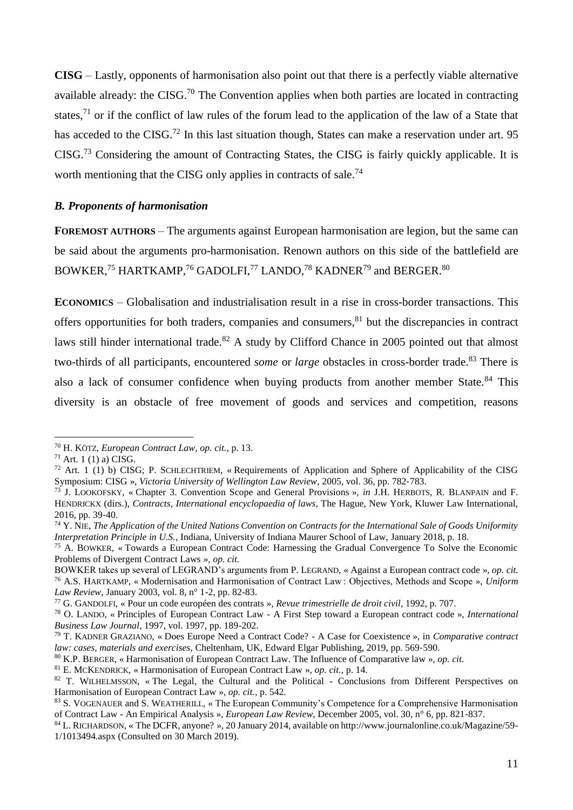**CISG** – Lastly, opponents of harmonisation also point out that there is a perfectly viable alternative available already: the CISG.<sup>70</sup> The Convention applies when both parties are located in contracting states,<sup>71</sup> or if the conflict of law rules of the forum lead to the application of the law of a State that has acceded to the CISG.<sup>72</sup> In this last situation though, States can make a reservation under art. 95 CISG.<sup>73</sup> Considering the amount of Contracting States, the CISG is fairly quickly applicable. It is worth mentioning that the CISG only applies in contracts of sale.<sup>74</sup>

## *B. Proponents of harmonisation*

**FOREMOST AUTHORS** – The arguments against European harmonisation are legion, but the same can be said about the arguments pro-harmonisation. Renown authors on this side of the battlefield are BOWKER,<sup>75</sup> HARTKAMP,<sup>76</sup> GADOLFI,<sup>77</sup> LANDO,<sup>78</sup> KADNER<sup>79</sup> and BERGER.<sup>80</sup>

**ECONOMICS** – Globalisation and industrialisation result in a rise in cross-border transactions. This offers opportunities for both traders, companies and consumers,<sup>81</sup> but the discrepancies in contract laws still hinder international trade.<sup>82</sup> A study by Clifford Chance in 2005 pointed out that almost two-thirds of all participants, encountered *some* or *large* obstacles in cross-border trade.<sup>83</sup> There is also a lack of consumer confidence when buying products from another member State.<sup>84</sup> This diversity is an obstacle of free movement of goods and services and competition, reasons

<sup>70</sup> H. KÖTZ, *European Contract Law*, *op. cit.*, p. 13.

 $71$  Art. 1 (1) a) CISG.

<sup>72</sup> Art. 1 (1) b) CISG; P. SCHLECHTRIEM, « Requirements of Application and Sphere of Applicability of the CISG Symposium: CISG », *Victoria University of Wellington Law Review*, 2005, vol. 36, pp. 782-783.

<sup>73</sup> J. LOOKOFSKY, « Chapter 3. Convention Scope and General Provisions », *in* J.H. HERBOTS, R. BLANPAIN and F. HENDRICKX (dirs.), *Contracts, International encyclopaedia of laws*, The Hague, New York, Kluwer Law International, 2016, pp. 39‑40.

<sup>74</sup> Y. NIE, *The Application of the United Nations Convention on Contracts for the International Sale of Goods Uniformity Interpretation Principle in U.S.*, Indiana, University of Indiana Maurer School of Law, January 2018, p. 18.

<sup>75</sup> A. BOWKER, « Towards a European Contract Code: Harnessing the Gradual Convergence To Solve the Economic Problems of Divergent Contract Laws », *op. cit.*

BOWKER takes up several of LEGRAND's arguments from P. LEGRAND, « Against a European contract code », *op. cit.* <sup>76</sup> A.S. HARTKAMP, « Modernisation and Harmonisation of Contract Law : Objectives, Methods and Scope », *Uniform Law Review*, January 2003, vol. 8, n° 1-2, pp. 82-83.

<sup>77</sup> G. GANDOLFI, « Pour un code européen des contrats », *Revue trimestrielle de droit civil*, 1992, p. 707.

<sup>78</sup> O. LANDO, « Principles of European Contract Law - A First Step toward a European contract code », *International Business Law Journal*, 1997, vol. 1997, pp. 189-202.

<sup>79</sup> T. KADNER GRAZIANO, « Does Europe Need a Contract Code? - A Case for Coexistence », in *Comparative contract law: cases, materials and exercises*, Cheltenham, UK, Edward Elgar Publishing, 2019, pp. 569‑590.

<sup>80</sup> K.P. BERGER, « Harmonisation of European Contract Law. The Influence of Comparative law », *op. cit.*

<sup>81</sup> E. MCKENDRICK, « Harmonisation of European Contract Law », *op. cit.*, p. 14.

<sup>&</sup>lt;sup>82</sup> T. WILHELMSSON, «The Legal, the Cultural and the Political - Conclusions from Different Perspectives on Harmonisation of European Contract Law », *op. cit.*, p. 542.

<sup>&</sup>lt;sup>83</sup> S. VOGENAUER and S. WEATHERILL, « The European Community's Competence for a Comprehensive Harmonisation of Contract Law - An Empirical Analysis », *European Law Review*, December 2005, vol. 30, n° 6, pp. 821‑837.

<sup>84</sup> L. RICHARDSON, « The DCFR, anyone? », 20 January 2014, available on http://www.journalonline.co.uk/Magazine/59- 1/1013494.aspx (Consulted on 30 March 2019).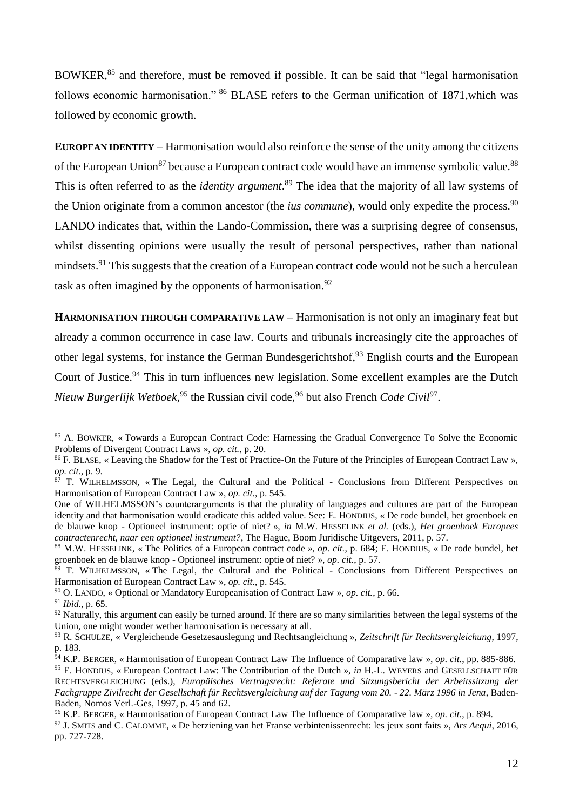BOWKER,<sup>85</sup> and therefore, must be removed if possible. It can be said that "legal harmonisation" follows economic harmonisation." <sup>86</sup> BLASE refers to the German unification of 1871, which was followed by economic growth.

**EUROPEAN IDENTITY** – Harmonisation would also reinforce the sense of the unity among the citizens of the European Union<sup>87</sup> because a European contract code would have an immense symbolic value.<sup>88</sup> This is often referred to as the *identity argument*. <sup>89</sup> The idea that the majority of all law systems of the Union originate from a common ancestor (the *ius commune*), would only expedite the process.<sup>90</sup> LANDO indicates that, within the Lando-Commission, there was a surprising degree of consensus, whilst dissenting opinions were usually the result of personal perspectives, rather than national mindsets.<sup>91</sup> This suggests that the creation of a European contract code would not be such a herculean task as often imagined by the opponents of harmonisation.<sup>92</sup>

**HARMONISATION THROUGH COMPARATIVE LAW** – Harmonisation is not only an imaginary feat but already a common occurrence in case law. Courts and tribunals increasingly cite the approaches of other legal systems, for instance the German Bundesgerichtshof,<sup>93</sup> English courts and the European Court of Justice.<sup>94</sup> This in turn influences new legislation. Some excellent examples are the Dutch Nieuw Burgerlijk Wetboek,<sup>95</sup> the Russian civil code,<sup>96</sup> but also French *Code Civil*<sup>97</sup>.

<sup>&</sup>lt;sup>85</sup> A. BOWKER, « Towards a European Contract Code: Harnessing the Gradual Convergence To Solve the Economic Problems of Divergent Contract Laws », *op. cit.*, p. 20.

<sup>&</sup>lt;sup>86</sup> F. BLASE, « Leaving the Shadow for the Test of Practice-On the Future of the Principles of European Contract Law », *op. cit.*, p. 9.

 $87$  T. WILHELMSSON, « The Legal, the Cultural and the Political - Conclusions from Different Perspectives on Harmonisation of European Contract Law », *op. cit.*, p. 545.

One of WILHELMSSON's counterarguments is that the plurality of languages and cultures are part of the European identity and that harmonisation would eradicate this added value. See: E. HONDIUS, « De rode bundel, het groenboek en de blauwe knop - Optioneel instrument: optie of niet? », *in* M.W. HESSELINK *et al.* (eds.), *Het groenboek Europees contractenrecht, naar een optioneel instrument?*, The Hague, Boom Juridische Uitgevers, 2011, p. 57.

<sup>88</sup> M.W. HESSELINK, « The Politics of a European contract code », *op. cit.*, p. 684; E. HONDIUS, « De rode bundel, het groenboek en de blauwe knop - Optioneel instrument: optie of niet? », *op. cit.*, p. 57.

<sup>89</sup> T. WILHELMSSON, « The Legal, the Cultural and the Political - Conclusions from Different Perspectives on Harmonisation of European Contract Law », *op. cit.*, p. 545.

<sup>90</sup> O. LANDO, « Optional or Mandatory Europeanisation of Contract Law », *op. cit.*, p. 66.

<sup>91</sup> *Ibid.*, p. 65.

<sup>&</sup>lt;sup>92</sup> Naturally, this argument can easily be turned around. If there are so many similarities between the legal systems of the Union, one might wonder wether harmonisation is necessary at all.

<sup>93</sup> R. SCHULZE, « Vergleichende Gesetzesauslegung und Rechtsangleichung », *Zeitschrift für Rechtsvergleichung*, 1997, p. 183.

<sup>94</sup> K.P. BERGER, « Harmonisation of European Contract Law The Influence of Comparative law », *op. cit.*, pp. 885-886.

<sup>95</sup> E. HONDIUS, « European Contract Law: The Contribution of the Dutch », *in* H.-L. WEYERS and GESELLSCHAFT FÜR RECHTSVERGLEICHUNG (eds.), *Europäisches Vertragsrecht: Referate und Sitzungsbericht der Arbeitssitzung der Fachgruppe Zivilrecht der Gesellschaft für Rechtsvergleichung auf der Tagung vom 20. - 22. März 1996 in Jena*, Baden-Baden, Nomos Verl.-Ges, 1997, p. 45 and 62.

<sup>96</sup> K.P. BERGER, « Harmonisation of European Contract Law The Influence of Comparative law », *op. cit.*, p. 894.

<sup>97</sup> J. SMITS and C. CALOMME, « De herziening van het Franse verbintenissenrecht: les jeux sont faits », *Ars Aequi*, 2016, pp. 727-728.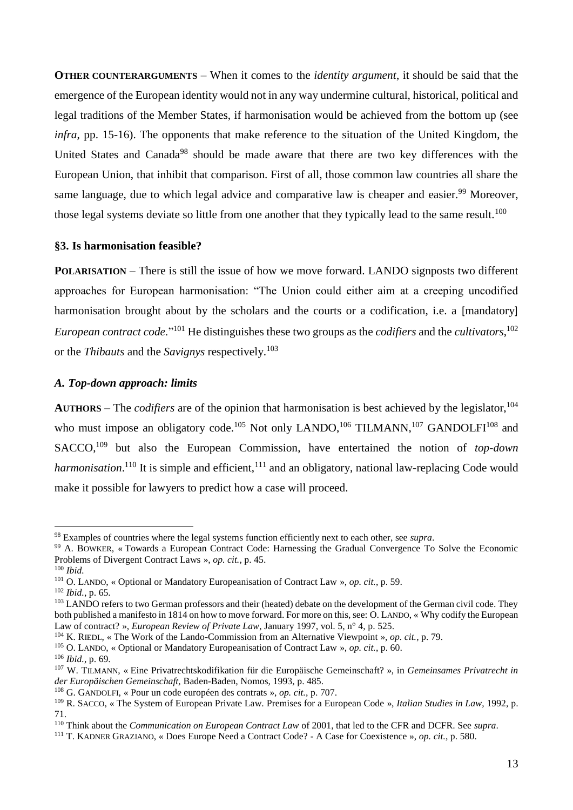**OTHER COUNTERARGUMENTS** – When it comes to the *identity argument*, it should be said that the emergence of the European identity would not in any way undermine cultural, historical, political and legal traditions of the Member States, if harmonisation would be achieved from the bottom up (see *infra*, pp. 15-16). The opponents that make reference to the situation of the United Kingdom, the United States and Canada<sup>98</sup> should be made aware that there are two key differences with the European Union, that inhibit that comparison. First of all, those common law countries all share the same language, due to which legal advice and comparative law is cheaper and easier.<sup>99</sup> Moreover, those legal systems deviate so little from one another that they typically lead to the same result.<sup>100</sup>

#### **§3. Is harmonisation feasible?**

**POLARISATION** – There is still the issue of how we move forward. LANDO signposts two different approaches for European harmonisation: "The Union could either aim at a creeping uncodified harmonisation brought about by the scholars and the courts or a codification, i.e. a [mandatory] *European contract code*."<sup>101</sup> He distinguishes these two groups as the *codifiers* and the *cultivators*, 102 or the *Thibauts* and the *Savignys* respectively. 103

## *A. Top-down approach: limits*

**AUTHORS** – The *codifiers* are of the opinion that harmonisation is best achieved by the legislator,<sup>104</sup> who must impose an obligatory code.<sup>105</sup> Not only LANDO,<sup>106</sup> TILMANN,<sup>107</sup> GANDOLFI<sup>108</sup> and SACCO,<sup>109</sup> but also the European Commission, have entertained the notion of *top-down* harmonisation.<sup>110</sup> It is simple and efficient,<sup>111</sup> and an obligatory, national law-replacing Code would make it possible for lawyers to predict how a case will proceed.

<sup>98</sup> Examples of countries where the legal systems function efficiently next to each other, see *supra*.

<sup>&</sup>lt;sup>99</sup> A. BOWKER, « Towards a European Contract Code: Harnessing the Gradual Convergence To Solve the Economic Problems of Divergent Contract Laws », *op. cit.*, p. 45.

<sup>100</sup> *Ibid.*

<sup>101</sup> O. LANDO, « Optional or Mandatory Europeanisation of Contract Law », *op. cit.*, p. 59.

<sup>102</sup> *Ibid.*, p. 65.

<sup>&</sup>lt;sup>103</sup> LANDO refers to two German professors and their (heated) debate on the development of the German civil code. They both published a manifesto in 1814 on how to move forward. For more on this, see: O. LANDO, « Why codify the European Law of contract? », *European Review of Private Law*, January 1997, vol. 5, n° 4, p. 525.

<sup>104</sup> K. RIEDL, « The Work of the Lando-Commission from an Alternative Viewpoint », *op. cit.*, p. 79.

<sup>105</sup> O. LANDO, « Optional or Mandatory Europeanisation of Contract Law », *op. cit.*, p. 60.

<sup>106</sup> *Ibid.*, p. 69.

<sup>107</sup> W. TILMANN, « Eine Privatrechtskodifikation für die Europäische Gemeinschaft? », in *Gemeinsames Privatrecht in der Europäischen Gemeinschaft,* Baden-Baden, Nomos, 1993, p. 485.

<sup>108</sup> G. GANDOLFI, « Pour un code européen des contrats », *op. cit.*, p. 707.

<sup>109</sup> R. SACCO, « The System of European Private Law. Premises for a European Code », *Italian Studies in Law*, 1992, p. 71.

<sup>110</sup> Think about the *Communication on European Contract Law* of 2001, that led to the CFR and DCFR. See *supra*.

<sup>111</sup> T. KADNER GRAZIANO, « Does Europe Need a Contract Code? - A Case for Coexistence », *op. cit.*, p. 580.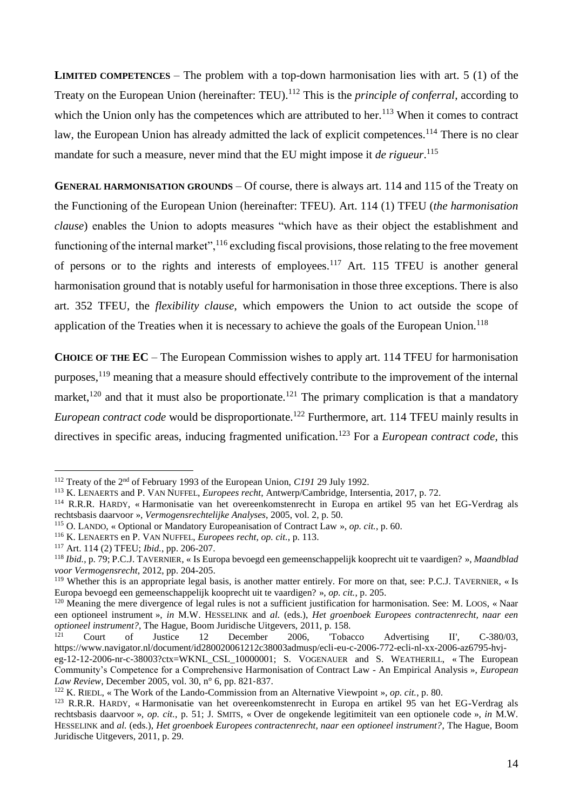**LIMITED COMPETENCES** – The problem with a top-down harmonisation lies with art. 5 (1) of the Treaty on the European Union (hereinafter: TEU).<sup>112</sup> This is the *principle of conferral*, according to which the Union only has the competences which are attributed to her.<sup>113</sup> When it comes to contract law, the European Union has already admitted the lack of explicit competences.<sup>114</sup> There is no clear mandate for such a measure, never mind that the EU might impose it *de rigueur*. 115

**GENERAL HARMONISATION GROUNDS** – Of course, there is always art. 114 and 115 of the Treaty on the Functioning of the European Union (hereinafter: TFEU). Art. 114 (1) TFEU (*the harmonisation clause*) enables the Union to adopts measures "which have as their object the establishment and functioning of the internal market",<sup>116</sup> excluding fiscal provisions, those relating to the free movement of persons or to the rights and interests of employees.<sup>117</sup> Art. 115 TFEU is another general harmonisation ground that is notably useful for harmonisation in those three exceptions. There is also art. 352 TFEU, the *flexibility clause*, which empowers the Union to act outside the scope of application of the Treaties when it is necessary to achieve the goals of the European Union.<sup>118</sup>

**CHOICE OF THE EC** – The European Commission wishes to apply art. 114 TFEU for harmonisation purposes,<sup>119</sup> meaning that a measure should effectively contribute to the improvement of the internal market,<sup>120</sup> and that it must also be proportionate.<sup>121</sup> The primary complication is that a mandatory *European contract code* would be disproportionate.<sup>122</sup> Furthermore, art. 114 TFEU mainly results in directives in specific areas, inducing fragmented unification.<sup>123</sup> For a *European contract code*, this

<sup>112</sup> Treaty of the 2nd of February 1993 of the European Union, *C191* 29 July 1992.

<sup>113</sup> K. LENAERTS and P. VAN NUFFEL, *Europees recht*, Antwerp/Cambridge, Intersentia, 2017, p. 72.

<sup>114</sup> R.R.R. HARDY, « Harmonisatie van het overeenkomstenrecht in Europa en artikel 95 van het EG-Verdrag als rechtsbasis daarvoor », *Vermogensrechtelijke Analyses*, 2005, vol. 2, p. 50.

<sup>115</sup> O. LANDO, « Optional or Mandatory Europeanisation of Contract Law », *op. cit.*, p. 60.

<sup>116</sup> K. LENAERTS en P. VAN NUFFEL, *Europees recht*, *op. cit.*, p. 113.

<sup>117</sup> Art. 114 (2) TFEU; *Ibid.*, pp. 206-207.

<sup>118</sup> *Ibid.*, p. 79; P.C.J. TAVERNIER, « Is Europa bevoegd een gemeenschappelijk kooprecht uit te vaardigen? », *Maandblad voor Vermogensrecht*, 2012, pp. 204-205.

<sup>&</sup>lt;sup>119</sup> Whether this is an appropriate legal basis, is another matter entirely. For more on that, see: P.C.J. TAVERNIER, « Is Europa bevoegd een gemeenschappelijk kooprecht uit te vaardigen? », *op. cit.*, p. 205.

<sup>120</sup> Meaning the mere divergence of legal rules is not a sufficient justification for harmonisation. See: M. LOOS, « Naar een optioneel instrument », *in* M.W. HESSELINK and *al.* (eds.), *Het groenboek Europees contractenrecht, naar een optioneel instrument?*, The Hague, Boom Juridische Uitgevers, 2011, p. 158.

<sup>121</sup> Court of Justice 12 December 2006, 'Tobacco Advertising II', C-380/03, https://www.navigator.nl/document/id280020061212c38003admusp/ecli-eu-c-2006-772-ecli-nl-xx-2006-az6795-hvj-

eg-12-12-2006-nr-c-38003?ctx=WKNL\_CSL\_10000001; S. VOGENAUER and S. WEATHERILL, « The European Community's Competence for a Comprehensive Harmonisation of Contract Law - An Empirical Analysis », *European Law Review*, December 2005, vol. 30, n° 6, pp. 821‑837.

<sup>122</sup> K. RIEDL, « The Work of the Lando-Commission from an Alternative Viewpoint », *op. cit.*, p. 80.

<sup>123</sup> R.R.R. HARDY, « Harmonisatie van het overeenkomstenrecht in Europa en artikel 95 van het EG-Verdrag als rechtsbasis daarvoor », *op. cit.*, p. 51; J. SMITS, « Over de ongekende legitimiteit van een optionele code », *in* M.W. HESSELINK and *al.* (eds.), *Het groenboek Europees contractenrecht, naar een optioneel instrument?*, The Hague, Boom Juridische Uitgevers, 2011, p. 29.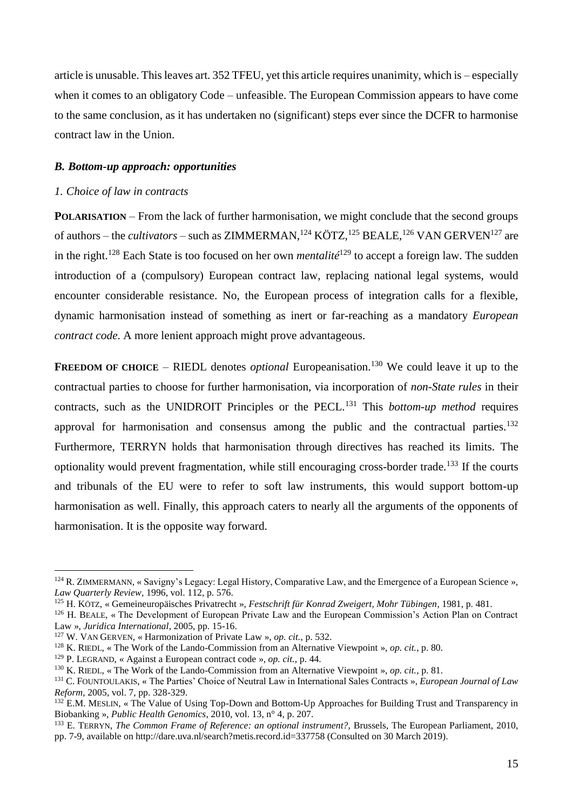article is unusable. This leaves art.  $352$  TFEU, yet this article requires unanimity, which is – especially when it comes to an obligatory Code – unfeasible. The European Commission appears to have come to the same conclusion, as it has undertaken no (significant) steps ever since the DCFR to harmonise contract law in the Union.

## *B. Bottom-up approach: opportunities*

#### *1. Choice of law in contracts*

<u>.</u>

**POLARISATION** – From the lack of further harmonisation, we might conclude that the second groups of authors – the *cultivators* – such as ZIMMERMAN,<sup>124</sup> KÖTZ,<sup>125</sup> BEALE,<sup>126</sup> VAN GERVEN<sup>127</sup> are in the right. <sup>128</sup> Each State is too focused on her own *mentalité*<sup>129</sup> to accept a foreign law. The sudden introduction of a (compulsory) European contract law, replacing national legal systems, would encounter considerable resistance. No, the European process of integration calls for a flexible, dynamic harmonisation instead of something as inert or far-reaching as a mandatory *European contract code*. A more lenient approach might prove advantageous.

**FREEDOM OF CHOICE** – RIEDL denotes *optional* Europeanisation.<sup>130</sup> We could leave it up to the contractual parties to choose for further harmonisation, via incorporation of *non-State rules* in their contracts, such as the UNIDROIT Principles or the PECL.<sup>131</sup> This *bottom-up method* requires approval for harmonisation and consensus among the public and the contractual parties.<sup>132</sup> Furthermore, TERRYN holds that harmonisation through directives has reached its limits. The optionality would prevent fragmentation, while still encouraging cross-border trade.<sup>133</sup> If the courts and tribunals of the EU were to refer to soft law instruments, this would support bottom-up harmonisation as well. Finally, this approach caters to nearly all the arguments of the opponents of harmonisation. It is the opposite way forward.

<sup>&</sup>lt;sup>124</sup> R. ZIMMERMANN, « Savigny's Legacy: Legal History, Comparative Law, and the Emergence of a European Science », *Law Quarterly Review*, 1996, vol. 112, p. 576.

<sup>125</sup> H. KÖTZ, « Gemeineuropäisches Privatrecht », *Festschrift für Konrad Zweigert, Mohr Tübingen*, 1981, p. 481.

<sup>126</sup> H. BEALE, « The Development of European Private Law and the European Commission's Action Plan on Contract Law », *Juridica International*, 2005, pp. 15-16.

<sup>127</sup> W. VAN GERVEN, « Harmonization of Private Law », *op. cit.*, p. 532.

<sup>128</sup> K. RIEDL, « The Work of the Lando-Commission from an Alternative Viewpoint », *op. cit.*, p. 80.

<sup>129</sup> P. LEGRAND, « Against a European contract code », *op. cit.*, p. 44.

<sup>130</sup> K. RIEDL, « The Work of the Lando-Commission from an Alternative Viewpoint », *op. cit.*, p. 81.

<sup>131</sup> C. FOUNTOULAKIS, « The Parties' Choice of Neutral Law in International Sales Contracts », *European Journal of Law Reform*, 2005, vol. 7, pp. 328-329.

<sup>&</sup>lt;sup>132</sup> E.M. MESLIN, « The Value of Using Top-Down and Bottom-Up Approaches for Building Trust and Transparency in Biobanking », *Public Health Genomics*, 2010, vol. 13, n° 4, p. 207.

<sup>&</sup>lt;sup>133</sup> E. TERRYN, *The Common Frame of Reference: an optional instrument?*, Brussels, The European Parliament, 2010, pp. 7-9, available on http://dare.uva.nl/search?metis.record.id=337758 (Consulted on 30 March 2019).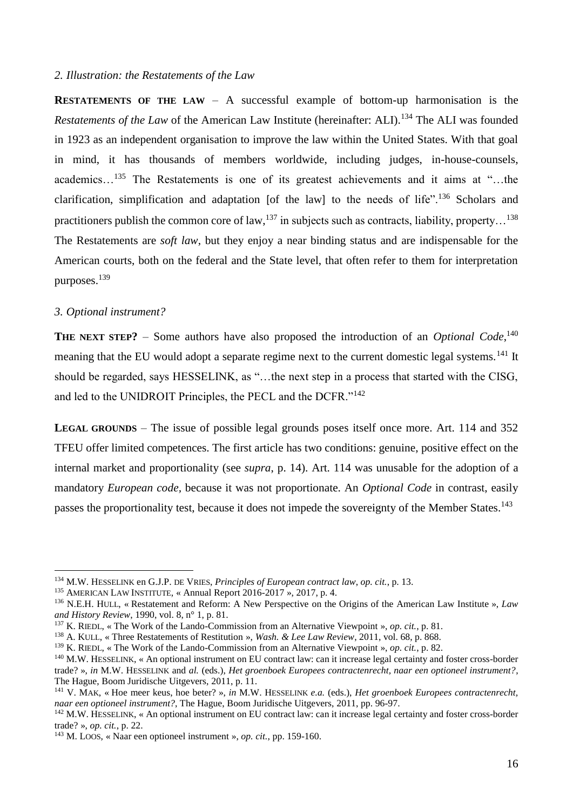#### *2. Illustration: the Restatements of the Law*

**RESTATEMENTS OF THE LAW** – A successful example of bottom-up harmonisation is the *Restatements of the Law* of the American Law Institute (hereinafter: ALI).<sup>134</sup> The ALI was founded in 1923 as an independent organisation to improve the law within the United States. With that goal in mind, it has thousands of members worldwide, including judges, in-house-counsels, academics…<sup>135</sup> The Restatements is one of its greatest achievements and it aims at "…the clarification, simplification and adaptation [of the law] to the needs of life".<sup>136</sup> Scholars and practitioners publish the common core of law,  $^{137}$  in subjects such as contracts, liability, property...<sup>138</sup> The Restatements are *soft law*, but they enjoy a near binding status and are indispensable for the American courts, both on the federal and the State level, that often refer to them for interpretation purposes.<sup>139</sup>

## *3. Optional instrument?*

<u>.</u>

**THE NEXT STEP?** – Some authors have also proposed the introduction of an *Optional Code*,<sup>140</sup> meaning that the EU would adopt a separate regime next to the current domestic legal systems.<sup>141</sup> It should be regarded, says HESSELINK, as "…the next step in a process that started with the CISG, and led to the UNIDROIT Principles, the PECL and the DCFR."<sup>142</sup>

**LEGAL GROUNDS** – The issue of possible legal grounds poses itself once more. Art. 114 and 352 TFEU offer limited competences. The first article has two conditions: genuine, positive effect on the internal market and proportionality (see *supra*, p. 14). Art. 114 was unusable for the adoption of a mandatory *European code,* because it was not proportionate. An *Optional Code* in contrast, easily passes the proportionality test, because it does not impede the sovereignty of the Member States.<sup>143</sup>

<sup>134</sup> M.W. HESSELINK en G.J.P. DE VRIES, *Principles of European contract law*, *op. cit.*, p. 13.

<sup>&</sup>lt;sup>135</sup> AMERICAN LAW INSTITUTE, « Annual Report 2016-2017 », 2017, p. 4.

<sup>136</sup> N.E.H. HULL, « Restatement and Reform: A New Perspective on the Origins of the American Law Institute », *Law and History Review*, 1990, vol. 8, n° 1, p. 81.

<sup>137</sup> K. RIEDL, « The Work of the Lando-Commission from an Alternative Viewpoint », *op. cit.*, p. 81.

<sup>138</sup> A. KULL, « Three Restatements of Restitution », *Wash. & Lee Law Review*, 2011, vol. 68, p. 868.

<sup>139</sup> K. RIEDL, « The Work of the Lando-Commission from an Alternative Viewpoint », *op. cit.*, p. 82.

<sup>140</sup> M.W. HESSELINK, « An optional instrument on EU contract law: can it increase legal certainty and foster cross-border trade? », *in* M.W. HESSELINK and *al.* (eds.), *Het groenboek Europees contractenrecht, naar een optioneel instrument?*, The Hague, Boom Juridische Uitgevers, 2011, p. 11.

<sup>141</sup> V. MAK, « Hoe meer keus, hoe beter? », *in* M.W. HESSELINK *e.a.* (eds.), *Het groenboek Europees contractenrecht, naar een optioneel instrument?*, The Hague, Boom Juridische Uitgevers, 2011, pp. 96-97.

<sup>142</sup> M.W. HESSELINK, « An optional instrument on EU contract law: can it increase legal certainty and foster cross-border trade? », *op. cit.*, p. 22.

<sup>143</sup> M. LOOS, « Naar een optioneel instrument », *op. cit.*, pp. 159-160.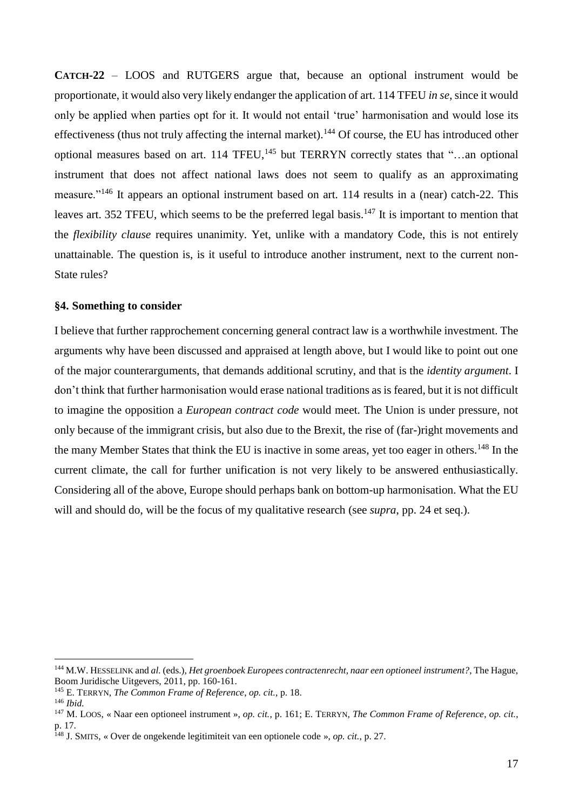**CATCH-22** – LOOS and RUTGERS argue that, because an optional instrument would be proportionate, it would also very likely endanger the application of art. 114 TFEU *in se*, since it would only be applied when parties opt for it. It would not entail 'true' harmonisation and would lose its effectiveness (thus not truly affecting the internal market).<sup>144</sup> Of course, the EU has introduced other optional measures based on art. 114 TFEU,<sup>145</sup> but TERRYN correctly states that "...an optional instrument that does not affect national laws does not seem to qualify as an approximating measure."<sup>146</sup> It appears an optional instrument based on art. 114 results in a (near) catch-22. This leaves art. 352 TFEU, which seems to be the preferred legal basis.<sup>147</sup> It is important to mention that the *flexibility clause* requires unanimity. Yet, unlike with a mandatory Code, this is not entirely unattainable. The question is, is it useful to introduce another instrument, next to the current non-State rules?

#### **§4. Something to consider**

I believe that further rapprochement concerning general contract law is a worthwhile investment. The arguments why have been discussed and appraised at length above, but I would like to point out one of the major counterarguments, that demands additional scrutiny, and that is the *identity argument*. I don't think that further harmonisation would erase national traditions as is feared, but it is not difficult to imagine the opposition a *European contract code* would meet. The Union is under pressure, not only because of the immigrant crisis, but also due to the Brexit, the rise of (far-)right movements and the many Member States that think the EU is inactive in some areas, yet too eager in others.<sup>148</sup> In the current climate, the call for further unification is not very likely to be answered enthusiastically. Considering all of the above, Europe should perhaps bank on bottom-up harmonisation. What the EU will and should do, will be the focus of my qualitative research (see *supra*, pp. 24 et seq.).

<sup>144</sup> M.W. HESSELINK and *al.* (eds.), *Het groenboek Europees contractenrecht, naar een optioneel instrument?*, The Hague, Boom Juridische Uitgevers, 2011, pp. 160-161.

<sup>145</sup> E. TERRYN, *The Common Frame of Reference*, *op. cit.*, p. 18.

<sup>146</sup> *Ibid.*

<sup>147</sup> M. LOOS, « Naar een optioneel instrument », *op. cit.*, p. 161; E. TERRYN, *The Common Frame of Reference*, *op. cit.*, p. 17.

<sup>148</sup> J. SMITS, « Over de ongekende legitimiteit van een optionele code », *op. cit.*, p. 27.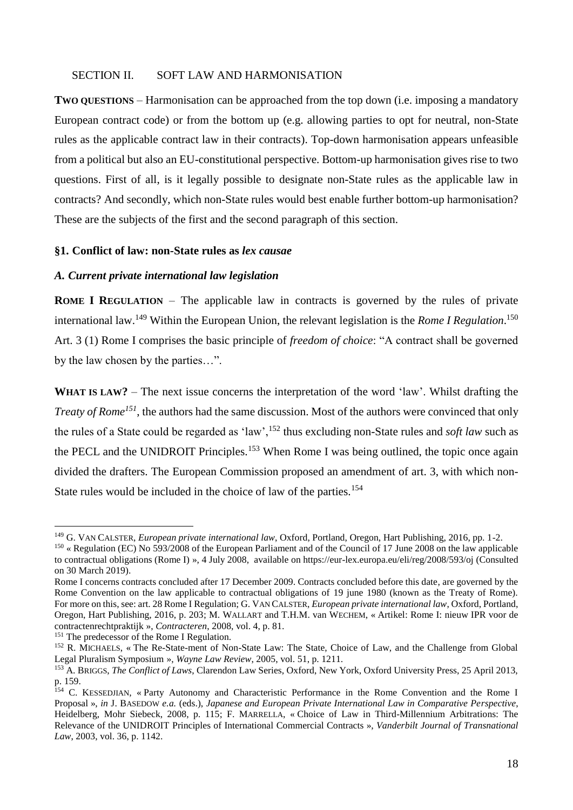#### SECTION II. SOFT LAW AND HARMONISATION

**TWO QUESTIONS** – Harmonisation can be approached from the top down (i.e. imposing a mandatory European contract code) or from the bottom up (e.g. allowing parties to opt for neutral, non-State rules as the applicable contract law in their contracts). Top-down harmonisation appears unfeasible from a political but also an EU-constitutional perspective. Bottom-up harmonisation gives rise to two questions. First of all, is it legally possible to designate non-State rules as the applicable law in contracts? And secondly, which non-State rules would best enable further bottom-up harmonisation? These are the subjects of the first and the second paragraph of this section.

#### **§1. Conflict of law: non-State rules as** *lex causae*

## *A. Current private international law legislation*

**ROME I REGULATION** – The applicable law in contracts is governed by the rules of private international law. <sup>149</sup> Within the European Union, the relevant legislation is the *Rome I Regulation*. 150 Art. 3 (1) Rome I comprises the basic principle of *freedom of choice*: "A contract shall be governed by the law chosen by the parties…".

**WHAT IS LAW?** – The next issue concerns the interpretation of the word 'law'. Whilst drafting the *Treaty of Rome<sup>151</sup>*, the authors had the same discussion. Most of the authors were convinced that only the rules of a State could be regarded as 'law',<sup>152</sup> thus excluding non-State rules and *soft law* such as the PECL and the UNIDROIT Principles.<sup>153</sup> When Rome I was being outlined, the topic once again divided the drafters. The European Commission proposed an amendment of art. 3, with which non-State rules would be included in the choice of law of the parties.<sup>154</sup>

<sup>149</sup> G. VAN CALSTER, *European private international law*, Oxford, Portland, Oregon, Hart Publishing, 2016, pp. 1-2.

<sup>&</sup>lt;sup>150</sup> « Regulation (EC) No 593/2008 of the European Parliament and of the Council of 17 June 2008 on the law applicable to contractual obligations (Rome I) », 4 July 2008, available on https://eur-lex.europa.eu/eli/reg/2008/593/oj (Consulted on 30 March 2019).

Rome I concerns contracts concluded after 17 December 2009. Contracts concluded before this date, are governed by the Rome Convention on the law applicable to contractual obligations of 19 june 1980 (known as the Treaty of Rome). For more on this, see: art. 28 Rome I Regulation; G. VAN CALSTER, *European private international law*, Oxford, Portland, Oregon, Hart Publishing, 2016, p. 203; M. WALLART and T.H.M. van WECHEM, « Artikel: Rome I: nieuw IPR voor de contractenrechtpraktijk », *Contracteren*, 2008, vol. 4, p. 81.

<sup>&</sup>lt;sup>151</sup> The predecessor of the Rome I Regulation.

<sup>&</sup>lt;sup>152</sup> R. MICHAELS, « The Re-State-ment of Non-State Law: The State, Choice of Law, and the Challenge from Global Legal Pluralism Symposium », *Wayne Law Review*, 2005, vol. 51, p. 1211.

<sup>153</sup> A. BRIGGS, *The Conflict of Laws*, Clarendon Law Series, Oxford, New York, Oxford University Press, 25 April 2013, p. 159.

<sup>&</sup>lt;sup>154</sup> C. KESSEDJIAN, «Party Autonomy and Characteristic Performance in the Rome Convention and the Rome I Proposal », *in* J. BASEDOW *e.a.* (eds.), *Japanese and European Private International Law in Comparative Perspective*, Heidelberg, Mohr Siebeck, 2008, p. 115; F. MARRELLA, « Choice of Law in Third-Millennium Arbitrations: The Relevance of the UNIDROIT Principles of International Commercial Contracts », *Vanderbilt Journal of Transnational Law*, 2003, vol. 36, p. 1142.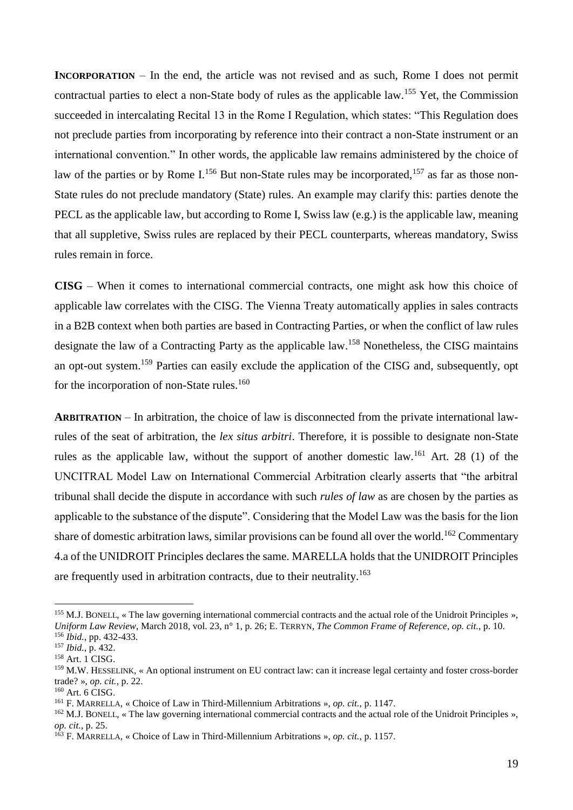**INCORPORATION** – In the end, the article was not revised and as such, Rome I does not permit contractual parties to elect a non-State body of rules as the applicable law.<sup>155</sup> Yet, the Commission succeeded in intercalating Recital 13 in the Rome I Regulation, which states: "This Regulation does not preclude parties from incorporating by reference into their contract a non-State instrument or an international convention." In other words, the applicable law remains administered by the choice of law of the parties or by Rome I.<sup>156</sup> But non-State rules may be incorporated,<sup>157</sup> as far as those non-State rules do not preclude mandatory (State) rules. An example may clarify this: parties denote the PECL as the applicable law, but according to Rome I, Swiss law (e.g.) is the applicable law, meaning that all suppletive, Swiss rules are replaced by their PECL counterparts, whereas mandatory, Swiss rules remain in force.

**CISG** – When it comes to international commercial contracts, one might ask how this choice of applicable law correlates with the CISG. The Vienna Treaty automatically applies in sales contracts in a B2B context when both parties are based in Contracting Parties, or when the conflict of law rules designate the law of a Contracting Party as the applicable law.<sup>158</sup> Nonetheless, the CISG maintains an opt-out system.<sup>159</sup> Parties can easily exclude the application of the CISG and, subsequently, opt for the incorporation of non-State rules.<sup>160</sup>

**ARBITRATION** – In arbitration, the choice of law is disconnected from the private international lawrules of the seat of arbitration, the *lex situs arbitri*. Therefore, it is possible to designate non-State rules as the applicable law, without the support of another domestic law.<sup>161</sup> Art. 28 (1) of the UNCITRAL Model Law on International Commercial Arbitration clearly asserts that "the arbitral tribunal shall decide the dispute in accordance with such *rules of law* as are chosen by the parties as applicable to the substance of the dispute". Considering that the Model Law was the basis for the lion share of domestic arbitration laws, similar provisions can be found all over the world.<sup>162</sup> Commentary 4.a of the UNIDROIT Principles declares the same. MARELLA holds that the UNIDROIT Principles are frequently used in arbitration contracts, due to their neutrality. 163

<sup>&</sup>lt;sup>155</sup> M.J. BONELL, « The law governing international commercial contracts and the actual role of the Unidroit Principles », *Uniform Law Review*, March 2018, vol. 23, n° 1, p. 26; E. TERRYN, *The Common Frame of Reference*, *op. cit.*, p. 10. <sup>156</sup> *Ibid.*, pp. 432-433.

<sup>157</sup> *Ibid.*, p. 432.

 $158$  Art. 1 CISG.

<sup>159</sup> M.W. HESSELINK, « An optional instrument on EU contract law: can it increase legal certainty and foster cross-border trade? », *op. cit.*, p. 22.

 $160$  Art. 6 CISG.

<sup>161</sup> F. MARRELLA, « Choice of Law in Third-Millennium Arbitrations », *op. cit.*, p. 1147.

<sup>&</sup>lt;sup>162</sup> M.J. BONELL, « The law governing international commercial contracts and the actual role of the Unidroit Principles », *op. cit.*, p. 25.

<sup>163</sup> F. MARRELLA, « Choice of Law in Third-Millennium Arbitrations », *op. cit.*, p. 1157.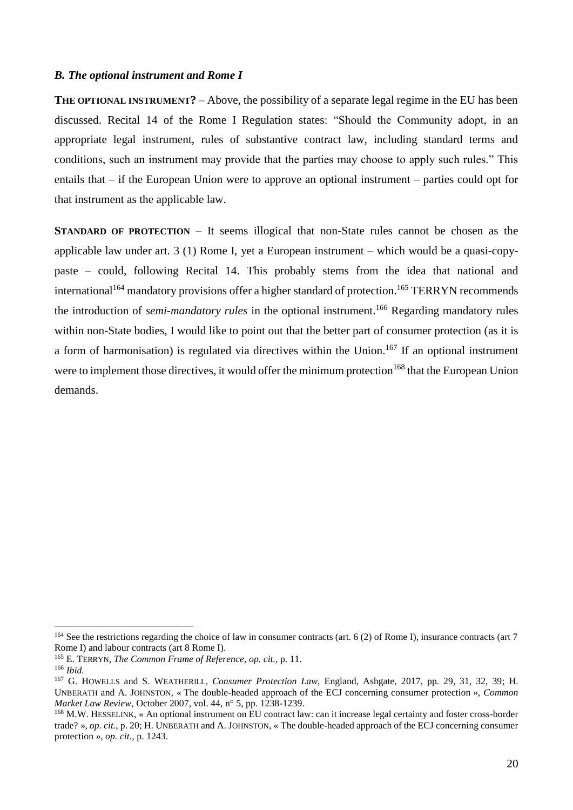## *B. The optional instrument and Rome I*

**THE OPTIONAL INSTRUMENT?** – Above, the possibility of a separate legal regime in the EU has been discussed. Recital 14 of the Rome I Regulation states: "Should the Community adopt, in an appropriate legal instrument, rules of substantive contract law, including standard terms and conditions, such an instrument may provide that the parties may choose to apply such rules." This entails that – if the European Union were to approve an optional instrument – parties could opt for that instrument as the applicable law.

**STANDARD OF PROTECTION** – It seems illogical that non-State rules cannot be chosen as the applicable law under art. 3 (1) Rome I, yet a European instrument – which would be a quasi-copypaste – could, following Recital 14. This probably stems from the idea that national and international<sup>164</sup> mandatory provisions offer a higher standard of protection.<sup>165</sup> TERRYN recommends the introduction of *semi-mandatory rules* in the optional instrument.<sup>166</sup> Regarding mandatory rules within non-State bodies, I would like to point out that the better part of consumer protection (as it is a form of harmonisation) is regulated via directives within the Union.<sup>167</sup> If an optional instrument were to implement those directives, it would offer the minimum protection<sup>168</sup> that the European Union demands.

<sup>&</sup>lt;sup>164</sup> See the restrictions regarding the choice of law in consumer contracts (art. 6 (2) of Rome I), insurance contracts (art 7 Rome I) and labour contracts (art 8 Rome I).

<sup>165</sup> E. TERRYN, *The Common Frame of Reference*, *op. cit.*, p. 11.

<sup>166</sup> *Ibid.*

<sup>167</sup> G. HOWELLS and S. WEATHERILL, *Consumer Protection Law*, England, Ashgate, 2017, pp. 29, 31, 32, 39; H. UNBERATH and A. JOHNSTON, « The double-headed approach of the ECJ concerning consumer protection », *Common Market Law Review*, October 2007, vol. 44, n° 5, pp. 1238-1239.

<sup>168</sup> M.W. HESSELINK, « An optional instrument on EU contract law: can it increase legal certainty and foster cross-border trade? », *op. cit.*, p. 20; H. UNBERATH and A. JOHNSTON, « The double-headed approach of the ECJ concerning consumer protection », *op. cit.*, p. 1243.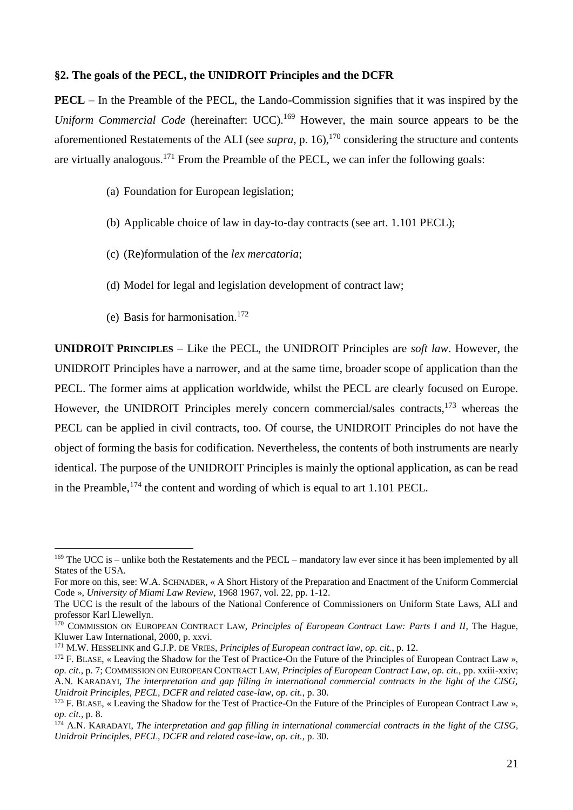#### **§2. The goals of the PECL, the UNIDROIT Principles and the DCFR**

**PECL** – In the Preamble of the PECL, the Lando-Commission signifies that it was inspired by the *Uniform Commercial Code* (hereinafter: UCC).<sup>169</sup> However, the main source appears to be the aforementioned Restatements of the ALI (see *supra*, p. 16),<sup>170</sup> considering the structure and contents are virtually analogous.<sup>171</sup> From the Preamble of the PECL, we can infer the following goals:

- (a) Foundation for European legislation;
- (b) Applicable choice of law in day-to-day contracts (see art. 1.101 PECL);
- (c) (Re)formulation of the *lex mercatoria*;
- (d) Model for legal and legislation development of contract law;
- (e) Basis for harmonisation.<sup>172</sup>

1

**UNIDROIT PRINCIPLES** – Like the PECL, the UNIDROIT Principles are *soft law*. However, the UNIDROIT Principles have a narrower, and at the same time, broader scope of application than the PECL. The former aims at application worldwide, whilst the PECL are clearly focused on Europe. However, the UNIDROIT Principles merely concern commercial/sales contracts, $173$  whereas the PECL can be applied in civil contracts, too. Of course, the UNIDROIT Principles do not have the object of forming the basis for codification. Nevertheless, the contents of both instruments are nearly identical. The purpose of the UNIDROIT Principles is mainly the optional application, as can be read in the Preamble,  $174$  the content and wording of which is equal to art 1.101 PECL.

<sup>&</sup>lt;sup>169</sup> The UCC is – unlike both the Restatements and the PECL – mandatory law ever since it has been implemented by all States of the USA.

For more on this, see: W.A. SCHNADER, « A Short History of the Preparation and Enactment of the Uniform Commercial Code », *University of Miami Law Review*, 1968 1967, vol. 22, pp. 1-12.

The UCC is the result of the labours of the National Conference of Commissioners on Uniform State Laws, ALI and professor Karl Llewellyn.

<sup>170</sup> COMMISSION ON EUROPEAN CONTRACT LAW, *Principles of European Contract Law: Parts I and II*, The Hague, Kluwer Law International, 2000, p. xxvi.

<sup>171</sup> M.W. HESSELINK and G.J.P. DE VRIES, *Principles of European contract law*, *op. cit.*, p. 12.

 $172$  F. BLASE, « Leaving the Shadow for the Test of Practice-On the Future of the Principles of European Contract Law ». *op. cit.*, p. 7; COMMISSION ON EUROPEAN CONTRACT LAW, *Principles of European Contract Law*, *op. cit.*, pp. xxiii-xxiv; A.N. KARADAYI, *The interpretation and gap filling in international commercial contracts in the light of the CISG, Unidroit Principles, PECL, DCFR and related case-law*, *op. cit.*, p. 30.

<sup>173</sup> F. BLASE, « Leaving the Shadow for the Test of Practice-On the Future of the Principles of European Contract Law », *op. cit.*, p. 8.

<sup>&</sup>lt;sup>174</sup> A.N. KARADAYI, *The interpretation and gap filling in international commercial contracts in the light of the CISG*, *Unidroit Principles, PECL, DCFR and related case-law*, *op. cit.*, p. 30.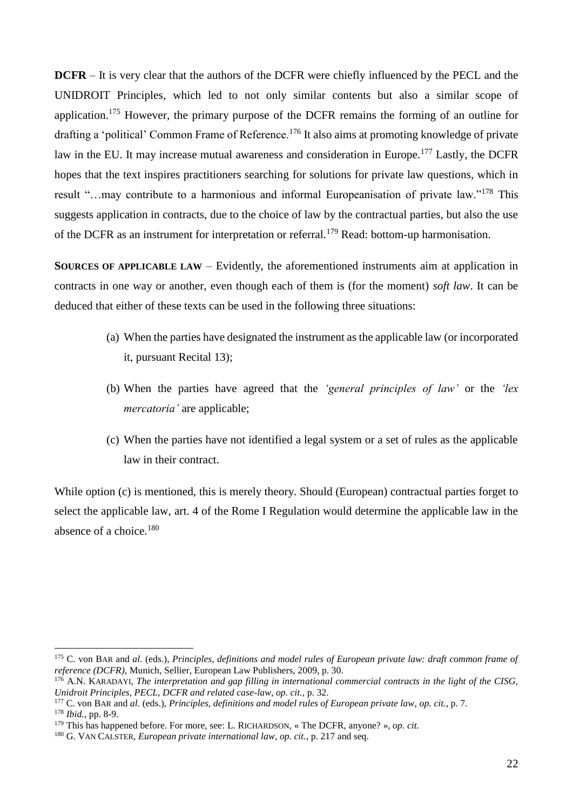**DCFR** – It is very clear that the authors of the DCFR were chiefly influenced by the PECL and the UNIDROIT Principles, which led to not only similar contents but also a similar scope of application.<sup>175</sup> However, the primary purpose of the DCFR remains the forming of an outline for drafting a 'political' Common Frame of Reference.<sup>176</sup> It also aims at promoting knowledge of private law in the EU. It may increase mutual awareness and consideration in Europe.<sup>177</sup> Lastly, the DCFR hopes that the text inspires practitioners searching for solutions for private law questions, which in result "…may contribute to a harmonious and informal Europeanisation of private law."<sup>178</sup> This suggests application in contracts, due to the choice of law by the contractual parties, but also the use of the DCFR as an instrument for interpretation or referral.<sup>179</sup> Read: bottom-up harmonisation.

**SOURCES OF APPLICABLE LAW** – Evidently, the aforementioned instruments aim at application in contracts in one way or another, even though each of them is (for the moment) *soft law*. It can be deduced that either of these texts can be used in the following three situations:

- (a) When the parties have designated the instrument as the applicable law (or incorporated it, pursuant Recital 13);
- (b) When the parties have agreed that the *'general principles of law'* or the *'lex mercatoria'* are applicable;
- (c) When the parties have not identified a legal system or a set of rules as the applicable law in their contract.

While option (c) is mentioned, this is merely theory. Should (European) contractual parties forget to select the applicable law, art. 4 of the Rome I Regulation would determine the applicable law in the absence of a choice.<sup>180</sup>

<sup>175</sup> C. von BAR and *al.* (eds.), *Principles, definitions and model rules of European private law: draft common frame of reference (DCFR)*, Munich, Sellier, European Law Publishers, 2009, p. 30.

<sup>&</sup>lt;sup>176</sup> A.N. KARADAYI, *The interpretation and gap filling in international commercial contracts in the light of the CISG*, *Unidroit Principles, PECL, DCFR and related case-law*, *op. cit.*, p. 32.

<sup>177</sup> C. von BAR and *al.* (eds.), *Principles, definitions and model rules of European private law*, *op. cit.*, p. 7. <sup>178</sup> *Ibid.*, pp. 8-9.

<sup>179</sup> This has happened before. For more, see: L. RICHARDSON, « The DCFR, anyone? », *op. cit.*

<sup>180</sup> G. VAN CALSTER, *European private international law*, *op. cit.*, p. 217 and seq.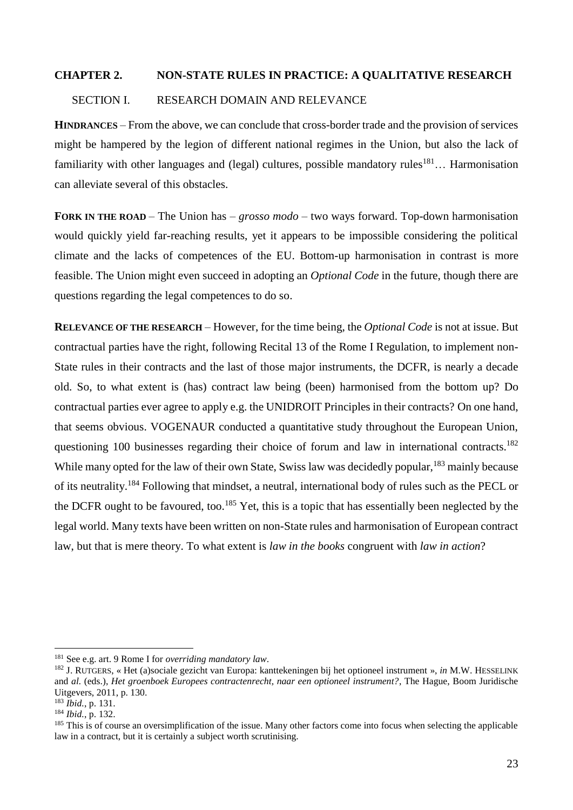## **CHAPTER 2. NON-STATE RULES IN PRACTICE: A QUALITATIVE RESEARCH**

## SECTION I. RESEARCH DOMAIN AND RELEVANCE

**HINDRANCES** – From the above, we can conclude that cross-border trade and the provision of services might be hampered by the legion of different national regimes in the Union, but also the lack of familiarity with other languages and (legal) cultures, possible mandatory rules<sup>181</sup>... Harmonisation can alleviate several of this obstacles.

**FORK IN THE ROAD** – The Union has – *grosso modo* – two ways forward. Top-down harmonisation would quickly yield far-reaching results, yet it appears to be impossible considering the political climate and the lacks of competences of the EU. Bottom-up harmonisation in contrast is more feasible. The Union might even succeed in adopting an *Optional Code* in the future, though there are questions regarding the legal competences to do so.

**RELEVANCE OF THE RESEARCH** – However, for the time being, the *Optional Code* is not at issue. But contractual parties have the right, following Recital 13 of the Rome I Regulation, to implement non-State rules in their contracts and the last of those major instruments, the DCFR, is nearly a decade old. So, to what extent is (has) contract law being (been) harmonised from the bottom up? Do contractual parties ever agree to apply e.g. the UNIDROIT Principles in their contracts? On one hand, that seems obvious. VOGENAUR conducted a quantitative study throughout the European Union, questioning 100 businesses regarding their choice of forum and law in international contracts.<sup>182</sup> While many opted for the law of their own State, Swiss law was decidedly popular, <sup>183</sup> mainly because of its neutrality.<sup>184</sup> Following that mindset, a neutral, international body of rules such as the PECL or the DCFR ought to be favoured, too.<sup>185</sup> Yet, this is a topic that has essentially been neglected by the legal world. Many texts have been written on non-State rules and harmonisation of European contract law, but that is mere theory. To what extent is *law in the books* congruent with *law in action*?

<sup>181</sup> See e.g. art. 9 Rome I for *overriding mandatory law*.

<sup>182</sup> J. RUTGERS, « Het (a)sociale gezicht van Europa: kanttekeningen bij het optioneel instrument », *in* M.W. HESSELINK and *al.* (eds.), *Het groenboek Europees contractenrecht, naar een optioneel instrument?*, The Hague, Boom Juridische Uitgevers, 2011, p. 130.

<sup>183</sup> *Ibid.*, p. 131.

<sup>184</sup> *Ibid.*, p. 132.

 $185$  This is of course an oversimplification of the issue. Many other factors come into focus when selecting the applicable law in a contract, but it is certainly a subject worth scrutinising.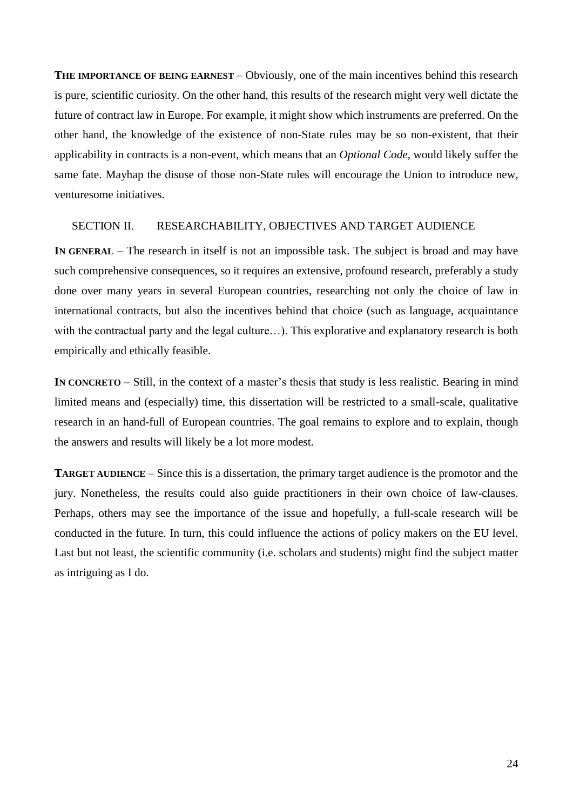**THE IMPORTANCE OF BEING EARNEST – Obviously, one of the main incentives behind this research** is pure, scientific curiosity. On the other hand, this results of the research might very well dictate the future of contract law in Europe. For example, it might show which instruments are preferred. On the other hand, the knowledge of the existence of non-State rules may be so non-existent, that their applicability in contracts is a non-event, which means that an *Optional Code*, would likely suffer the same fate. Mayhap the disuse of those non-State rules will encourage the Union to introduce new, venturesome initiatives.

## SECTION II. RESEARCHABILITY, OBJECTIVES AND TARGET AUDIENCE

**IN GENERAL** – The research in itself is not an impossible task. The subject is broad and may have such comprehensive consequences, so it requires an extensive, profound research, preferably a study done over many years in several European countries, researching not only the choice of law in international contracts, but also the incentives behind that choice (such as language, acquaintance with the contractual party and the legal culture...). This explorative and explanatory research is both empirically and ethically feasible.

**IN CONCRETO** – Still, in the context of a master's thesis that study is less realistic. Bearing in mind limited means and (especially) time, this dissertation will be restricted to a small-scale, qualitative research in an hand-full of European countries. The goal remains to explore and to explain, though the answers and results will likely be a lot more modest.

**TARGET AUDIENCE** – Since this is a dissertation, the primary target audience is the promotor and the jury. Nonetheless, the results could also guide practitioners in their own choice of law-clauses. Perhaps, others may see the importance of the issue and hopefully, a full-scale research will be conducted in the future. In turn, this could influence the actions of policy makers on the EU level. Last but not least, the scientific community (i.e. scholars and students) might find the subject matter as intriguing as I do.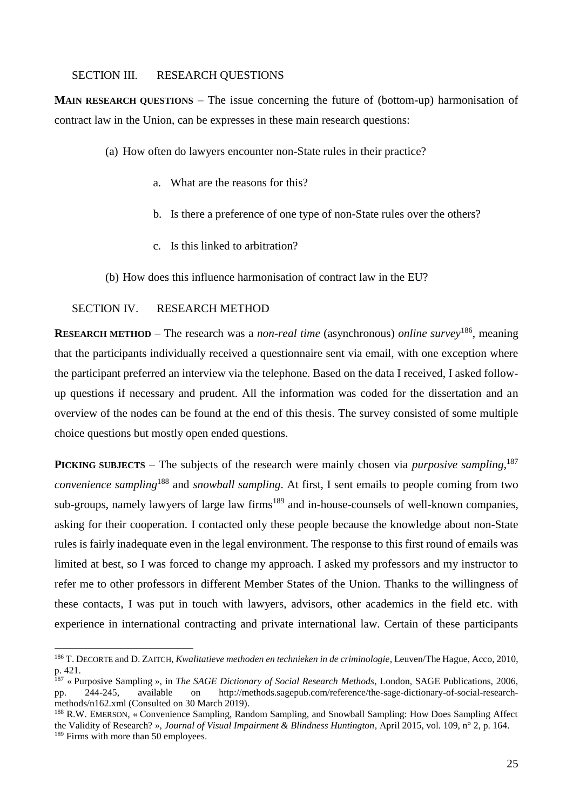## SECTION III. RESEARCH QUESTIONS

**MAIN RESEARCH QUESTIONS** – The issue concerning the future of (bottom-up) harmonisation of contract law in the Union, can be expresses in these main research questions:

- (a) How often do lawyers encounter non-State rules in their practice?
	- a. What are the reasons for this?
	- b. Is there a preference of one type of non-State rules over the others?
	- c. Is this linked to arbitration?
- (b) How does this influence harmonisation of contract law in the EU?

## SECTION IV. RESEARCH METHOD

1

**RESEARCH METHOD** – The research was a *non-real time* (asynchronous) *online survey*<sup>186</sup>, meaning that the participants individually received a questionnaire sent via email, with one exception where the participant preferred an interview via the telephone. Based on the data I received, I asked followup questions if necessary and prudent. All the information was coded for the dissertation and an overview of the nodes can be found at the end of this thesis. The survey consisted of some multiple choice questions but mostly open ended questions.

**PICKING SUBJECTS** – The subjects of the research were mainly chosen via *purposive sampling*,<sup>187</sup> *convenience sampling*<sup>188</sup> and *snowball sampling*. At first, I sent emails to people coming from two sub-groups, namely lawyers of large law firms<sup>189</sup> and in-house-counsels of well-known companies, asking for their cooperation. I contacted only these people because the knowledge about non-State rules is fairly inadequate even in the legal environment. The response to this first round of emails was limited at best, so I was forced to change my approach. I asked my professors and my instructor to refer me to other professors in different Member States of the Union. Thanks to the willingness of these contacts, I was put in touch with lawyers, advisors, other academics in the field etc. with experience in international contracting and private international law. Certain of these participants

<sup>186</sup> T. DECORTE and D. ZAITCH, *Kwalitatieve methoden en technieken in de criminologie*, Leuven/The Hague, Acco, 2010, p. 421.

<sup>187</sup> « Purposive Sampling », in *The SAGE Dictionary of Social Research Methods*, London, SAGE Publications, 2006, pp. 244-245, available on http://methods.sagepub.com/reference/the-sage-dictionary-of-social-researchmethods/n162.xml (Consulted on 30 March 2019).

<sup>188</sup> R.W. EMERSON, « Convenience Sampling, Random Sampling, and Snowball Sampling: How Does Sampling Affect the Validity of Research? », *Journal of Visual Impairment & Blindness Huntington*, April 2015, vol. 109, n° 2, p. 164. <sup>189</sup> Firms with more than 50 employees.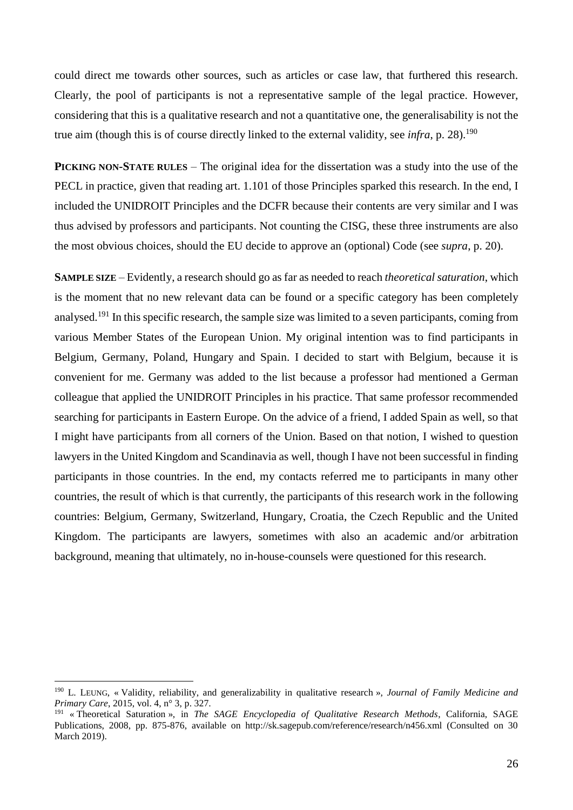could direct me towards other sources, such as articles or case law, that furthered this research. Clearly, the pool of participants is not a representative sample of the legal practice. However, considering that this is a qualitative research and not a quantitative one, the generalisability is not the true aim (though this is of course directly linked to the external validity, see *infra*, p. 28). 190

**PICKING NON-STATE RULES** – The original idea for the dissertation was a study into the use of the PECL in practice, given that reading art. 1.101 of those Principles sparked this research. In the end, I included the UNIDROIT Principles and the DCFR because their contents are very similar and I was thus advised by professors and participants. Not counting the CISG, these three instruments are also the most obvious choices, should the EU decide to approve an (optional) Code (see *supra*, p. 20).

**SAMPLE SIZE** – Evidently, a research should go as far as needed to reach *theoretical saturation*, which is the moment that no new relevant data can be found or a specific category has been completely analysed.<sup>191</sup> In this specific research, the sample size was limited to a seven participants, coming from various Member States of the European Union. My original intention was to find participants in Belgium, Germany, Poland, Hungary and Spain. I decided to start with Belgium, because it is convenient for me. Germany was added to the list because a professor had mentioned a German colleague that applied the UNIDROIT Principles in his practice. That same professor recommended searching for participants in Eastern Europe. On the advice of a friend, I added Spain as well, so that I might have participants from all corners of the Union. Based on that notion, I wished to question lawyers in the United Kingdom and Scandinavia as well, though I have not been successful in finding participants in those countries. In the end, my contacts referred me to participants in many other countries, the result of which is that currently, the participants of this research work in the following countries: Belgium, Germany, Switzerland, Hungary, Croatia, the Czech Republic and the United Kingdom. The participants are lawyers, sometimes with also an academic and/or arbitration background, meaning that ultimately, no in-house-counsels were questioned for this research.

<sup>190</sup> L. LEUNG, « Validity, reliability, and generalizability in qualitative research », *Journal of Family Medicine and Primary Care*, 2015, vol. 4, n° 3, p. 327.

<sup>191</sup> « Theoretical Saturation », in *The SAGE Encyclopedia of Qualitative Research Methods*, California, SAGE Publications, 2008, pp. 875-876, available on http://sk.sagepub.com/reference/research/n456.xml (Consulted on 30 March 2019).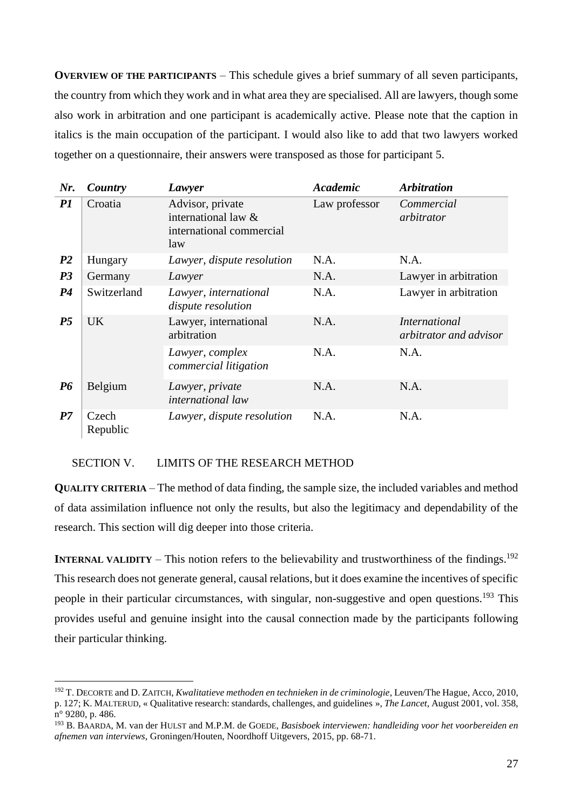**OVERVIEW OF THE PARTICIPANTS** – This schedule gives a brief summary of all seven participants, the country from which they work and in what area they are specialised. All are lawyers, though some also work in arbitration and one participant is academically active. Please note that the caption in italics is the main occupation of the participant. I would also like to add that two lawyers worked together on a questionnaire, their answers were transposed as those for participant 5.

| Nr.            | Country           | Lawyer                                                                     | <b>Academic</b> | <b>Arbitration</b>                             |
|----------------|-------------------|----------------------------------------------------------------------------|-----------------|------------------------------------------------|
| PI             | Croatia           | Advisor, private<br>international law &<br>international commercial<br>law | Law professor   | Commercial<br>arbitrator                       |
| P <sub>2</sub> | Hungary           | Lawyer, dispute resolution                                                 | N.A.            | N.A.                                           |
| P <sub>3</sub> | Germany           | Lawyer                                                                     | N.A.            | Lawyer in arbitration                          |
| P <sub>4</sub> | Switzerland       | Lawyer, international<br>dispute resolution                                | N.A.            | Lawyer in arbitration                          |
| P <sub>5</sub> | <b>UK</b>         | Lawyer, international<br>arbitration                                       | N.A.            | <i>International</i><br>arbitrator and advisor |
|                |                   | Lawyer, complex<br>commercial litigation                                   | N.A.            | N.A.                                           |
| <b>P6</b>      | Belgium           | Lawyer, private<br><i>international law</i>                                | N.A.            | N.A.                                           |
| P7             | Czech<br>Republic | Lawyer, dispute resolution                                                 | N.A.            | N.A.                                           |

## SECTION V. LIMITS OF THE RESEARCH METHOD

1

**QUALITY CRITERIA** – The method of data finding, the sample size, the included variables and method of data assimilation influence not only the results, but also the legitimacy and dependability of the research. This section will dig deeper into those criteria.

**INTERNAL VALIDITY** – This notion refers to the believability and trustworthiness of the findings.<sup>192</sup> This research does not generate general, causal relations, but it does examine the incentives of specific people in their particular circumstances, with singular, non-suggestive and open questions.<sup>193</sup> This provides useful and genuine insight into the causal connection made by the participants following their particular thinking.

<sup>192</sup> T. DECORTE and D. ZAITCH, *Kwalitatieve methoden en technieken in de criminologie*, Leuven/The Hague, Acco, 2010, p. 127; K. MALTERUD, « Qualitative research: standards, challenges, and guidelines », *The Lancet*, August 2001, vol. 358, n° 9280, p. 486.

<sup>193</sup> B. BAARDA, M. van der HULST and M.P.M. de GOEDE, *Basisboek interviewen: handleiding voor het voorbereiden en afnemen van interviews*, Groningen/Houten, Noordhoff Uitgevers, 2015, pp. 68-71.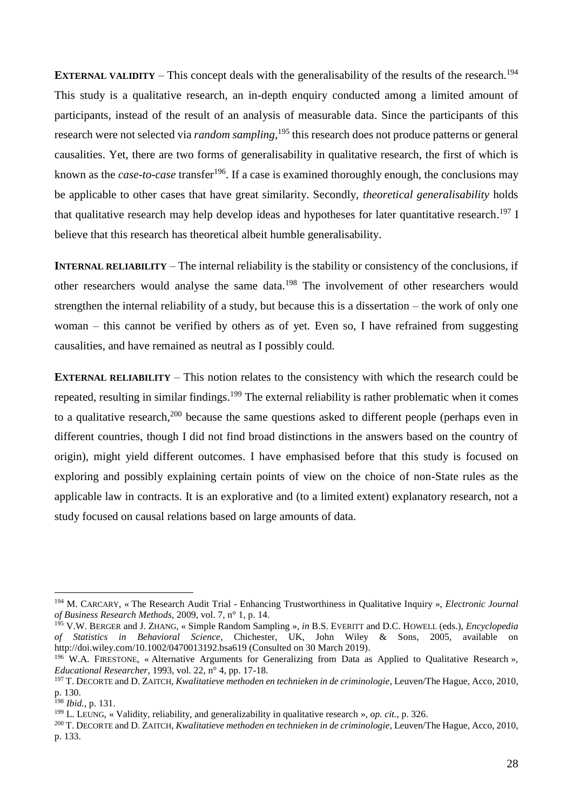**EXTERNAL VALIDITY** – This concept deals with the generalisability of the results of the research.<sup>194</sup> This study is a qualitative research, an in-depth enquiry conducted among a limited amount of participants, instead of the result of an analysis of measurable data. Since the participants of this research were not selected via *random sampling*, <sup>195</sup> this research does not produce patterns or general causalities. Yet, there are two forms of generalisability in qualitative research, the first of which is known as the *case-to-case* transfer<sup>196</sup>. If a case is examined thoroughly enough, the conclusions may be applicable to other cases that have great similarity. Secondly, *theoretical generalisability* holds that qualitative research may help develop ideas and hypotheses for later quantitative research.<sup>197</sup> I believe that this research has theoretical albeit humble generalisability.

**INTERNAL RELIABILITY** – The internal reliability is the stability or consistency of the conclusions, if other researchers would analyse the same data.<sup>198</sup> The involvement of other researchers would strengthen the internal reliability of a study, but because this is a dissertation – the work of only one woman – this cannot be verified by others as of yet. Even so, I have refrained from suggesting causalities, and have remained as neutral as I possibly could.

**EXTERNAL RELIABILITY** – This notion relates to the consistency with which the research could be repeated, resulting in similar findings.<sup>199</sup> The external reliability is rather problematic when it comes to a qualitative research,<sup>200</sup> because the same questions asked to different people (perhaps even in different countries, though I did not find broad distinctions in the answers based on the country of origin), might yield different outcomes. I have emphasised before that this study is focused on exploring and possibly explaining certain points of view on the choice of non-State rules as the applicable law in contracts. It is an explorative and (to a limited extent) explanatory research, not a study focused on causal relations based on large amounts of data.

<sup>194</sup> M. CARCARY, « The Research Audit Trial - Enhancing Trustworthiness in Qualitative Inquiry », *Electronic Journal of Business Research Methods*, 2009, vol. 7, n° 1, p. 14.

<sup>195</sup> V.W. BERGER and J. ZHANG, « Simple Random Sampling », *in* B.S. EVERITT and D.C. HOWELL (eds.), *Encyclopedia of Statistics in Behavioral Science*, Chichester, UK, John Wiley & Sons, 2005, available on http://doi.wiley.com/10.1002/0470013192.bsa619 (Consulted on 30 March 2019).

<sup>&</sup>lt;sup>196</sup> W.A. FIRESTONE, « Alternative Arguments for Generalizing from Data as Applied to Oualitative Research ». *Educational Researcher*, 1993, vol. 22, n° 4, pp. 17-18.

<sup>197</sup> T. DECORTE and D. ZAITCH, *Kwalitatieve methoden en technieken in de criminologie*, Leuven/The Hague, Acco, 2010, p. 130.

<sup>198</sup> *Ibid.*, p. 131.

<sup>199</sup> L. LEUNG, « Validity, reliability, and generalizability in qualitative research », *op. cit.*, p. 326.

<sup>200</sup> T. DECORTE and D. ZAITCH, *Kwalitatieve methoden en technieken in de criminologie*, Leuven/The Hague, Acco, 2010, p. 133.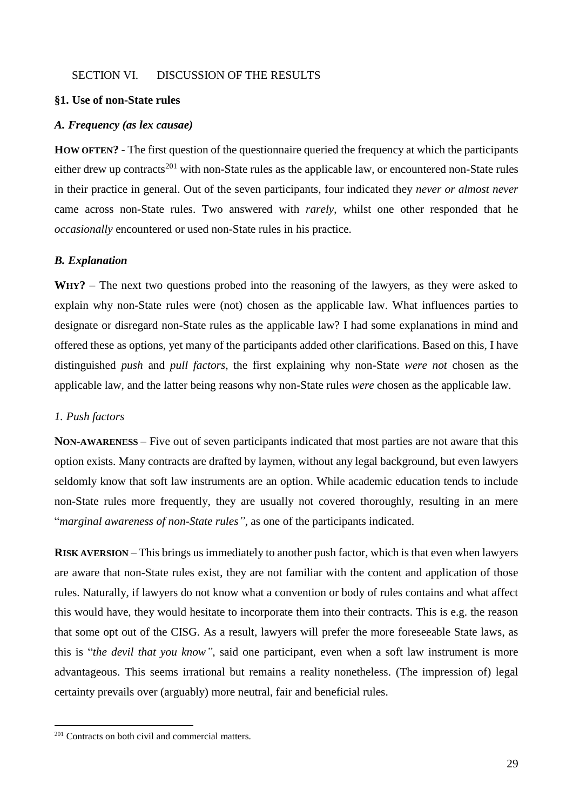#### SECTION VI. DISCUSSION OF THE RESULTS

## **§1. Use of non-State rules**

### *A. Frequency (as lex causae)*

**HOW OFTEN?** - The first question of the questionnaire queried the frequency at which the participants either drew up contracts<sup>201</sup> with non-State rules as the applicable law, or encountered non-State rules in their practice in general. Out of the seven participants, four indicated they *never or almost never* came across non-State rules. Two answered with *rarely*, whilst one other responded that he *occasionally* encountered or used non-State rules in his practice.

#### *B. Explanation*

**WHY?** – The next two questions probed into the reasoning of the lawyers, as they were asked to explain why non-State rules were (not) chosen as the applicable law. What influences parties to designate or disregard non-State rules as the applicable law? I had some explanations in mind and offered these as options, yet many of the participants added other clarifications. Based on this, I have distinguished *push* and *pull factors*, the first explaining why non-State *were not* chosen as the applicable law, and the latter being reasons why non-State rules *were* chosen as the applicable law.

## *1. Push factors*

1

**NON-AWARENESS** – Five out of seven participants indicated that most parties are not aware that this option exists. Many contracts are drafted by laymen, without any legal background, but even lawyers seldomly know that soft law instruments are an option. While academic education tends to include non-State rules more frequently, they are usually not covered thoroughly, resulting in an mere "*marginal awareness of non-State rules"*, as one of the participants indicated.

**RISK AVERSION** – This brings us immediately to another push factor, which is that even when lawyers are aware that non-State rules exist, they are not familiar with the content and application of those rules. Naturally, if lawyers do not know what a convention or body of rules contains and what affect this would have, they would hesitate to incorporate them into their contracts. This is e.g. the reason that some opt out of the CISG. As a result, lawyers will prefer the more foreseeable State laws, as this is "*the devil that you know"*, said one participant, even when a soft law instrument is more advantageous. This seems irrational but remains a reality nonetheless. (The impression of) legal certainty prevails over (arguably) more neutral, fair and beneficial rules.

<sup>&</sup>lt;sup>201</sup> Contracts on both civil and commercial matters.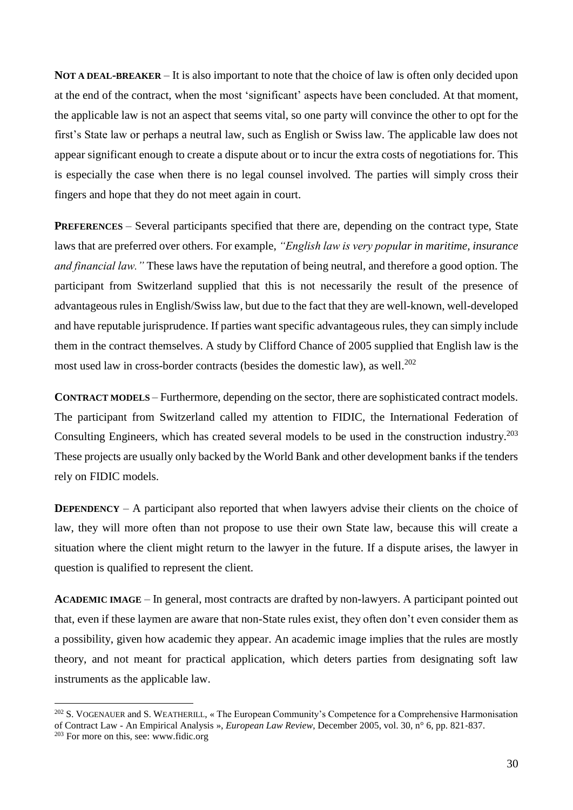**NOT A DEAL-BREAKER** – It is also important to note that the choice of law is often only decided upon at the end of the contract, when the most 'significant' aspects have been concluded. At that moment, the applicable law is not an aspect that seems vital, so one party will convince the other to opt for the first's State law or perhaps a neutral law, such as English or Swiss law. The applicable law does not appear significant enough to create a dispute about or to incur the extra costs of negotiations for. This is especially the case when there is no legal counsel involved. The parties will simply cross their fingers and hope that they do not meet again in court.

**PREFERENCES** – Several participants specified that there are, depending on the contract type, State laws that are preferred over others. For example, *"English law is very popular in maritime, insurance and financial law."* These laws have the reputation of being neutral, and therefore a good option. The participant from Switzerland supplied that this is not necessarily the result of the presence of advantageous rules in English/Swiss law, but due to the fact that they are well-known, well-developed and have reputable jurisprudence. If parties want specific advantageous rules, they can simply include them in the contract themselves. A study by Clifford Chance of 2005 supplied that English law is the most used law in cross-border contracts (besides the domestic law), as well.<sup>202</sup>

**CONTRACT MODELS** – Furthermore, depending on the sector, there are sophisticated contract models. The participant from Switzerland called my attention to FIDIC, the International Federation of Consulting Engineers, which has created several models to be used in the construction industry. 203 These projects are usually only backed by the World Bank and other development banks if the tenders rely on FIDIC models.

**DEPENDENCY** – A participant also reported that when lawyers advise their clients on the choice of law, they will more often than not propose to use their own State law, because this will create a situation where the client might return to the lawyer in the future. If a dispute arises, the lawyer in question is qualified to represent the client.

**ACADEMIC IMAGE** – In general, most contracts are drafted by non-lawyers. A participant pointed out that, even if these laymen are aware that non-State rules exist, they often don't even consider them as a possibility, given how academic they appear. An academic image implies that the rules are mostly theory, and not meant for practical application, which deters parties from designating soft law instruments as the applicable law.

<sup>&</sup>lt;sup>202</sup> S. VOGENAUER and S. WEATHERILL, « The European Community's Competence for a Comprehensive Harmonisation of Contract Law - An Empirical Analysis », *European Law Review*, December 2005, vol. 30, n° 6, pp. 821‑837.

<sup>&</sup>lt;sup>203</sup> For more on this, see: www.fidic.org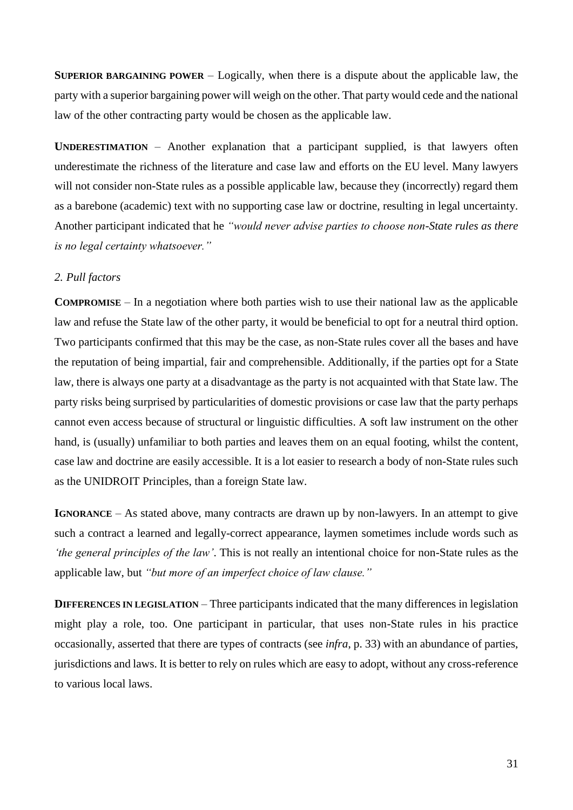**SUPERIOR BARGAINING POWER** – Logically, when there is a dispute about the applicable law, the party with a superior bargaining power will weigh on the other. That party would cede and the national law of the other contracting party would be chosen as the applicable law.

**UNDERESTIMATION** – Another explanation that a participant supplied, is that lawyers often underestimate the richness of the literature and case law and efforts on the EU level. Many lawyers will not consider non-State rules as a possible applicable law, because they (incorrectly) regard them as a barebone (academic) text with no supporting case law or doctrine, resulting in legal uncertainty. Another participant indicated that he *"would never advise parties to choose non-State rules as there is no legal certainty whatsoever."*

## *2. Pull factors*

**COMPROMISE** – In a negotiation where both parties wish to use their national law as the applicable law and refuse the State law of the other party, it would be beneficial to opt for a neutral third option. Two participants confirmed that this may be the case, as non-State rules cover all the bases and have the reputation of being impartial, fair and comprehensible. Additionally, if the parties opt for a State law, there is always one party at a disadvantage as the party is not acquainted with that State law. The party risks being surprised by particularities of domestic provisions or case law that the party perhaps cannot even access because of structural or linguistic difficulties. A soft law instrument on the other hand, is (usually) unfamiliar to both parties and leaves them on an equal footing, whilst the content, case law and doctrine are easily accessible. It is a lot easier to research a body of non-State rules such as the UNIDROIT Principles, than a foreign State law.

**IGNORANCE** – As stated above, many contracts are drawn up by non-lawyers. In an attempt to give such a contract a learned and legally-correct appearance, laymen sometimes include words such as *'the general principles of the law'*. This is not really an intentional choice for non-State rules as the applicable law, but *"but more of an imperfect choice of law clause."*

**DIFFERENCES IN LEGISLATION – Three participants indicated that the many differences in legislation** might play a role, too. One participant in particular, that uses non-State rules in his practice occasionally, asserted that there are types of contracts (see *infra*, p. 33) with an abundance of parties, jurisdictions and laws. It is better to rely on rules which are easy to adopt, without any cross-reference to various local laws.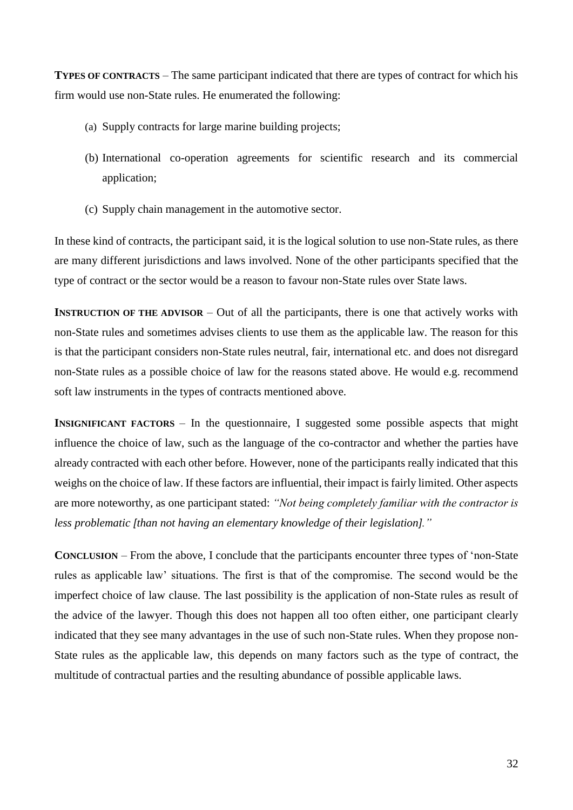**TYPES OF CONTRACTS** – The same participant indicated that there are types of contract for which his firm would use non-State rules. He enumerated the following:

- (a) Supply contracts for large marine building projects;
- (b) International co-operation agreements for scientific research and its commercial application;
- (c) Supply chain management in the automotive sector.

In these kind of contracts, the participant said, it is the logical solution to use non-State rules, as there are many different jurisdictions and laws involved. None of the other participants specified that the type of contract or the sector would be a reason to favour non-State rules over State laws.

**INSTRUCTION OF THE ADVISOR** – Out of all the participants, there is one that actively works with non-State rules and sometimes advises clients to use them as the applicable law. The reason for this is that the participant considers non-State rules neutral, fair, international etc. and does not disregard non-State rules as a possible choice of law for the reasons stated above. He would e.g. recommend soft law instruments in the types of contracts mentioned above.

**INSIGNIFICANT FACTORS** – In the questionnaire, I suggested some possible aspects that might influence the choice of law, such as the language of the co-contractor and whether the parties have already contracted with each other before. However, none of the participants really indicated that this weighs on the choice of law. If these factors are influential, their impact is fairly limited. Other aspects are more noteworthy, as one participant stated: *"Not being completely familiar with the contractor is less problematic [than not having an elementary knowledge of their legislation]."*

**CONCLUSION** – From the above, I conclude that the participants encounter three types of 'non-State rules as applicable law' situations. The first is that of the compromise. The second would be the imperfect choice of law clause. The last possibility is the application of non-State rules as result of the advice of the lawyer. Though this does not happen all too often either, one participant clearly indicated that they see many advantages in the use of such non-State rules. When they propose non-State rules as the applicable law, this depends on many factors such as the type of contract, the multitude of contractual parties and the resulting abundance of possible applicable laws.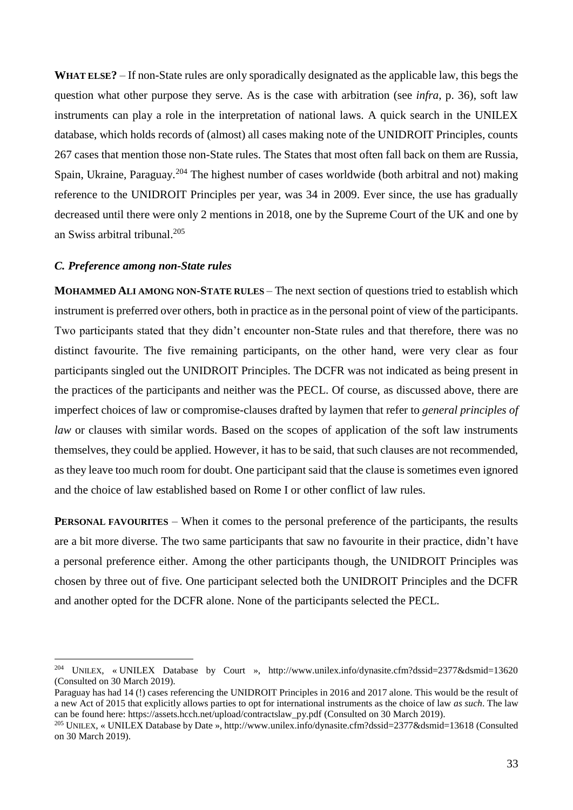**WHAT ELSE?** – If non-State rules are only sporadically designated as the applicable law, this begs the question what other purpose they serve. As is the case with arbitration (see *infra*, p. 36), soft law instruments can play a role in the interpretation of national laws. A quick search in the UNILEX database, which holds records of (almost) all cases making note of the UNIDROIT Principles, counts 267 cases that mention those non-State rules. The States that most often fall back on them are Russia, Spain, Ukraine, Paraguay.<sup>204</sup> The highest number of cases worldwide (both arbitral and not) making reference to the UNIDROIT Principles per year, was 34 in 2009. Ever since, the use has gradually decreased until there were only 2 mentions in 2018, one by the Supreme Court of the UK and one by an Swiss arbitral tribunal.<sup>205</sup>

## *C. Preference among non-State rules*

1

**MOHAMMED ALI AMONG NON-STATE RULES** – The next section of questions tried to establish which instrument is preferred over others, both in practice as in the personal point of view of the participants. Two participants stated that they didn't encounter non-State rules and that therefore, there was no distinct favourite. The five remaining participants, on the other hand, were very clear as four participants singled out the UNIDROIT Principles. The DCFR was not indicated as being present in the practices of the participants and neither was the PECL. Of course, as discussed above, there are imperfect choices of law or compromise-clauses drafted by laymen that refer to *general principles of law* or clauses with similar words. Based on the scopes of application of the soft law instruments themselves, they could be applied. However, it has to be said, that such clauses are not recommended, as they leave too much room for doubt. One participant said that the clause is sometimes even ignored and the choice of law established based on Rome I or other conflict of law rules.

**PERSONAL FAVOURITES** – When it comes to the personal preference of the participants, the results are a bit more diverse. The two same participants that saw no favourite in their practice, didn't have a personal preference either. Among the other participants though, the UNIDROIT Principles was chosen by three out of five. One participant selected both the UNIDROIT Principles and the DCFR and another opted for the DCFR alone. None of the participants selected the PECL.

<sup>204</sup> UNILEX, « UNILEX Database by Court », http://www.unilex.info/dynasite.cfm?dssid=2377&dsmid=13620 (Consulted on 30 March 2019).

Paraguay has had 14 (!) cases referencing the UNIDROIT Principles in 2016 and 2017 alone. This would be the result of a new Act of 2015 that explicitly allows parties to opt for international instruments as the choice of law *as such*. The law can be found here: https://assets.hcch.net/upload/contractslaw\_py.pdf (Consulted on 30 March 2019).

<sup>205</sup> UNILEX, « UNILEX Database by Date », http://www.unilex.info/dynasite.cfm?dssid=2377&dsmid=13618 (Consulted on 30 March 2019).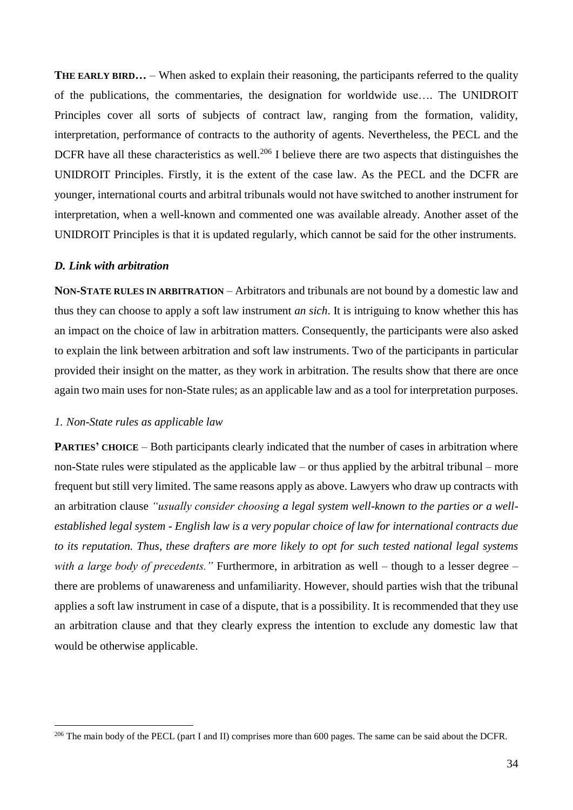**THE EARLY BIRD...** – When asked to explain their reasoning, the participants referred to the quality of the publications, the commentaries, the designation for worldwide use…. The UNIDROIT Principles cover all sorts of subjects of contract law, ranging from the formation, validity, interpretation, performance of contracts to the authority of agents. Nevertheless, the PECL and the DCFR have all these characteristics as well.<sup>206</sup> I believe there are two aspects that distinguishes the UNIDROIT Principles. Firstly, it is the extent of the case law. As the PECL and the DCFR are younger, international courts and arbitral tribunals would not have switched to another instrument for interpretation, when a well-known and commented one was available already. Another asset of the UNIDROIT Principles is that it is updated regularly, which cannot be said for the other instruments.

#### *D. Link with arbitration*

**NON-STATE RULES IN ARBITRATION** – Arbitrators and tribunals are not bound by a domestic law and thus they can choose to apply a soft law instrument *an sich*. It is intriguing to know whether this has an impact on the choice of law in arbitration matters. Consequently, the participants were also asked to explain the link between arbitration and soft law instruments. Two of the participants in particular provided their insight on the matter, as they work in arbitration. The results show that there are once again two main uses for non-State rules; as an applicable law and as a tool for interpretation purposes.

## *1. Non-State rules as applicable law*

1

**PARTIES' CHOICE** – Both participants clearly indicated that the number of cases in arbitration where non-State rules were stipulated as the applicable law – or thus applied by the arbitral tribunal – more frequent but still very limited. The same reasons apply as above. Lawyers who draw up contracts with an arbitration clause *"usually consider choosing a legal system well-known to the parties or a wellestablished legal system - English law is a very popular choice of law for international contracts due to its reputation. Thus, these drafters are more likely to opt for such tested national legal systems*  with a large body of precedents." Furthermore, in arbitration as well – though to a lesser degree – there are problems of unawareness and unfamiliarity. However, should parties wish that the tribunal applies a soft law instrument in case of a dispute, that is a possibility. It is recommended that they use an arbitration clause and that they clearly express the intention to exclude any domestic law that would be otherwise applicable.

<sup>&</sup>lt;sup>206</sup> The main body of the PECL (part I and II) comprises more than 600 pages. The same can be said about the DCFR.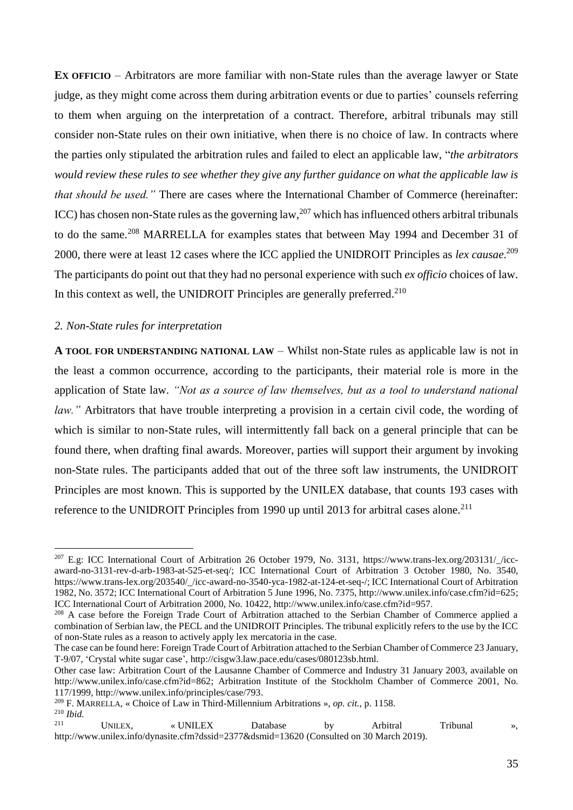**EX OFFICIO** – Arbitrators are more familiar with non-State rules than the average lawyer or State judge, as they might come across them during arbitration events or due to parties' counsels referring to them when arguing on the interpretation of a contract. Therefore, arbitral tribunals may still consider non-State rules on their own initiative, when there is no choice of law. In contracts where the parties only stipulated the arbitration rules and failed to elect an applicable law, "*the arbitrators would review these rules to see whether they give any further guidance on what the applicable law is that should be used."* There are cases where the International Chamber of Commerce (hereinafter: ICC) has chosen non-State rules as the governing law,<sup>207</sup> which has influenced others arbitral tribunals to do the same.<sup>208</sup> MARRELLA for examples states that between May 1994 and December 31 of 2000, there were at least 12 cases where the ICC applied the UNIDROIT Principles as *lex causae*. 209 The participants do point out that they had no personal experience with such *ex officio* choices of law. In this context as well, the UNIDROIT Principles are generally preferred.<sup>210</sup>

#### *2. Non-State rules for interpretation*

1

**A TOOL FOR UNDERSTANDING NATIONAL LAW** – Whilst non-State rules as applicable law is not in the least a common occurrence, according to the participants, their material role is more in the application of State law. *"Not as a source of law themselves, but as a tool to understand national law.*" Arbitrators that have trouble interpreting a provision in a certain civil code, the wording of which is similar to non-State rules, will intermittently fall back on a general principle that can be found there, when drafting final awards. Moreover, parties will support their argument by invoking non-State rules. The participants added that out of the three soft law instruments, the UNIDROIT Principles are most known. This is supported by the UNILEX database, that counts 193 cases with reference to the UNIDROIT Principles from 1990 up until 2013 for arbitral cases alone.<sup>211</sup>

 $^{207}$  E.g: ICC International Court of Arbitration 26 October 1979, No. 3131, https://www.trans-lex.org/203131/ /iccaward-no-3131-rev-d-arb-1983-at-525-et-seq/; ICC International Court of Arbitration 3 October 1980, No. 3540, https://www.trans-lex.org/203540/\_/icc-award-no-3540-yca-1982-at-124-et-seq-/; ICC International Court of Arbitration 1982, No. 3572; ICC International Court of Arbitration 5 June 1996, No. 7375, http://www.unilex.info/case.cfm?id=625; ICC International Court of Arbitration 2000, No. 10422, http://www.unilex.info/case.cfm?id=957.

<sup>&</sup>lt;sup>208</sup> A case before the Foreign Trade Court of Arbitration attached to the Serbian Chamber of Commerce applied a combination of Serbian law, the PECL and the UNIDROIT Principles. The tribunal explicitly refers to the use by the ICC of non-State rules as a reason to actively apply lex mercatoria in the case.

The case can be found here: Foreign Trade Court of Arbitration attached to the Serbian Chamber of Commerce 23 January, T-9/07, 'Crystal white sugar case', http://cisgw3.law.pace.edu/cases/080123sb.html.

Other case law: Arbitration Court of the Lausanne Chamber of Commerce and Industry 31 January 2003, available on http://www.unilex.info/case.cfm?id=862; Arbitration Institute of the Stockholm Chamber of Commerce 2001, No. 117/1999, http://www.unilex.info/principles/case/793.

<sup>209</sup> F. MARRELLA, « Choice of Law in Third-Millennium Arbitrations », *op. cit.*, p. 1158.

<sup>210</sup> *Ibid.* <sup>211</sup> UNILEX, « UNILEX Database by Arbitral Tribunal », http://www.unilex.info/dynasite.cfm?dssid=2377&dsmid=13620 (Consulted on 30 March 2019).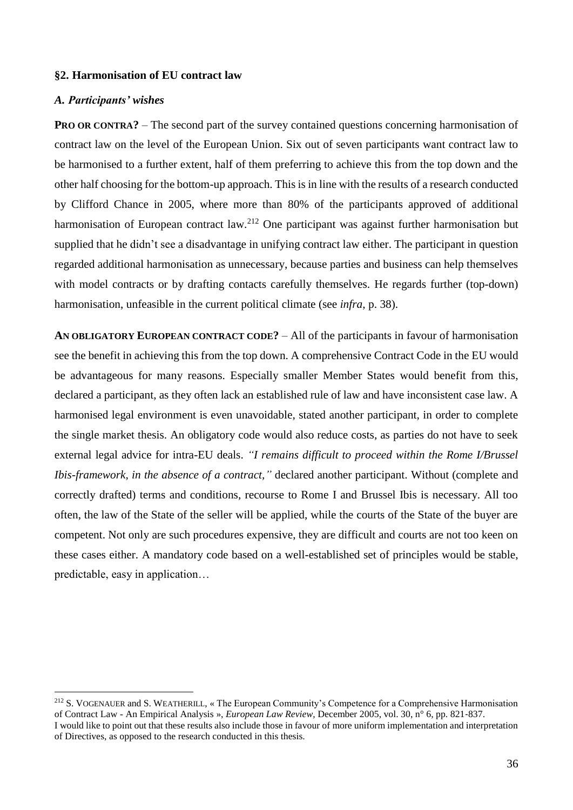## **§2. Harmonisation of EU contract law**

### *A. Participants' wishes*

<u>.</u>

**PRO OR CONTRA?** – The second part of the survey contained questions concerning harmonisation of contract law on the level of the European Union. Six out of seven participants want contract law to be harmonised to a further extent, half of them preferring to achieve this from the top down and the other half choosing for the bottom-up approach. This is in line with the results of a research conducted by Clifford Chance in 2005, where more than 80% of the participants approved of additional harmonisation of European contract law.<sup>212</sup> One participant was against further harmonisation but supplied that he didn't see a disadvantage in unifying contract law either. The participant in question regarded additional harmonisation as unnecessary, because parties and business can help themselves with model contracts or by drafting contacts carefully themselves. He regards further (top-down) harmonisation, unfeasible in the current political climate (see *infra*, p. 38).

**AN OBLIGATORY EUROPEAN CONTRACT CODE?** – All of the participants in favour of harmonisation see the benefit in achieving this from the top down. A comprehensive Contract Code in the EU would be advantageous for many reasons. Especially smaller Member States would benefit from this, declared a participant, as they often lack an established rule of law and have inconsistent case law. A harmonised legal environment is even unavoidable, stated another participant, in order to complete the single market thesis. An obligatory code would also reduce costs, as parties do not have to seek external legal advice for intra-EU deals. *"I remains difficult to proceed within the Rome I/Brussel Ibis-framework, in the absence of a contract,"* declared another participant. Without (complete and correctly drafted) terms and conditions, recourse to Rome I and Brussel Ibis is necessary. All too often, the law of the State of the seller will be applied, while the courts of the State of the buyer are competent. Not only are such procedures expensive, they are difficult and courts are not too keen on these cases either. A mandatory code based on a well-established set of principles would be stable, predictable, easy in application…

<sup>&</sup>lt;sup>212</sup> S. VOGENAUER and S. WEATHERILL, « The European Community's Competence for a Comprehensive Harmonisation of Contract Law - An Empirical Analysis », *European Law Review*, December 2005, vol. 30, n° 6, pp. 821‑837. I would like to point out that these results also include those in favour of more uniform implementation and interpretation of Directives, as opposed to the research conducted in this thesis.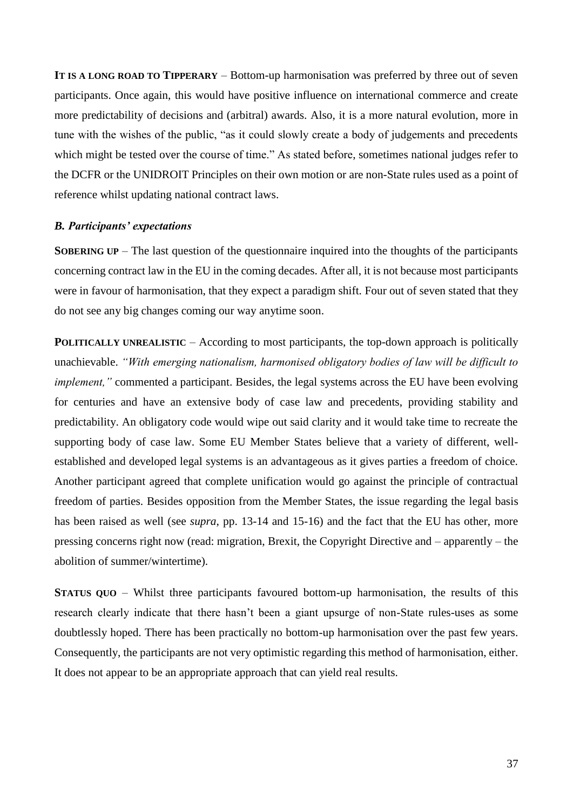**IT IS A LONG ROAD TO TIPPERARY** – Bottom-up harmonisation was preferred by three out of seven participants. Once again, this would have positive influence on international commerce and create more predictability of decisions and (arbitral) awards. Also, it is a more natural evolution, more in tune with the wishes of the public, "as it could slowly create a body of judgements and precedents which might be tested over the course of time." As stated before, sometimes national judges refer to the DCFR or the UNIDROIT Principles on their own motion or are non-State rules used as a point of reference whilst updating national contract laws.

## *B. Participants' expectations*

**SOBERING UP** – The last question of the questionnaire inquired into the thoughts of the participants concerning contract law in the EU in the coming decades. After all, it is not because most participants were in favour of harmonisation, that they expect a paradigm shift. Four out of seven stated that they do not see any big changes coming our way anytime soon.

**POLITICALLY UNREALISTIC** – According to most participants, the top-down approach is politically unachievable. *"With emerging nationalism, harmonised obligatory bodies of law will be difficult to implement,*" commented a participant. Besides, the legal systems across the EU have been evolving for centuries and have an extensive body of case law and precedents, providing stability and predictability. An obligatory code would wipe out said clarity and it would take time to recreate the supporting body of case law. Some EU Member States believe that a variety of different, wellestablished and developed legal systems is an advantageous as it gives parties a freedom of choice. Another participant agreed that complete unification would go against the principle of contractual freedom of parties. Besides opposition from the Member States, the issue regarding the legal basis has been raised as well (see *supra*, pp. 13-14 and 15-16) and the fact that the EU has other, more pressing concerns right now (read: migration, Brexit, the Copyright Directive and – apparently – the abolition of summer/wintertime).

**STATUS QUO** – Whilst three participants favoured bottom-up harmonisation, the results of this research clearly indicate that there hasn't been a giant upsurge of non-State rules-uses as some doubtlessly hoped. There has been practically no bottom-up harmonisation over the past few years. Consequently, the participants are not very optimistic regarding this method of harmonisation, either. It does not appear to be an appropriate approach that can yield real results.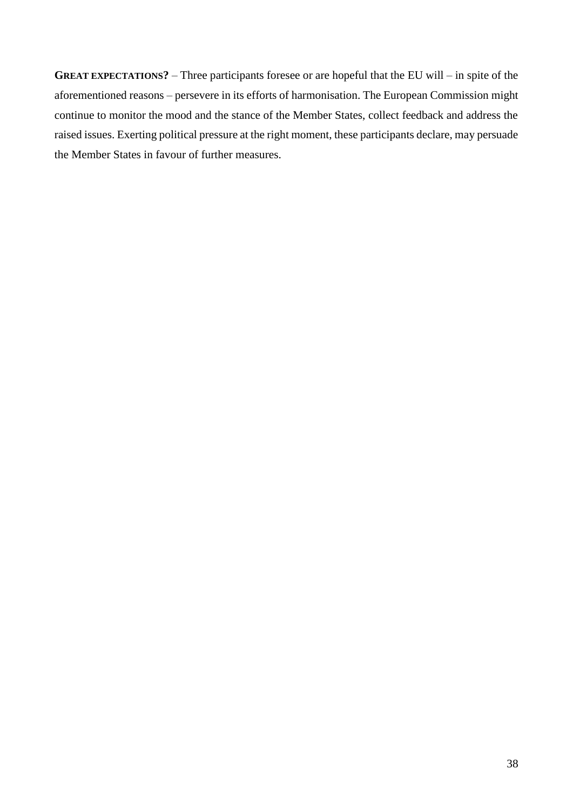**GREAT EXPECTATIONS?** – Three participants foresee or are hopeful that the EU will – in spite of the aforementioned reasons – persevere in its efforts of harmonisation. The European Commission might continue to monitor the mood and the stance of the Member States, collect feedback and address the raised issues. Exerting political pressure at the right moment, these participants declare, may persuade the Member States in favour of further measures.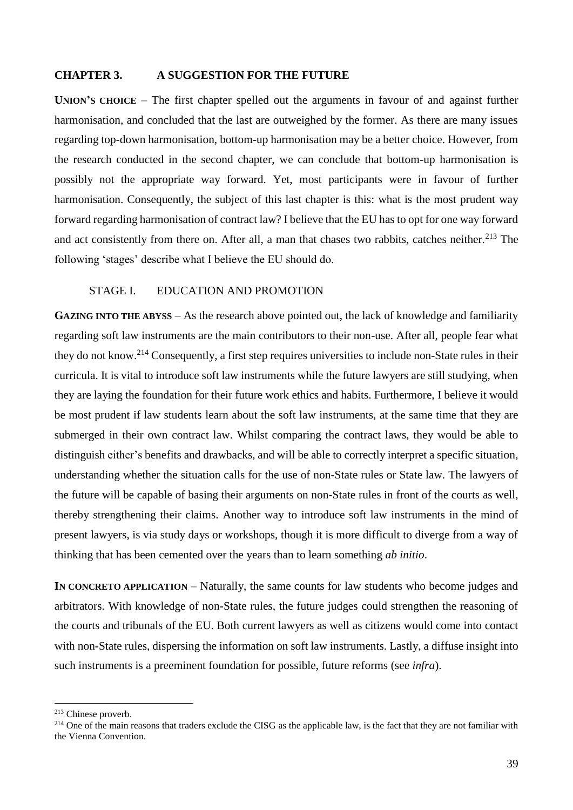## **CHAPTER 3. A SUGGESTION FOR THE FUTURE**

**UNION'S CHOICE** – The first chapter spelled out the arguments in favour of and against further harmonisation, and concluded that the last are outweighed by the former. As there are many issues regarding top-down harmonisation, bottom-up harmonisation may be a better choice. However, from the research conducted in the second chapter, we can conclude that bottom-up harmonisation is possibly not the appropriate way forward. Yet, most participants were in favour of further harmonisation. Consequently, the subject of this last chapter is this: what is the most prudent way forward regarding harmonisation of contract law? I believe that the EU has to opt for one way forward and act consistently from there on. After all, a man that chases two rabbits, catches neither.<sup>213</sup> The following 'stages' describe what I believe the EU should do.

## STAGE I. EDUCATION AND PROMOTION

**GAZING INTO THE ABYSS** – As the research above pointed out, the lack of knowledge and familiarity regarding soft law instruments are the main contributors to their non-use. After all, people fear what they do not know.<sup>214</sup> Consequently, a first step requires universities to include non-State rules in their curricula. It is vital to introduce soft law instruments while the future lawyers are still studying, when they are laying the foundation for their future work ethics and habits. Furthermore, I believe it would be most prudent if law students learn about the soft law instruments, at the same time that they are submerged in their own contract law. Whilst comparing the contract laws, they would be able to distinguish either's benefits and drawbacks, and will be able to correctly interpret a specific situation, understanding whether the situation calls for the use of non-State rules or State law. The lawyers of the future will be capable of basing their arguments on non-State rules in front of the courts as well, thereby strengthening their claims. Another way to introduce soft law instruments in the mind of present lawyers, is via study days or workshops, though it is more difficult to diverge from a way of thinking that has been cemented over the years than to learn something *ab initio*.

**IN CONCRETO APPLICATION** – Naturally, the same counts for law students who become judges and arbitrators. With knowledge of non-State rules, the future judges could strengthen the reasoning of the courts and tribunals of the EU. Both current lawyers as well as citizens would come into contact with non-State rules, dispersing the information on soft law instruments. Lastly, a diffuse insight into such instruments is a preeminent foundation for possible, future reforms (see *infra*).

<sup>213</sup> Chinese proverb.

 $214$  One of the main reasons that traders exclude the CISG as the applicable law, is the fact that they are not familiar with the Vienna Convention.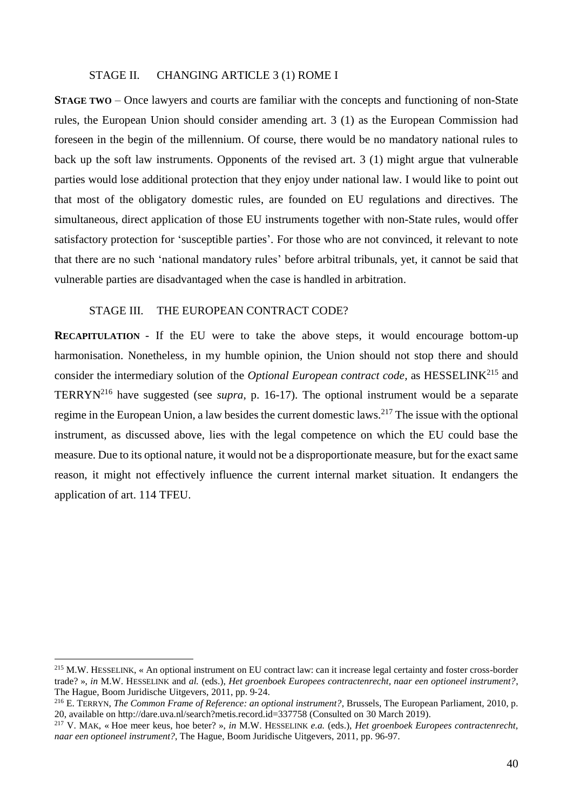#### STAGE II. CHANGING ARTICLE 3 (1) ROME I

**STAGE TWO** – Once lawyers and courts are familiar with the concepts and functioning of non-State rules, the European Union should consider amending art. 3 (1) as the European Commission had foreseen in the begin of the millennium. Of course, there would be no mandatory national rules to back up the soft law instruments. Opponents of the revised art. 3 (1) might argue that vulnerable parties would lose additional protection that they enjoy under national law. I would like to point out that most of the obligatory domestic rules, are founded on EU regulations and directives. The simultaneous, direct application of those EU instruments together with non-State rules, would offer satisfactory protection for 'susceptible parties'. For those who are not convinced, it relevant to note that there are no such 'national mandatory rules' before arbitral tribunals, yet, it cannot be said that vulnerable parties are disadvantaged when the case is handled in arbitration.

## STAGE III. THE EUROPEAN CONTRACT CODE?

1

**RECAPITULATION** - If the EU were to take the above steps, it would encourage bottom-up harmonisation. Nonetheless, in my humble opinion, the Union should not stop there and should consider the intermediary solution of the *Optional European contract code*, as HESSELINK<sup>215</sup> and TERRYN<sup>216</sup> have suggested (see *supra*, p. 16-17). The optional instrument would be a separate regime in the European Union, a law besides the current domestic laws.<sup>217</sup> The issue with the optional instrument, as discussed above, lies with the legal competence on which the EU could base the measure. Due to its optional nature, it would not be a disproportionate measure, but for the exact same reason, it might not effectively influence the current internal market situation. It endangers the application of art. 114 TFEU.

<sup>&</sup>lt;sup>215</sup> M.W. HESSELINK, « An optional instrument on EU contract law: can it increase legal certainty and foster cross-border trade? », *in* M.W. HESSELINK and *al.* (eds.), *Het groenboek Europees contractenrecht, naar een optioneel instrument?*, The Hague, Boom Juridische Uitgevers, 2011, pp. 9‑24.

<sup>216</sup> E. TERRYN, *The Common Frame of Reference: an optional instrument?*, Brussels, The European Parliament, 2010, p. 20, available on http://dare.uva.nl/search?metis.record.id=337758 (Consulted on 30 March 2019).

<sup>217</sup> V. MAK, « Hoe meer keus, hoe beter? », *in* M.W. HESSELINK *e.a.* (eds.), *Het groenboek Europees contractenrecht, naar een optioneel instrument?*, The Hague, Boom Juridische Uitgevers, 2011, pp. 96-97.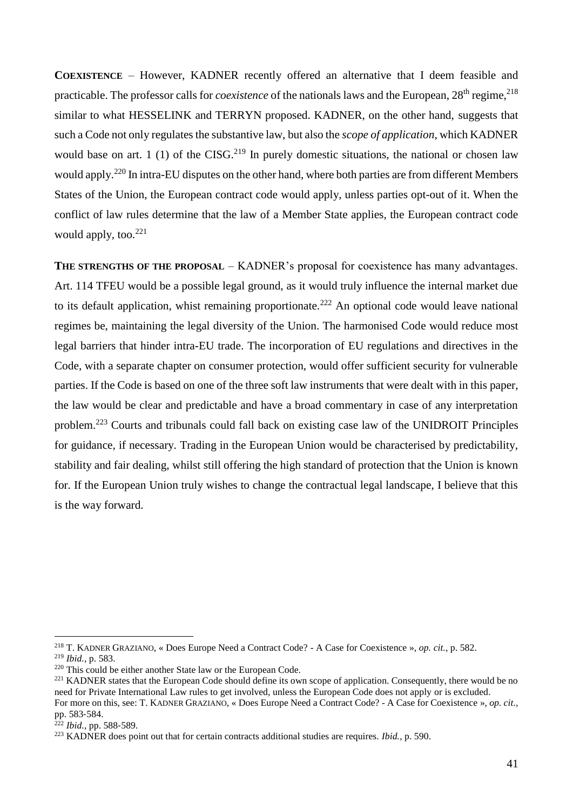**COEXISTENCE** – However, KADNER recently offered an alternative that I deem feasible and practicable. The professor calls for *coexistence* of the nationals laws and the European, 28<sup>th</sup> regime,<sup>218</sup> similar to what HESSELINK and TERRYN proposed. KADNER, on the other hand, suggests that such a Code not only regulates the substantive law, but also the *scope of application*, which KADNER would base on art. 1 (1) of the CISG.<sup>219</sup> In purely domestic situations, the national or chosen law would apply.<sup>220</sup> In intra-EU disputes on the other hand, where both parties are from different Members States of the Union, the European contract code would apply, unless parties opt-out of it. When the conflict of law rules determine that the law of a Member State applies, the European contract code would apply, too. $221$ 

**THE STRENGTHS OF THE PROPOSAL – KADNER's proposal for coexistence has many advantages.** Art. 114 TFEU would be a possible legal ground, as it would truly influence the internal market due to its default application, whist remaining proportionate.<sup>222</sup> An optional code would leave national regimes be, maintaining the legal diversity of the Union. The harmonised Code would reduce most legal barriers that hinder intra-EU trade. The incorporation of EU regulations and directives in the Code, with a separate chapter on consumer protection, would offer sufficient security for vulnerable parties. If the Code is based on one of the three soft law instruments that were dealt with in this paper, the law would be clear and predictable and have a broad commentary in case of any interpretation problem.<sup>223</sup> Courts and tribunals could fall back on existing case law of the UNIDROIT Principles for guidance, if necessary. Trading in the European Union would be characterised by predictability, stability and fair dealing, whilst still offering the high standard of protection that the Union is known for. If the European Union truly wishes to change the contractual legal landscape, I believe that this is the way forward.

<sup>218</sup> T. KADNER GRAZIANO, « Does Europe Need a Contract Code? - A Case for Coexistence », *op. cit.*, p. 582. <sup>219</sup> *Ibid.*, p. 583.

 $220$  This could be either another State law or the European Code.

<sup>&</sup>lt;sup>221</sup> KADNER states that the European Code should define its own scope of application. Consequently, there would be no need for Private International Law rules to get involved, unless the European Code does not apply or is excluded. For more on this, see: T. KADNER GRAZIANO, « Does Europe Need a Contract Code? - A Case for Coexistence », *op. cit.*, pp. 583‑584.

<sup>222</sup> *Ibid.*, pp. 588‑589.

<sup>223</sup> KADNER does point out that for certain contracts additional studies are requires. *Ibid.*, p. 590.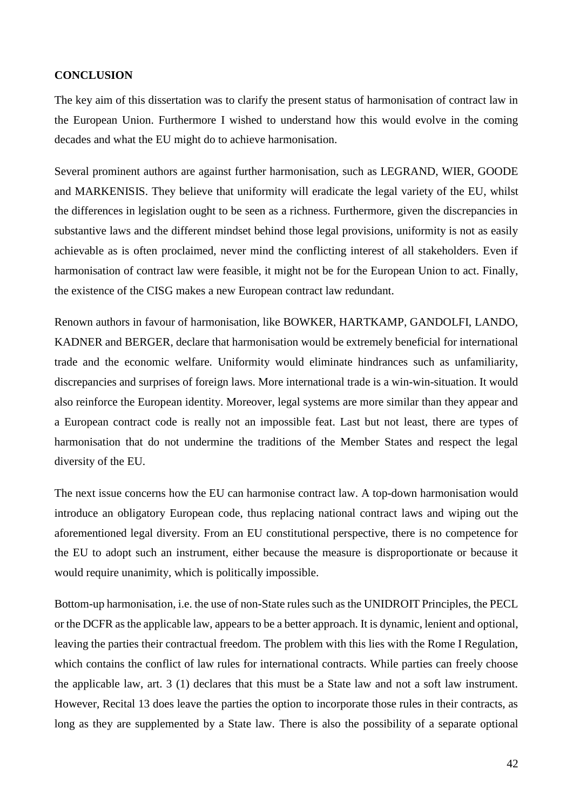## **CONCLUSION**

The key aim of this dissertation was to clarify the present status of harmonisation of contract law in the European Union. Furthermore I wished to understand how this would evolve in the coming decades and what the EU might do to achieve harmonisation.

Several prominent authors are against further harmonisation, such as LEGRAND, WIER, GOODE and MARKENISIS. They believe that uniformity will eradicate the legal variety of the EU, whilst the differences in legislation ought to be seen as a richness. Furthermore, given the discrepancies in substantive laws and the different mindset behind those legal provisions, uniformity is not as easily achievable as is often proclaimed, never mind the conflicting interest of all stakeholders. Even if harmonisation of contract law were feasible, it might not be for the European Union to act. Finally, the existence of the CISG makes a new European contract law redundant.

Renown authors in favour of harmonisation, like BOWKER, HARTKAMP, GANDOLFI, LANDO, KADNER and BERGER, declare that harmonisation would be extremely beneficial for international trade and the economic welfare. Uniformity would eliminate hindrances such as unfamiliarity, discrepancies and surprises of foreign laws. More international trade is a win-win-situation. It would also reinforce the European identity. Moreover, legal systems are more similar than they appear and a European contract code is really not an impossible feat. Last but not least, there are types of harmonisation that do not undermine the traditions of the Member States and respect the legal diversity of the EU.

The next issue concerns how the EU can harmonise contract law. A top-down harmonisation would introduce an obligatory European code, thus replacing national contract laws and wiping out the aforementioned legal diversity. From an EU constitutional perspective, there is no competence for the EU to adopt such an instrument, either because the measure is disproportionate or because it would require unanimity, which is politically impossible.

Bottom-up harmonisation, i.e. the use of non-State rules such as the UNIDROIT Principles, the PECL or the DCFR as the applicable law, appears to be a better approach. It is dynamic, lenient and optional, leaving the parties their contractual freedom. The problem with this lies with the Rome I Regulation, which contains the conflict of law rules for international contracts. While parties can freely choose the applicable law, art. 3 (1) declares that this must be a State law and not a soft law instrument. However, Recital 13 does leave the parties the option to incorporate those rules in their contracts, as long as they are supplemented by a State law. There is also the possibility of a separate optional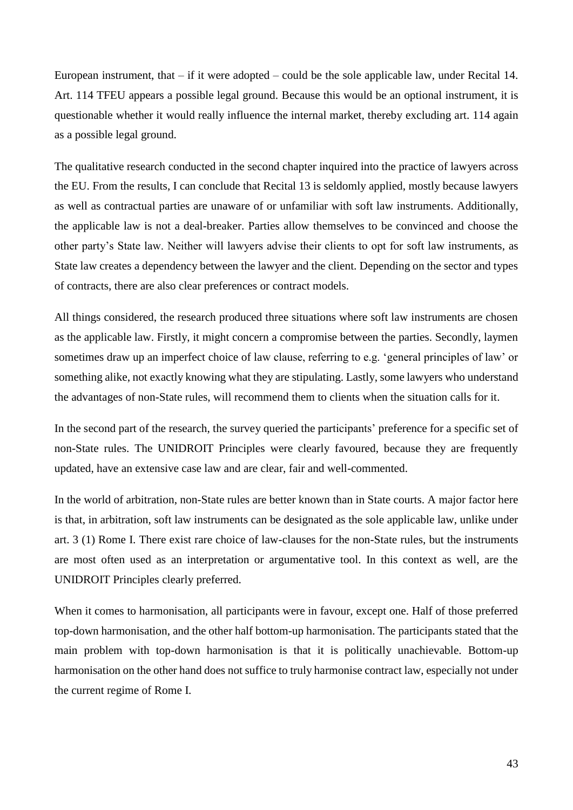European instrument, that – if it were adopted – could be the sole applicable law, under Recital 14. Art. 114 TFEU appears a possible legal ground. Because this would be an optional instrument, it is questionable whether it would really influence the internal market, thereby excluding art. 114 again as a possible legal ground.

The qualitative research conducted in the second chapter inquired into the practice of lawyers across the EU. From the results, I can conclude that Recital 13 is seldomly applied, mostly because lawyers as well as contractual parties are unaware of or unfamiliar with soft law instruments. Additionally, the applicable law is not a deal-breaker. Parties allow themselves to be convinced and choose the other party's State law. Neither will lawyers advise their clients to opt for soft law instruments, as State law creates a dependency between the lawyer and the client. Depending on the sector and types of contracts, there are also clear preferences or contract models.

All things considered, the research produced three situations where soft law instruments are chosen as the applicable law. Firstly, it might concern a compromise between the parties. Secondly, laymen sometimes draw up an imperfect choice of law clause, referring to e.g. 'general principles of law' or something alike, not exactly knowing what they are stipulating. Lastly, some lawyers who understand the advantages of non-State rules, will recommend them to clients when the situation calls for it.

In the second part of the research, the survey queried the participants' preference for a specific set of non-State rules. The UNIDROIT Principles were clearly favoured, because they are frequently updated, have an extensive case law and are clear, fair and well-commented.

In the world of arbitration, non-State rules are better known than in State courts. A major factor here is that, in arbitration, soft law instruments can be designated as the sole applicable law, unlike under art. 3 (1) Rome I. There exist rare choice of law-clauses for the non-State rules, but the instruments are most often used as an interpretation or argumentative tool. In this context as well, are the UNIDROIT Principles clearly preferred.

When it comes to harmonisation, all participants were in favour, except one. Half of those preferred top-down harmonisation, and the other half bottom-up harmonisation. The participants stated that the main problem with top-down harmonisation is that it is politically unachievable. Bottom-up harmonisation on the other hand does not suffice to truly harmonise contract law, especially not under the current regime of Rome I.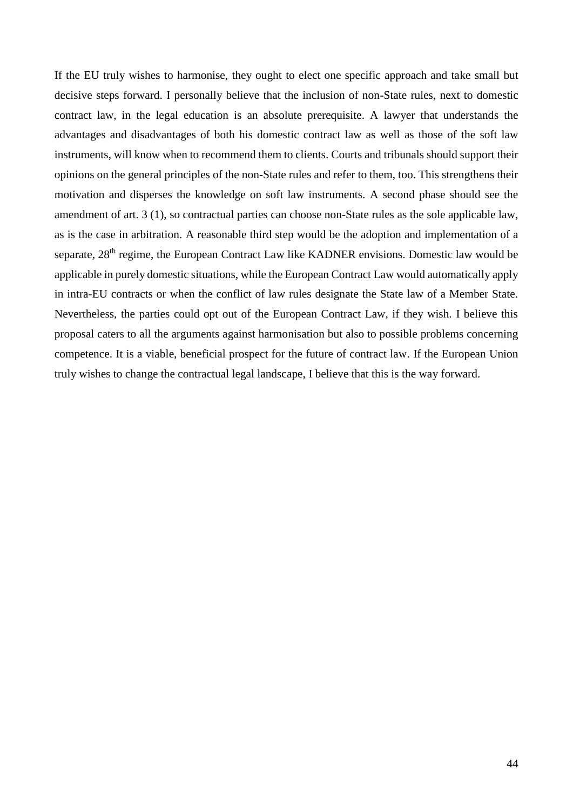If the EU truly wishes to harmonise, they ought to elect one specific approach and take small but decisive steps forward. I personally believe that the inclusion of non-State rules, next to domestic contract law, in the legal education is an absolute prerequisite. A lawyer that understands the advantages and disadvantages of both his domestic contract law as well as those of the soft law instruments, will know when to recommend them to clients. Courts and tribunals should support their opinions on the general principles of the non-State rules and refer to them, too. This strengthens their motivation and disperses the knowledge on soft law instruments. A second phase should see the amendment of art. 3 (1), so contractual parties can choose non-State rules as the sole applicable law, as is the case in arbitration. A reasonable third step would be the adoption and implementation of a separate, 28<sup>th</sup> regime, the European Contract Law like KADNER envisions. Domestic law would be applicable in purely domestic situations, while the European Contract Law would automatically apply in intra-EU contracts or when the conflict of law rules designate the State law of a Member State. Nevertheless, the parties could opt out of the European Contract Law, if they wish. I believe this proposal caters to all the arguments against harmonisation but also to possible problems concerning competence. It is a viable, beneficial prospect for the future of contract law. If the European Union truly wishes to change the contractual legal landscape, I believe that this is the way forward.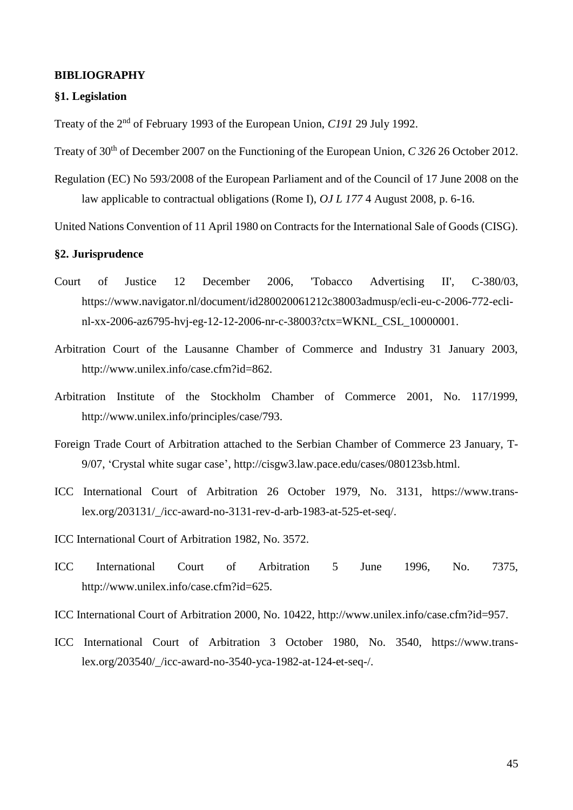## **BIBLIOGRAPHY**

## **§1. Legislation**

Treaty of the 2nd of February 1993 of the European Union, *C191* 29 July 1992.

Treaty of 30<sup>th</sup> of December 2007 on the Functioning of the European Union, *C* 326 26 October 2012.

Regulation (EC) No 593/2008 of the European Parliament and of the Council of 17 June 2008 on the law applicable to contractual obligations (Rome I), *OJ L 177* 4 August 2008, p. 6-16.

United Nations Convention of 11 April 1980 on Contracts for the International Sale of Goods (CISG).

## **§2. Jurisprudence**

- Court of Justice 12 December 2006, 'Tobacco Advertising II', C-380/03, https://www.navigator.nl/document/id280020061212c38003admusp/ecli-eu-c-2006-772-eclinl-xx-2006-az6795-hvj-eg-12-12-2006-nr-c-38003?ctx=WKNL\_CSL\_10000001.
- Arbitration Court of the Lausanne Chamber of Commerce and Industry 31 January 2003, http://www.unilex.info/case.cfm?id=862.
- Arbitration Institute of the Stockholm Chamber of Commerce 2001, No. 117/1999, http://www.unilex.info/principles/case/793.
- Foreign Trade Court of Arbitration attached to the Serbian Chamber of Commerce 23 January, T-9/07, 'Crystal white sugar case', http://cisgw3.law.pace.edu/cases/080123sb.html.
- ICC International Court of Arbitration 26 October 1979, No. 3131, https://www.translex.org/203131/\_/icc-award-no-3131-rev-d-arb-1983-at-525-et-seq/.
- ICC International Court of Arbitration 1982, No. 3572.
- ICC International Court of Arbitration 5 June 1996, No. 7375, http://www.unilex.info/case.cfm?id=625.
- ICC International Court of Arbitration 2000, No. 10422, http://www.unilex.info/case.cfm?id=957.
- ICC International Court of Arbitration 3 October 1980, No. 3540, https://www.translex.org/203540/\_/icc-award-no-3540-yca-1982-at-124-et-seq-/.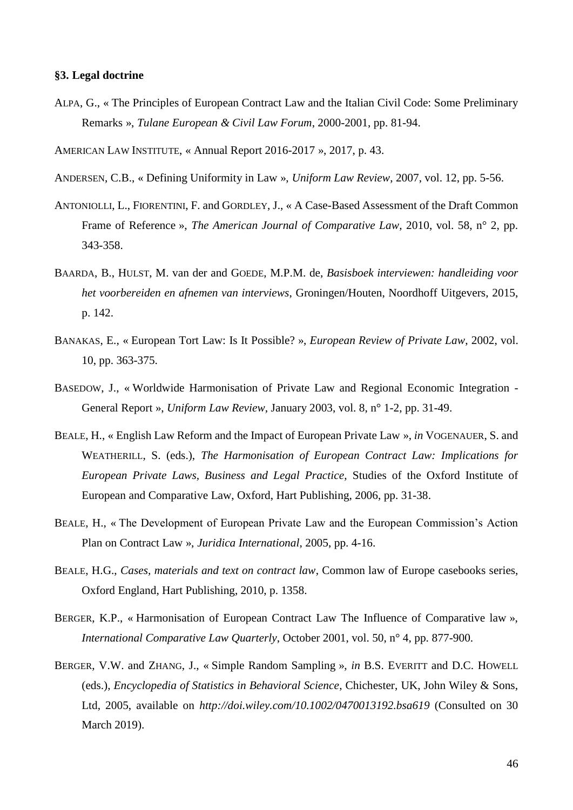#### **§3. Legal doctrine**

ALPA, G., « The Principles of European Contract Law and the Italian Civil Code: Some Preliminary Remarks », *Tulane European & Civil Law Forum*, 2000-2001, pp. 81-94.

AMERICAN LAW INSTITUTE, « Annual Report 2016-2017 », 2017, p. 43.

- ANDERSEN, C.B., « Defining Uniformity in Law », *Uniform Law Review*, 2007, vol. 12, pp. 5-56.
- ANTONIOLLI, L., FIORENTINI, F. and GORDLEY, J., « A Case-Based Assessment of the Draft Common Frame of Reference », *The American Journal of Comparative Law*, 2010, vol. 58, n° 2, pp. 343-358.
- BAARDA, B., HULST, M. van der and GOEDE, M.P.M. de, *Basisboek interviewen: handleiding voor het voorbereiden en afnemen van interviews*, Groningen/Houten, Noordhoff Uitgevers, 2015, p. 142.
- BANAKAS, E., « European Tort Law: Is It Possible? », *European Review of Private Law*, 2002, vol. 10, pp. 363-375.
- BASEDOW, J., « Worldwide Harmonisation of Private Law and Regional Economic Integration General Report », *Uniform Law Review*, January 2003, vol. 8, n° 1-2, pp. 31-49.
- BEALE, H., « English Law Reform and the Impact of European Private Law », *in* VOGENAUER, S. and WEATHERILL, S. (eds.), *The Harmonisation of European Contract Law: Implications for European Private Laws, Business and Legal Practice*, Studies of the Oxford Institute of European and Comparative Law, Oxford, Hart Publishing, 2006, pp. 31-38.
- BEALE, H., « The Development of European Private Law and the European Commission's Action Plan on Contract Law », *Juridica International*, 2005, pp. 4-16.
- BEALE, H.G., *Cases, materials and text on contract law*, Common law of Europe casebooks series, Oxford England, Hart Publishing, 2010, p. 1358.
- BERGER, K.P., « Harmonisation of European Contract Law The Influence of Comparative law », *International Comparative Law Quarterly*, October 2001, vol. 50, n° 4, pp. 877-900.
- BERGER, V.W. and ZHANG, J., « Simple Random Sampling », *in* B.S. EVERITT and D.C. HOWELL (eds.), *Encyclopedia of Statistics in Behavioral Science*, Chichester, UK, John Wiley & Sons, Ltd, 2005, available on *<http://doi.wiley.com/10.1002/0470013192.bsa619>* (Consulted on 30 March 2019).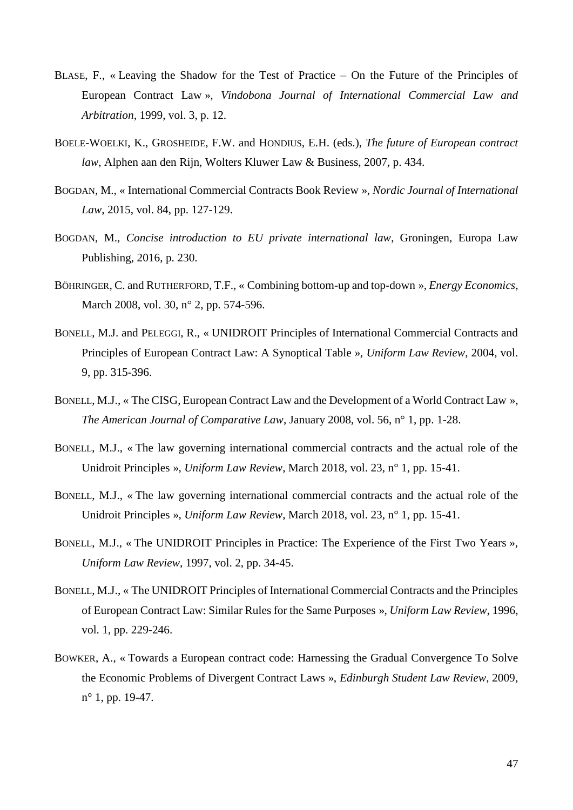- BLASE, F., « Leaving the Shadow for the Test of Practice On the Future of the Principles of European Contract Law », *Vindobona Journal of International Commercial Law and Arbitration*, 1999, vol. 3, p. 12.
- BOELE-WOELKI, K., GROSHEIDE, F.W. and HONDIUS, E.H. (eds.), *The future of European contract law*, Alphen aan den Rijn, Wolters Kluwer Law & Business, 2007, p. 434.
- BOGDAN, M., « International Commercial Contracts Book Review », *Nordic Journal of International Law*, 2015, vol. 84, pp. 127-129.
- BOGDAN, M., *Concise introduction to EU private international law*, Groningen, Europa Law Publishing, 2016, p. 230.
- BÖHRINGER, C. and RUTHERFORD, T.F., « Combining bottom-up and top-down », *Energy Economics*, March 2008, vol. 30, n° 2, pp. 574-596.
- BONELL, M.J. and PELEGGI, R., « UNIDROIT Principles of International Commercial Contracts and Principles of European Contract Law: A Synoptical Table », *Uniform Law Review*, 2004, vol. 9, pp. 315-396.
- BONELL, M.J., « The CISG, European Contract Law and the Development of a World Contract Law », *The American Journal of Comparative Law*, January 2008, vol. 56, n° 1, pp. 1-28.
- BONELL, M.J., « The law governing international commercial contracts and the actual role of the Unidroit Principles », *Uniform Law Review*, March 2018, vol. 23, n° 1, pp. 15-41.
- BONELL, M.J., « The law governing international commercial contracts and the actual role of the Unidroit Principles », *Uniform Law Review*, March 2018, vol. 23, n° 1, pp. 15-41.
- BONELL, M.J., « The UNIDROIT Principles in Practice: The Experience of the First Two Years », *Uniform Law Review*, 1997, vol. 2, pp. 34-45.
- BONELL, M.J., « The UNIDROIT Principles of International Commercial Contracts and the Principles of European Contract Law: Similar Rules for the Same Purposes », *Uniform Law Review*, 1996, vol. 1, pp. 229-246.
- BOWKER, A., « Towards a European contract code: Harnessing the Gradual Convergence To Solve the Economic Problems of Divergent Contract Laws », *Edinburgh Student Law Review*, 2009, n° 1, pp. 19-47.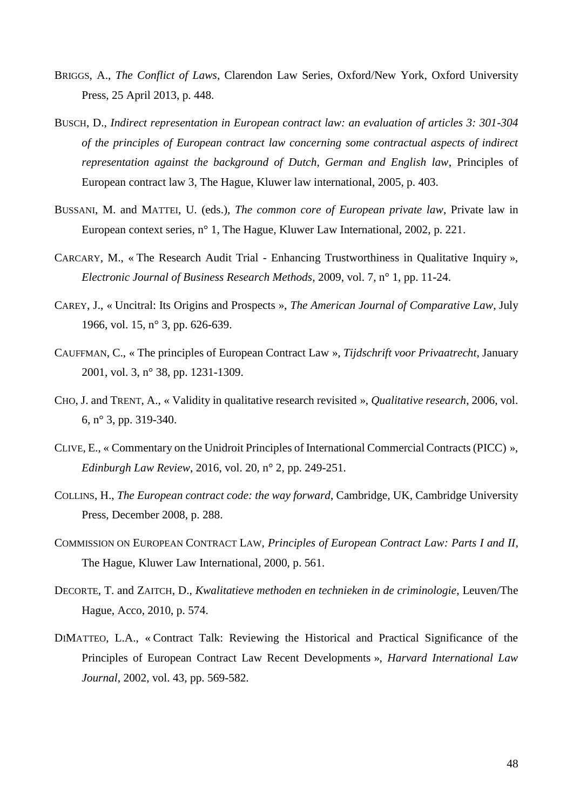- BRIGGS, A., *The Conflict of Laws*, Clarendon Law Series, Oxford/New York, Oxford University Press, 25 April 2013, p. 448.
- BUSCH, D., *Indirect representation in European contract law: an evaluation of articles 3: 301-304 of the principles of European contract law concerning some contractual aspects of indirect representation against the background of Dutch, German and English law*, Principles of European contract law 3, The Hague, Kluwer law international, 2005, p. 403.
- BUSSANI, M. and MATTEI, U. (eds.), *The common core of European private law*, Private law in European context series, n° 1, The Hague, Kluwer Law International, 2002, p. 221.
- CARCARY, M., « The Research Audit Trial Enhancing Trustworthiness in Qualitative Inquiry », *Electronic Journal of Business Research Methods*, 2009, vol. 7, n° 1, pp. 11-24.
- CAREY, J., « Uncitral: Its Origins and Prospects », *The American Journal of Comparative Law*, July 1966, vol. 15, n° 3, pp. 626-639.
- CAUFFMAN, C., « The principles of European Contract Law », *Tijdschrift voor Privaatrecht*, January 2001, vol. 3, n° 38, pp. 1231-1309.
- CHO, J. and TRENT, A., « Validity in qualitative research revisited », *Qualitative research*, 2006, vol. 6, n° 3, pp. 319-340.
- CLIVE, E., « Commentary on the Unidroit Principles of International Commercial Contracts (PICC) », *Edinburgh Law Review*, 2016, vol. 20, n° 2, pp. 249-251.
- COLLINS, H., *The European contract code: the way forward*, Cambridge, UK, Cambridge University Press, December 2008, p. 288.
- COMMISSION ON EUROPEAN CONTRACT LAW, *Principles of European Contract Law: Parts I and II*, The Hague, Kluwer Law International, 2000, p. 561.
- DECORTE, T. and ZAITCH, D., *Kwalitatieve methoden en technieken in de criminologie*, Leuven/The Hague, Acco, 2010, p. 574.
- DIMATTEO, L.A., « Contract Talk: Reviewing the Historical and Practical Significance of the Principles of European Contract Law Recent Developments », *Harvard International Law Journal*, 2002, vol. 43, pp. 569-582.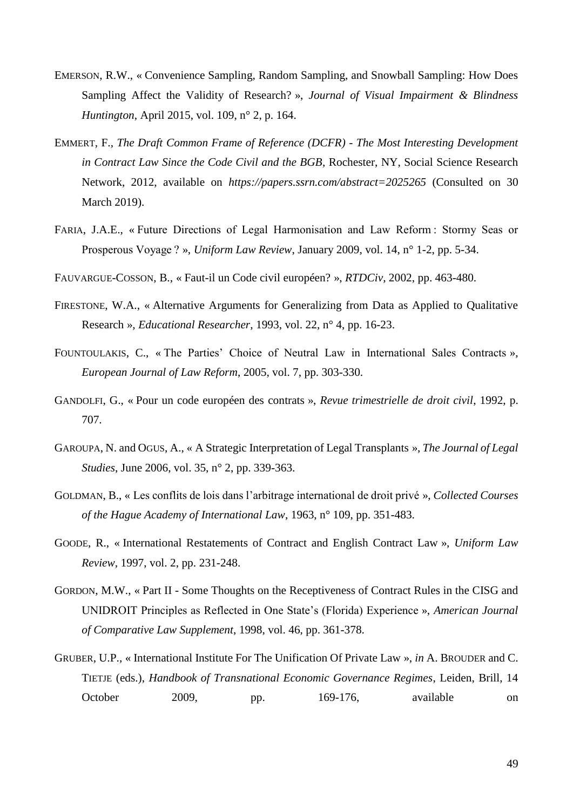- EMERSON, R.W., « Convenience Sampling, Random Sampling, and Snowball Sampling: How Does Sampling Affect the Validity of Research? », *Journal of Visual Impairment & Blindness Huntington*, April 2015, vol. 109, n° 2, p. 164.
- EMMERT, F., *The Draft Common Frame of Reference (DCFR) - The Most Interesting Development in Contract Law Since the Code Civil and the BGB*, Rochester, NY, Social Science Research Network, 2012, available on *https://papers.ssrn.com/abstract=2025265* (Consulted on 30 March 2019).
- FARIA, J.A.E., « Future Directions of Legal Harmonisation and Law Reform : Stormy Seas or Prosperous Voyage ? », *Uniform Law Review*, January 2009, vol. 14, n° 1-2, pp. 5-34.
- FAUVARGUE-COSSON, B., « Faut-il un Code civil européen? », *RTDCiv*, 2002, pp. 463-480.
- FIRESTONE, W.A., « Alternative Arguments for Generalizing from Data as Applied to Qualitative Research », *Educational Researcher*, 1993, vol. 22, n° 4, pp. 16-23.
- FOUNTOULAKIS, C., « The Parties' Choice of Neutral Law in International Sales Contracts », *European Journal of Law Reform*, 2005, vol. 7, pp. 303-330.
- GANDOLFI, G., « Pour un code européen des contrats », *Revue trimestrielle de droit civil*, 1992, p. 707.
- GAROUPA, N. and OGUS, A., « A Strategic Interpretation of Legal Transplants », *The Journal of Legal Studies*, June 2006, vol. 35, n° 2, pp. 339-363.
- GOLDMAN, B., « Les conflits de lois dans l'arbitrage international de droit privé », *Collected Courses of the Hague Academy of International Law*, 1963, n° 109, pp. 351-483.
- GOODE, R., « International Restatements of Contract and English Contract Law », *Uniform Law Review*, 1997, vol. 2, pp. 231-248.
- GORDON, M.W., « Part II Some Thoughts on the Receptiveness of Contract Rules in the CISG and UNIDROIT Principles as Reflected in One State's (Florida) Experience », *American Journal of Comparative Law Supplement*, 1998, vol. 46, pp. 361-378.
- GRUBER, U.P., « International Institute For The Unification Of Private Law », *in* A. BROUDER and C. TIETJE (eds.), *Handbook of Transnational Economic Governance Regimes*, Leiden, Brill, 14 October 2009, pp. 169-176, available on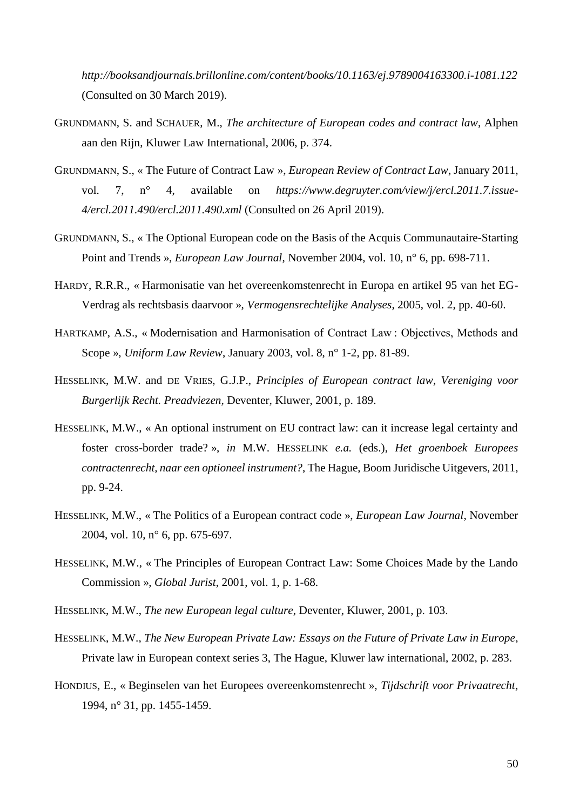*<http://booksandjournals.brillonline.com/content/books/10.1163/ej.9789004163300.i-1081.122>* (Consulted on 30 March 2019).

- GRUNDMANN, S. and SCHAUER, M., *The architecture of European codes and contract law*, Alphen aan den Rijn, Kluwer Law International, 2006, p. 374.
- GRUNDMANN, S., « The Future of Contract Law », *European Review of Contract Law*, January 2011, vol. 7, n° 4, available on *[https://www.degruyter.com/view/j/ercl.2011.7.issue-](https://www.degruyter.com/view/j/ercl.2011.7.issue-4/ercl.2011.490/ercl.2011.490.xml)[4/ercl.2011.490/ercl.2011.490.xml](https://www.degruyter.com/view/j/ercl.2011.7.issue-4/ercl.2011.490/ercl.2011.490.xml)* (Consulted on 26 April 2019).
- GRUNDMANN, S., « The Optional European code on the Basis of the Acquis Communautaire-Starting Point and Trends », *European Law Journal*, November 2004, vol. 10, n° 6, pp. 698-711.
- HARDY, R.R.R., « Harmonisatie van het overeenkomstenrecht in Europa en artikel 95 van het EG-Verdrag als rechtsbasis daarvoor », *Vermogensrechtelijke Analyses*, 2005, vol. 2, pp. 40-60.
- HARTKAMP, A.S., « Modernisation and Harmonisation of Contract Law : Objectives, Methods and Scope », *Uniform Law Review*, January 2003, vol. 8, n° 1-2, pp. 81-89.
- HESSELINK, M.W. and DE VRIES, G.J.P., *Principles of European contract law, Vereniging voor Burgerlijk Recht. Preadviezen,* Deventer, Kluwer, 2001, p. 189.
- HESSELINK, M.W., « An optional instrument on EU contract law: can it increase legal certainty and foster cross-border trade? », *in* M.W. HESSELINK *e.a.* (eds.), *Het groenboek Europees contractenrecht, naar een optioneel instrument?*, The Hague, Boom Juridische Uitgevers, 2011, pp. 9-24.
- HESSELINK, M.W., « The Politics of a European contract code », *European Law Journal*, November 2004, vol. 10, n° 6, pp. 675-697.
- HESSELINK, M.W., « The Principles of European Contract Law: Some Choices Made by the Lando Commission », *Global Jurist*, 2001, vol. 1, p. 1-68.
- HESSELINK, M.W., *The new European legal culture*, Deventer, Kluwer, 2001, p. 103.
- HESSELINK, M.W., *The New European Private Law: Essays on the Future of Private Law in Europe*, Private law in European context series 3, The Hague, Kluwer law international, 2002, p. 283.
- HONDIUS, E., « Beginselen van het Europees overeenkomstenrecht », *Tijdschrift voor Privaatrecht*, 1994, n° 31, pp. 1455-1459.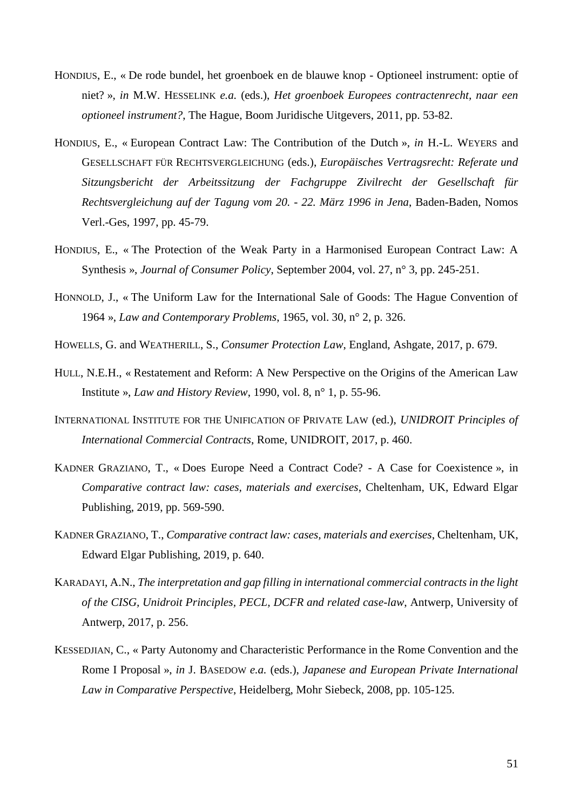- HONDIUS, E., « De rode bundel, het groenboek en de blauwe knop Optioneel instrument: optie of niet? », *in* M.W. HESSELINK *e.a.* (eds.), *Het groenboek Europees contractenrecht, naar een optioneel instrument?*, The Hague, Boom Juridische Uitgevers, 2011, pp. 53-82.
- HONDIUS, E., « European Contract Law: The Contribution of the Dutch », *in* H.-L. WEYERS and GESELLSCHAFT FÜR RECHTSVERGLEICHUNG (eds.), *Europäisches Vertragsrecht: Referate und Sitzungsbericht der Arbeitssitzung der Fachgruppe Zivilrecht der Gesellschaft für Rechtsvergleichung auf der Tagung vom 20. - 22. März 1996 in Jena*, Baden-Baden, Nomos Verl.-Ges, 1997, pp. 45-79.
- HONDIUS, E., « The Protection of the Weak Party in a Harmonised European Contract Law: A Synthesis », *Journal of Consumer Policy*, September 2004, vol. 27, n° 3, pp. 245-251.
- HONNOLD, J., « The Uniform Law for the International Sale of Goods: The Hague Convention of 1964 », *Law and Contemporary Problems*, 1965, vol. 30, n° 2, p. 326.
- HOWELLS, G. and WEATHERILL, S., *Consumer Protection Law*, England, Ashgate, 2017, p. 679.
- HULL, N.E.H., « Restatement and Reform: A New Perspective on the Origins of the American Law Institute », *Law and History Review*, 1990, vol. 8, n° 1, p. 55-96.
- INTERNATIONAL INSTITUTE FOR THE UNIFICATION OF PRIVATE LAW (ed.), *UNIDROIT Principles of International Commercial Contracts*, Rome, UNIDROIT, 2017, p. 460.
- KADNER GRAZIANO, T., « Does Europe Need a Contract Code? A Case for Coexistence », in *Comparative contract law: cases, materials and exercises*, Cheltenham, UK, Edward Elgar Publishing, 2019, pp. 569-590.
- KADNER GRAZIANO, T., *Comparative contract law: cases, materials and exercises*, Cheltenham, UK, Edward Elgar Publishing, 2019, p. 640.
- KARADAYI, A.N., *The interpretation and gap filling in international commercial contracts in the light of the CISG, Unidroit Principles, PECL, DCFR and related case-law*, Antwerp, University of Antwerp, 2017, p. 256.
- KESSEDJIAN, C., « Party Autonomy and Characteristic Performance in the Rome Convention and the Rome I Proposal », *in* J. BASEDOW *e.a.* (eds.), *Japanese and European Private International Law in Comparative Perspective*, Heidelberg, Mohr Siebeck, 2008, pp. 105-125.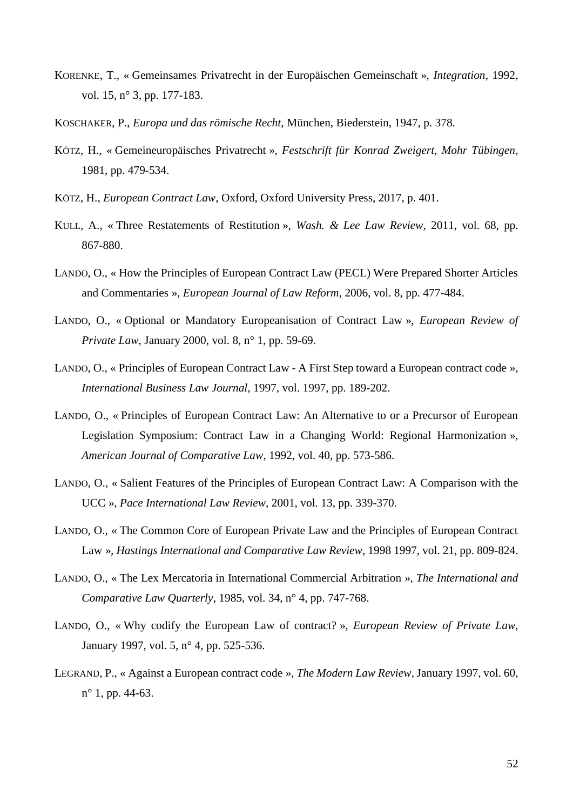- KORENKE, T., « Gemeinsames Privatrecht in der Europäischen Gemeinschaft », *Integration*, 1992, vol. 15, n° 3, pp. 177-183.
- KOSCHAKER, P., *Europa und das römische Recht*, München, Biederstein, 1947, p. 378.
- KÖTZ, H., « Gemeineuropäisches Privatrecht », *Festschrift für Konrad Zweigert, Mohr Tübingen*, 1981, pp. 479-534.
- KÖTZ, H., *European Contract Law*, Oxford, Oxford University Press, 2017, p. 401.
- KULL, A., « Three Restatements of Restitution », *Wash. & Lee Law Review*, 2011, vol. 68, pp. 867-880.
- LANDO, O., « How the Principles of European Contract Law (PECL) Were Prepared Shorter Articles and Commentaries », *European Journal of Law Reform*, 2006, vol. 8, pp. 477-484.
- LANDO, O., « Optional or Mandatory Europeanisation of Contract Law », *European Review of Private Law*, January 2000, vol. 8, n° 1, pp. 59-69.
- LANDO, O., « Principles of European Contract Law A First Step toward a European contract code », *International Business Law Journal*, 1997, vol. 1997, pp. 189-202.
- LANDO, O., « Principles of European Contract Law: An Alternative to or a Precursor of European Legislation Symposium: Contract Law in a Changing World: Regional Harmonization », *American Journal of Comparative Law*, 1992, vol. 40, pp. 573-586.
- LANDO, O., « Salient Features of the Principles of European Contract Law: A Comparison with the UCC », *Pace International Law Review*, 2001, vol. 13, pp. 339-370.
- LANDO, O., « The Common Core of European Private Law and the Principles of European Contract Law », *Hastings International and Comparative Law Review*, 1998 1997, vol. 21, pp. 809-824.
- LANDO, O., « The Lex Mercatoria in International Commercial Arbitration », *The International and Comparative Law Quarterly*, 1985, vol. 34, n° 4, pp. 747-768.
- LANDO, O., « Why codify the European Law of contract? », *European Review of Private Law*, January 1997, vol. 5, n° 4, pp. 525-536.
- LEGRAND, P., « Against a European contract code », *The Modern Law Review*, January 1997, vol. 60, n° 1, pp. 44-63.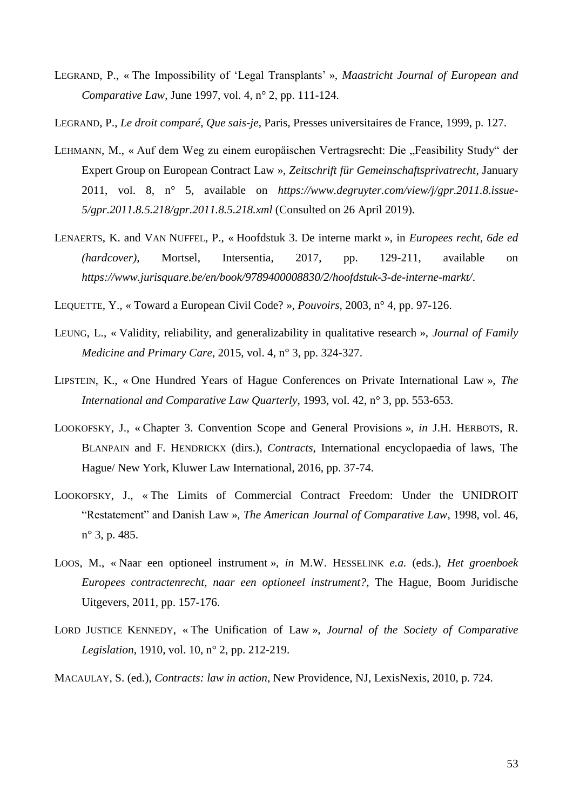LEGRAND, P., « The Impossibility of 'Legal Transplants' », *Maastricht Journal of European and Comparative Law*, June 1997, vol. 4, n° 2, pp. 111-124.

LEGRAND, P., *Le droit comparé*, *Que sais-je*, Paris, Presses universitaires de France, 1999, p. 127.

- LEHMANN, M., « Auf dem Weg zu einem europäischen Vertragsrecht: Die "Feasibility Study" der Expert Group on European Contract Law », *Zeitschrift für Gemeinschaftsprivatrecht*, January 2011, vol. 8, n° 5, available on *[https://www.degruyter.com/view/j/gpr.2011.8.issue-](https://www.degruyter.com/view/j/gpr.2011.8.issue-5/gpr.2011.8.5.218/gpr.2011.8.5.218.xml)[5/gpr.2011.8.5.218/gpr.2011.8.5.218.xml](https://www.degruyter.com/view/j/gpr.2011.8.issue-5/gpr.2011.8.5.218/gpr.2011.8.5.218.xml)* (Consulted on 26 April 2019).
- LENAERTS, K. and VAN NUFFEL, P., « Hoofdstuk 3. De interne markt », in *Europees recht, 6de ed (hardcover)*, Mortsel, Intersentia, 2017, pp. 129-211, available on *<https://www.jurisquare.be/en/book/9789400008830/2/hoofdstuk-3-de-interne-markt/>*.
- LEQUETTE, Y., « Toward a European Civil Code? », *Pouvoirs*, 2003, n° 4, pp. 97-126.
- LEUNG, L., « Validity, reliability, and generalizability in qualitative research », *Journal of Family Medicine and Primary Care*, 2015, vol. 4, n° 3, pp. 324-327.
- LIPSTEIN, K., « One Hundred Years of Hague Conferences on Private International Law », *The International and Comparative Law Quarterly*, 1993, vol. 42, n° 3, pp. 553-653.
- LOOKOFSKY, J., « Chapter 3. Convention Scope and General Provisions », *in* J.H. HERBOTS, R. BLANPAIN and F. HENDRICKX (dirs.), *Contracts*, International encyclopaedia of laws, The Hague/ New York, Kluwer Law International, 2016, pp. 37-74.
- LOOKOFSKY, J., « The Limits of Commercial Contract Freedom: Under the UNIDROIT "Restatement" and Danish Law », *The American Journal of Comparative Law*, 1998, vol. 46, n° 3, p. 485.
- LOOS, M., « Naar een optioneel instrument », *in* M.W. HESSELINK *e.a.* (eds.), *Het groenboek Europees contractenrecht, naar een optioneel instrument?*, The Hague, Boom Juridische Uitgevers, 2011, pp. 157-176.
- LORD JUSTICE KENNEDY, « The Unification of Law », *Journal of the Society of Comparative Legislation*, 1910, vol. 10, n° 2, pp. 212-219.
- MACAULAY, S. (ed.), *Contracts: law in action*, New Providence, NJ, LexisNexis, 2010, p. 724.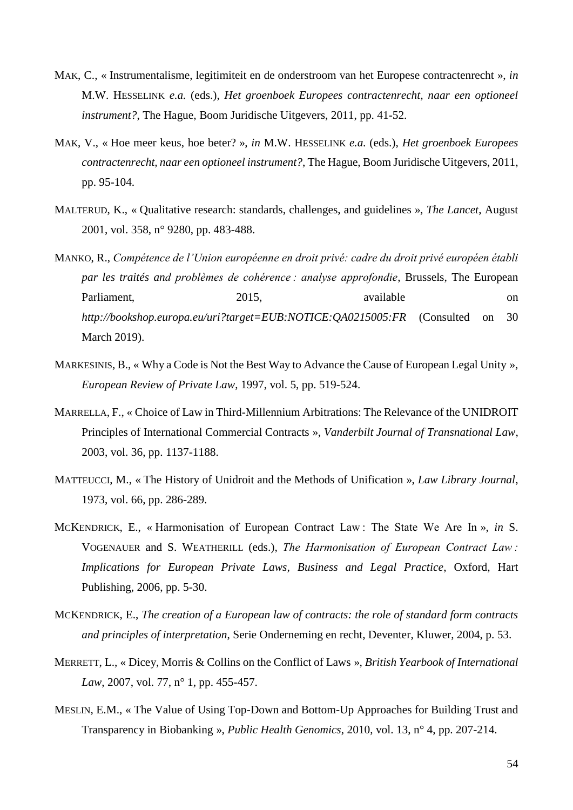- MAK, C., « Instrumentalisme, legitimiteit en de onderstroom van het Europese contractenrecht », *in* M.W. HESSELINK *e.a.* (eds.), *Het groenboek Europees contractenrecht, naar een optioneel instrument?*, The Hague, Boom Juridische Uitgevers, 2011, pp. 41-52.
- MAK, V., « Hoe meer keus, hoe beter? », *in* M.W. HESSELINK *e.a.* (eds.), *Het groenboek Europees contractenrecht, naar een optioneel instrument?*, The Hague, Boom Juridische Uitgevers, 2011, pp. 95-104.
- MALTERUD, K., « Qualitative research: standards, challenges, and guidelines », *The Lancet*, August 2001, vol. 358, n° 9280, pp. 483-488.
- MANKO, R., *Compétence de l'Union européenne en droit privé: cadre du droit privé européen établi par les traités and problèmes de cohérence : analyse approfondie*, Brussels, The European Parliament. 2015, available on on *<http://bookshop.europa.eu/uri?target=EUB:NOTICE:QA0215005:FR>* (Consulted on 30 March 2019).
- MARKESINIS, B., « Why a Code is Not the Best Way to Advance the Cause of European Legal Unity », *European Review of Private Law*, 1997, vol. 5, pp. 519-524.
- MARRELLA, F., « Choice of Law in Third-Millennium Arbitrations: The Relevance of the UNIDROIT Principles of International Commercial Contracts », *Vanderbilt Journal of Transnational Law*, 2003, vol. 36, pp. 1137-1188.
- MATTEUCCI, M., « The History of Unidroit and the Methods of Unification », *Law Library Journal*, 1973, vol. 66, pp. 286-289.
- MCKENDRICK, E., « Harmonisation of European Contract Law : The State We Are In », *in* S. VOGENAUER and S. WEATHERILL (eds.), *The Harmonisation of European Contract Law : Implications for European Private Laws, Business and Legal Practice*, Oxford, Hart Publishing, 2006, pp. 5-30.
- MCKENDRICK, E., *The creation of a European law of contracts: the role of standard form contracts and principles of interpretation*, Serie Onderneming en recht, Deventer, Kluwer, 2004, p. 53.
- MERRETT, L., « Dicey, Morris & Collins on the Conflict of Laws », *British Yearbook of International Law*, 2007, vol. 77, n° 1, pp. 455-457.
- MESLIN, E.M., « The Value of Using Top-Down and Bottom-Up Approaches for Building Trust and Transparency in Biobanking », *Public Health Genomics*, 2010, vol. 13, n° 4, pp. 207-214.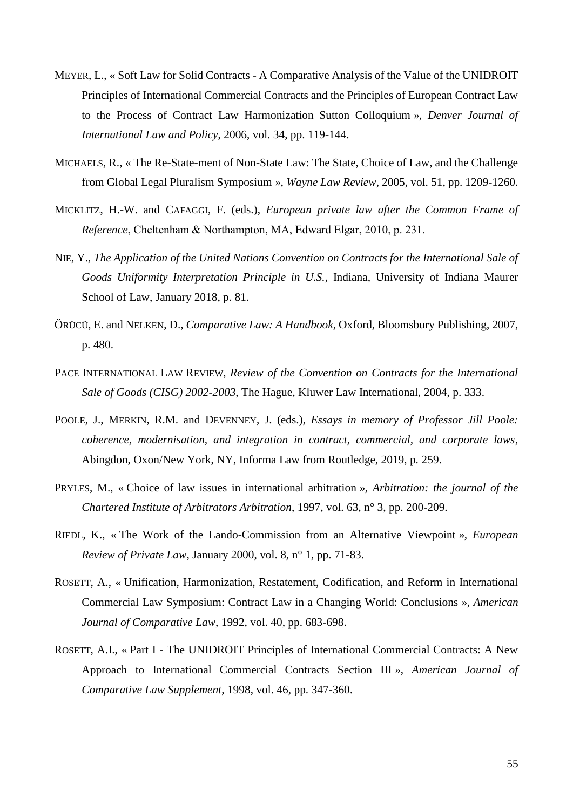- MEYER, L., « Soft Law for Solid Contracts A Comparative Analysis of the Value of the UNIDROIT Principles of International Commercial Contracts and the Principles of European Contract Law to the Process of Contract Law Harmonization Sutton Colloquium », *Denver Journal of International Law and Policy*, 2006, vol. 34, pp. 119-144.
- MICHAELS, R., « The Re-State-ment of Non-State Law: The State, Choice of Law, and the Challenge from Global Legal Pluralism Symposium », *Wayne Law Review*, 2005, vol. 51, pp. 1209-1260.
- MICKLITZ, H.-W. and CAFAGGI, F. (eds.), *European private law after the Common Frame of Reference*, Cheltenham & Northampton, MA, Edward Elgar, 2010, p. 231.
- NIE, Y., *The Application of the United Nations Convention on Contracts for the International Sale of Goods Uniformity Interpretation Principle in U.S.*, Indiana, University of Indiana Maurer School of Law, January 2018, p. 81.
- ÖRÜCÜ, E. and NELKEN, D., *Comparative Law: A Handbook*, Oxford, Bloomsbury Publishing, 2007, p. 480.
- PACE INTERNATIONAL LAW REVIEW, *Review of the Convention on Contracts for the International Sale of Goods (CISG) 2002-2003*, The Hague, Kluwer Law International, 2004, p. 333.
- POOLE, J., MERKIN, R.M. and DEVENNEY, J. (eds.), *Essays in memory of Professor Jill Poole: coherence, modernisation, and integration in contract, commercial, and corporate laws*, Abingdon, Oxon/New York, NY, Informa Law from Routledge, 2019, p. 259.
- PRYLES, M., « Choice of law issues in international arbitration », *Arbitration: the journal of the Chartered Institute of Arbitrators Arbitration*, 1997, vol. 63, n° 3, pp. 200-209.
- RIEDL, K., « The Work of the Lando-Commission from an Alternative Viewpoint », *European Review of Private Law*, January 2000, vol. 8, n° 1, pp. 71-83.
- ROSETT, A., « Unification, Harmonization, Restatement, Codification, and Reform in International Commercial Law Symposium: Contract Law in a Changing World: Conclusions », *American Journal of Comparative Law*, 1992, vol. 40, pp. 683-698.
- ROSETT, A.I., « Part I The UNIDROIT Principles of International Commercial Contracts: A New Approach to International Commercial Contracts Section III », *American Journal of Comparative Law Supplement*, 1998, vol. 46, pp. 347-360.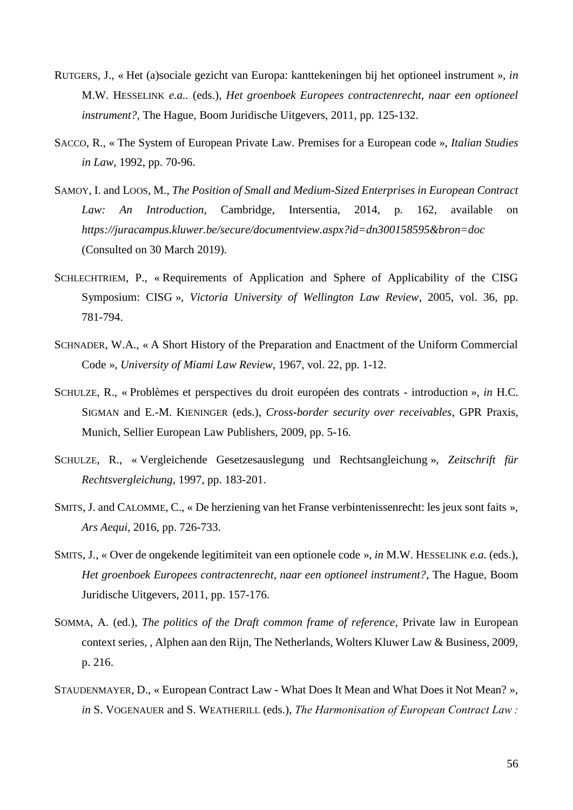- RUTGERS, J., « Het (a)sociale gezicht van Europa: kanttekeningen bij het optioneel instrument », *in* M.W. HESSELINK *e.a..* (eds.), *Het groenboek Europees contractenrecht, naar een optioneel instrument?*, The Hague, Boom Juridische Uitgevers, 2011, pp. 125-132.
- SACCO, R., « The System of European Private Law. Premises for a European code », *Italian Studies in Law*, 1992, pp. 70-96.
- SAMOY, I. and LOOS, M., *The Position of Small and Medium-Sized Enterprises in European Contract Law: An Introduction*, Cambridge, Intersentia, 2014, p. 162, available on *<https://juracampus.kluwer.be/secure/documentview.aspx?id=dn300158595&bron=doc>* (Consulted on 30 March 2019).
- SCHLECHTRIEM, P., « Requirements of Application and Sphere of Applicability of the CISG Symposium: CISG », *Victoria University of Wellington Law Review*, 2005, vol. 36, pp. 781-794.
- SCHNADER, W.A., « A Short History of the Preparation and Enactment of the Uniform Commercial Code », *University of Miami Law Review*, 1967, vol. 22, pp. 1-12.
- SCHULZE, R., « Problèmes et perspectives du droit européen des contrats introduction », *in* H.C. SIGMAN and E.-M. KIENINGER (eds.), *Cross-border security over receivables*, GPR Praxis, Munich, Sellier European Law Publishers, 2009, pp. 5-16.
- SCHULZE, R., « Vergleichende Gesetzesauslegung und Rechtsangleichung », *Zeitschrift für Rechtsvergleichung*, 1997, pp. 183-201.
- SMITS, J. and CALOMME, C., « De herziening van het Franse verbintenissenrecht: les jeux sont faits », *Ars Aequi*, 2016, pp. 726-733.
- SMITS, J., « Over de ongekende legitimiteit van een optionele code », *in* M.W. HESSELINK *e.a.* (eds.), *Het groenboek Europees contractenrecht, naar een optioneel instrument?*, The Hague, Boom Juridische Uitgevers, 2011, pp. 157-176.
- SOMMA, A. (ed.), *The politics of the Draft common frame of reference*, Private law in European context series, , Alphen aan den Rijn, The Netherlands, Wolters Kluwer Law & Business, 2009, p. 216.
- STAUDENMAYER, D., « European Contract Law What Does It Mean and What Does it Not Mean? », *in* S. VOGENAUER and S. WEATHERILL (eds.), *The Harmonisation of European Contract Law :*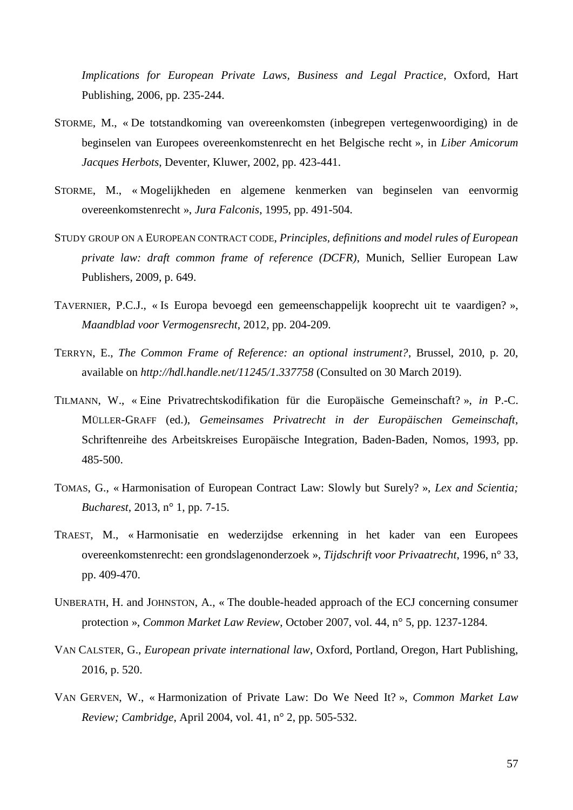*Implications for European Private Laws, Business and Legal Practice*, Oxford, Hart Publishing, 2006, pp. 235-244.

- STORME, M., « De totstandkoming van overeenkomsten (inbegrepen vertegenwoordiging) in de beginselen van Europees overeenkomstenrecht en het Belgische recht », in *Liber Amicorum Jacques Herbots*, Deventer, Kluwer, 2002, pp. 423-441.
- STORME, M., « Mogelijkheden en algemene kenmerken van beginselen van eenvormig overeenkomstenrecht », *Jura Falconis*, 1995, pp. 491-504.
- STUDY GROUP ON A EUROPEAN CONTRACT CODE, *Principles, definitions and model rules of European private law: draft common frame of reference (DCFR)*, Munich, Sellier European Law Publishers, 2009, p. 649.
- TAVERNIER, P.C.J., « Is Europa bevoegd een gemeenschappelijk kooprecht uit te vaardigen? », *Maandblad voor Vermogensrecht*, 2012, pp. 204-209.
- TERRYN, E., *The Common Frame of Reference: an optional instrument?*, Brussel, 2010, p. 20, available on *<http://hdl.handle.net/11245/1.337758>* (Consulted on 30 March 2019).
- TILMANN, W., « Eine Privatrechtskodifikation für die Europäische Gemeinschaft? », *in* P.-C. MÜLLER-GRAFF (ed.), *Gemeinsames Privatrecht in der Europäischen Gemeinschaft*, Schriftenreihe des Arbeitskreises Europäische Integration, Baden-Baden, Nomos, 1993, pp. 485-500.
- TOMAS, G., « Harmonisation of European Contract Law: Slowly but Surely? », *Lex and Scientia; Bucharest*, 2013, n° 1, pp. 7-15.
- TRAEST, M., « Harmonisatie en wederzijdse erkenning in het kader van een Europees overeenkomstenrecht: een grondslagenonderzoek », *Tijdschrift voor Privaatrecht*, 1996, n° 33, pp. 409-470.
- UNBERATH, H. and JOHNSTON, A., « The double-headed approach of the ECJ concerning consumer protection », *Common Market Law Review*, October 2007, vol. 44, n° 5, pp. 1237-1284.
- VAN CALSTER, G., *European private international law*, Oxford, Portland, Oregon, Hart Publishing, 2016, p. 520.
- VAN GERVEN, W., « Harmonization of Private Law: Do We Need It? », *Common Market Law Review; Cambridge*, April 2004, vol. 41, n° 2, pp. 505-532.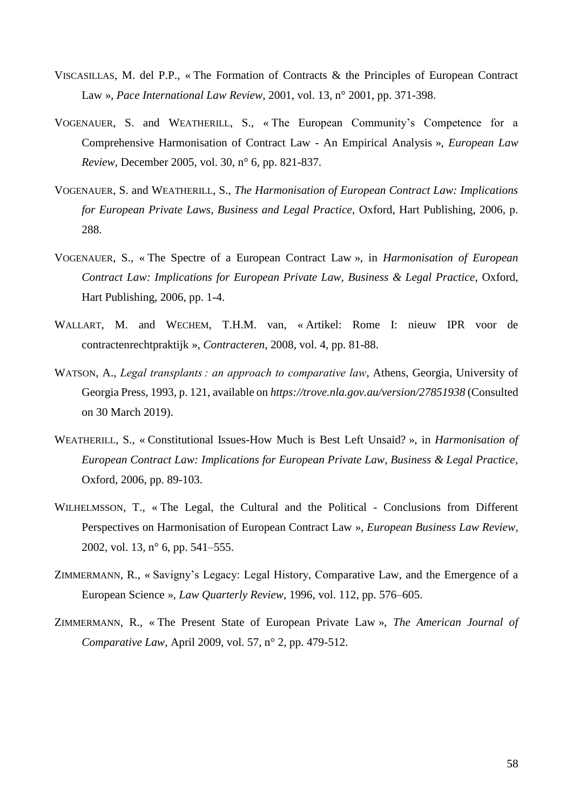- VISCASILLAS, M. del P.P., « The Formation of Contracts & the Principles of European Contract Law », *Pace International Law Review*, 2001, vol. 13, n° 2001, pp. 371-398.
- VOGENAUER, S. and WEATHERILL, S., « The European Community's Competence for a Comprehensive Harmonisation of Contract Law - An Empirical Analysis », *European Law Review*, December 2005, vol. 30, n° 6, pp. 821-837.
- VOGENAUER, S. and WEATHERILL, S., *The Harmonisation of European Contract Law: Implications for European Private Laws, Business and Legal Practice*, Oxford, Hart Publishing, 2006, p. 288.
- VOGENAUER, S., « The Spectre of a European Contract Law », in *Harmonisation of European Contract Law: Implications for European Private Law, Business & Legal Practice*, Oxford, Hart Publishing, 2006, pp. 1-4.
- WALLART, M. and WECHEM, T.H.M. van, « Artikel: Rome I: nieuw IPR voor de contractenrechtpraktijk », *Contracteren*, 2008, vol. 4, pp. 81-88.
- WATSON, A., *Legal transplants : an approach to comparative law*, Athens, Georgia, University of Georgia Press, 1993, p. 121, available on *<https://trove.nla.gov.au/version/27851938>* (Consulted on 30 March 2019).
- WEATHERILL, S., « Constitutional Issues-How Much is Best Left Unsaid? », in *Harmonisation of European Contract Law: Implications for European Private Law, Business & Legal Practice*, Oxford, 2006, pp. 89-103.
- WILHELMSSON, T., « The Legal, the Cultural and the Political Conclusions from Different Perspectives on Harmonisation of European Contract Law », *European Business Law Review*, 2002, vol. 13, n° 6, pp. 541–555.
- ZIMMERMANN, R., « Savigny's Legacy: Legal History, Comparative Law, and the Emergence of a European Science », *Law Quarterly Review*, 1996, vol. 112, pp. 576–605.
- ZIMMERMANN, R., « The Present State of European Private Law », *The American Journal of Comparative Law*, April 2009, vol. 57, n° 2, pp. 479-512.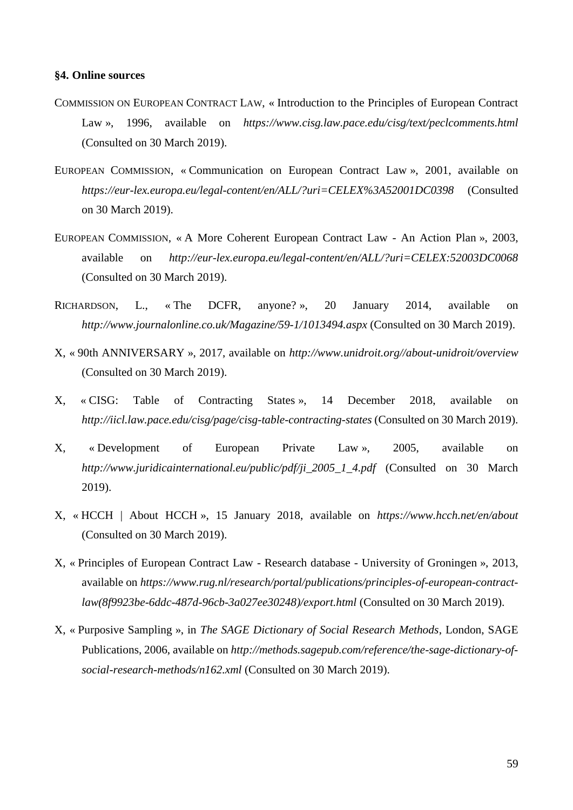## **§4. Online sources**

- COMMISSION ON EUROPEAN CONTRACT LAW, « Introduction to the Principles of European Contract Law », 1996, available on *<https://www.cisg.law.pace.edu/cisg/text/peclcomments.html>* (Consulted on 30 March 2019).
- EUROPEAN COMMISSION, « Communication on European Contract Law », 2001, available on *<https://eur-lex.europa.eu/legal-content/en/ALL/?uri=CELEX%3A52001DC0398>* (Consulted on 30 March 2019).
- EUROPEAN COMMISSION, « A More Coherent European Contract Law An Action Plan », 2003, available on *<http://eur-lex.europa.eu/legal-content/en/ALL/?uri=CELEX:52003DC0068>* (Consulted on 30 March 2019).
- RICHARDSON, L., « The DCFR, anyone? », 20 January 2014, available on *<http://www.journalonline.co.uk/Magazine/59-1/1013494.aspx>* (Consulted on 30 March 2019).
- X, « 90th ANNIVERSARY », 2017, available on *[http://www.unidroit.org//about-unidroit/overview](http://www.unidroit.org/about-unidroit/overview)* (Consulted on 30 March 2019).
- X, « CISG: Table of Contracting States », 14 December 2018, available on *<http://iicl.law.pace.edu/cisg/page/cisg-table-contracting-states>* (Consulted on 30 March 2019).
- X, « Development of European Private Law », 2005, available on *[http://www.juridicainternational.eu/public/pdf/ji\\_2005\\_1\\_4.pdf](http://www.juridicainternational.eu/public/pdf/ji_2005_1_4.pdf)* (Consulted on 30 March 2019).
- X, « HCCH | About HCCH », 15 January 2018, available on *<https://www.hcch.net/en/about>* (Consulted on 30 March 2019).
- X, « Principles of European Contract Law Research database University of Groningen », 2013, available on *[https://www.rug.nl/research/portal/publications/principles-of-european-contract](https://www.rug.nl/research/portal/publications/principles-of-european-contract-law(8f9923be-6ddc-487d-96cb-3a027ee30248)/export.html)[law\(8f9923be-6ddc-487d-96cb-3a027ee30248\)/export.html](https://www.rug.nl/research/portal/publications/principles-of-european-contract-law(8f9923be-6ddc-487d-96cb-3a027ee30248)/export.html)* (Consulted on 30 March 2019).
- X, « Purposive Sampling », in *The SAGE Dictionary of Social Research Methods*, London, SAGE Publications, 2006, available on *[http://methods.sagepub.com/reference/the-sage-dictionary-of](http://methods.sagepub.com/reference/the-sage-dictionary-of-social-research-methods/n162.xml)[social-research-methods/n162.xml](http://methods.sagepub.com/reference/the-sage-dictionary-of-social-research-methods/n162.xml)* (Consulted on 30 March 2019).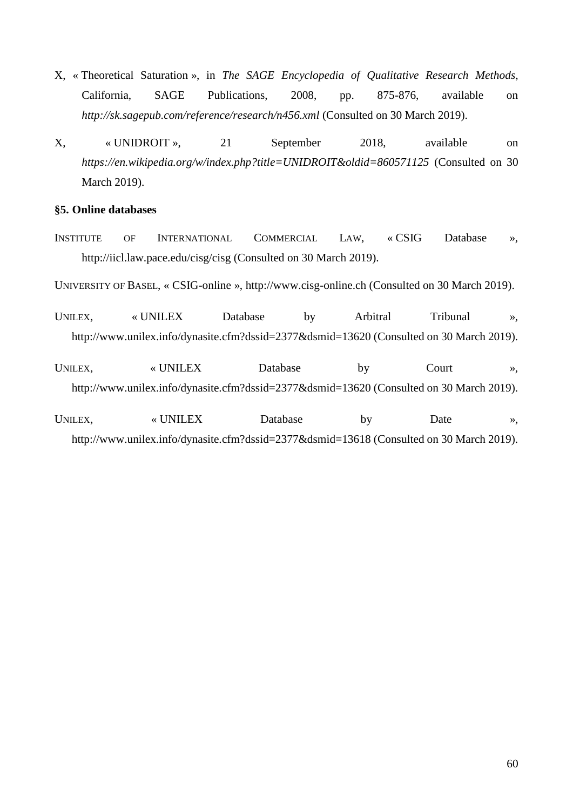- X, « Theoretical Saturation », in *The SAGE Encyclopedia of Qualitative Research Methods*, California, SAGE Publications, 2008, pp. 875-876, available on *<http://sk.sagepub.com/reference/research/n456.xml>* (Consulted on 30 March 2019).
- X, « UNIDROIT », 21 September 2018, available on *<https://en.wikipedia.org/w/index.php?title=UNIDROIT&oldid=860571125>* (Consulted on 30 March 2019).

## **§5. Online databases**

INSTITUTE OF INTERNATIONAL COMMERCIAL LAW, « CSIG Database », http://iicl.law.pace.edu/cisg/cisg (Consulted on 30 March 2019).

UNIVERSITY OF BASEL, « CSIG-online », http://www.cisg-online.ch (Consulted on 30 March 2019).

- UNILEX, « UNILEX Database by Arbitral Tribunal », http://www.unilex.info/dynasite.cfm?dssid=2377&dsmid=13620 (Consulted on 30 March 2019).
- UNILEX, « UNILEX Database by Court », http://www.unilex.info/dynasite.cfm?dssid=2377&dsmid=13620 (Consulted on 30 March 2019).
- UNILEX, where WINILEX Database by Date », http://www.unilex.info/dynasite.cfm?dssid=2377&dsmid=13618 (Consulted on 30 March 2019).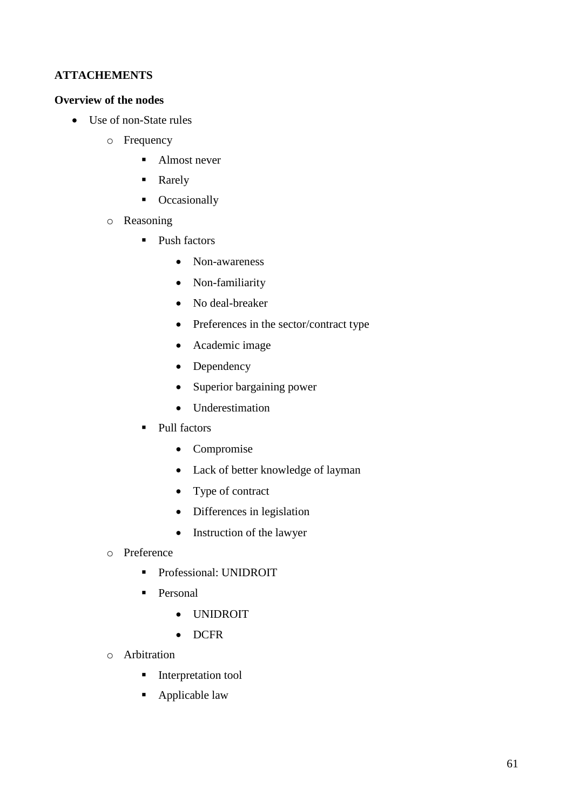## **ATTACHEMENTS**

## **Overview of the nodes**

- Use of non-State rules
	- o Frequency
		- Almost never
		- Rarely
		- Occasionally
	- o Reasoning
		- Push factors
			- Non-awareness
			- Non-familiarity
			- No deal-breaker
			- Preferences in the sector/contract type
			- Academic image
			- Dependency
			- Superior bargaining power
			- Underestimation
		- Pull factors
			- Compromise
			- Lack of better knowledge of layman
			- Type of contract
			- Differences in legislation
			- Instruction of the lawyer
	- o Preference
		- **•** Professional: UNIDROIT
		- **•** Personal
			- UNIDROIT
			- DCFR
	- o Arbitration
		- Interpretation tool
		- Applicable law